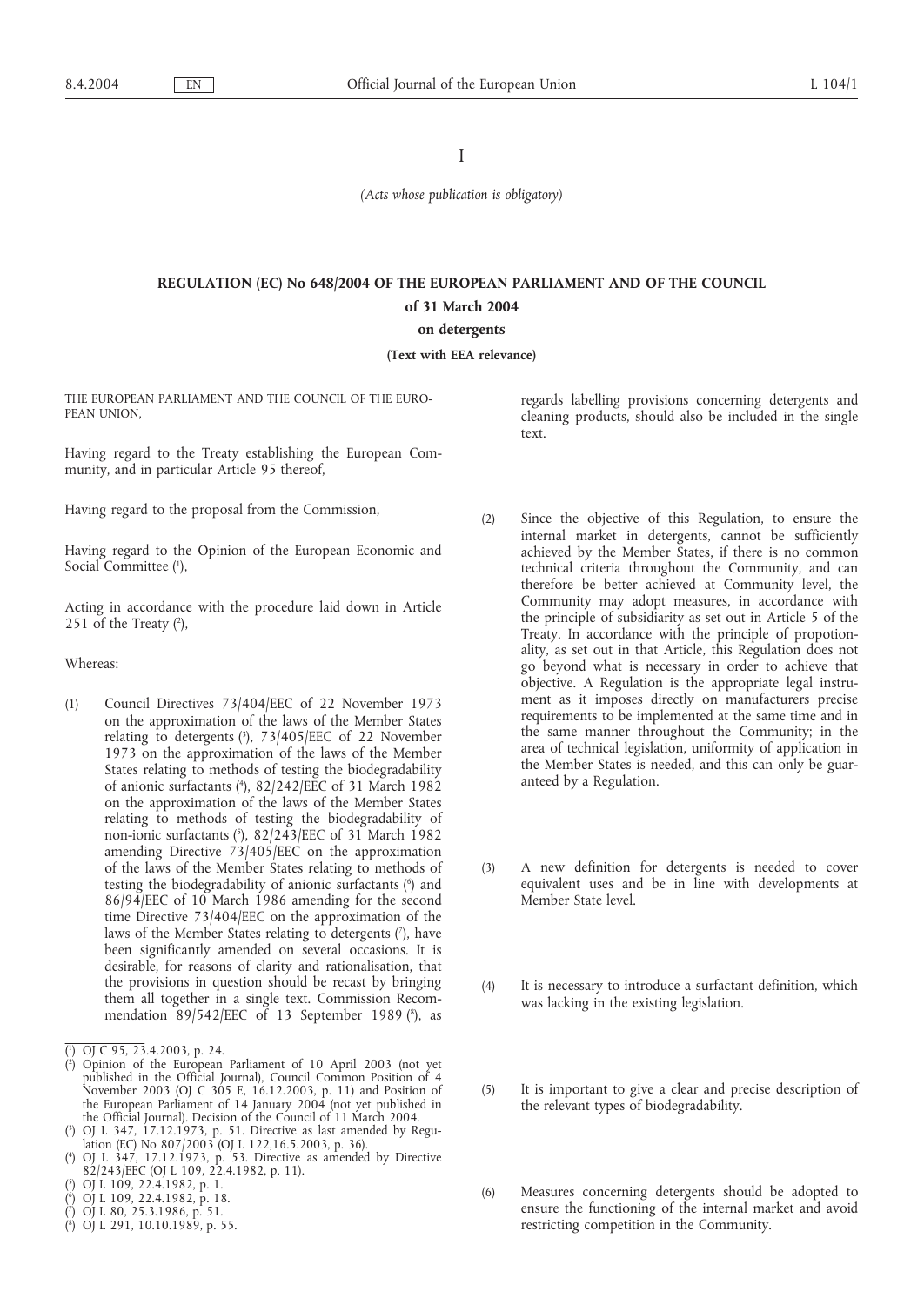I

*(Acts whose publication is obligatory)*

# **REGULATION (EC) No 648/2004 OF THE EUROPEAN PARLIAMENT AND OF THE COUNCIL of 31 March 2004**

**on detergents**

**(Text with EEA relevance)**

THE EUROPEAN PARLIAMENT AND THE COUNCIL OF THE EURO-PEAN UNION,

Having regard to the Treaty establishing the European Community, and in particular Article 95 thereof,

Having regard to the proposal from the Commission,

Having regard to the Opinion of the European Economic and Social Committee (1),

Acting in accordance with the procedure laid down in Article 251 of the Treaty  $(2)$ ,

Whereas:

(1) Council Directives 73/404/EEC of 22 November 1973 on the approximation of the laws of the Member States relating to detergents (3 ), 73/405/EEC of 22 November 1973 on the approximation of the laws of the Member States relating to methods of testing the biodegradability of anionic surfactants (4 ), 82/242/EEC of 31 March 1982 on the approximation of the laws of the Member States relating to methods of testing the biodegradability of non-ionic surfactants (5 ), 82/243/EEC of 31 March 1982 amending Directive 73/405/EEC on the approximation of the laws of the Member States relating to methods of testing the biodegradability of anionic surfactants (6 ) and 86/94/EEC of 10 March 1986 amending for the second time Directive 73/404/EEC on the approximation of the laws of the Member States relating to detergents (?), have been significantly amended on several occasions. It is desirable, for reasons of clarity and rationalisation, that the provisions in question should be recast by bringing them all together in a single text. Commission Recommendation 89/542/EEC of 13 September 1989 (8 ), as

- ( 7 ) OJ L 80, 25.3.1986, p. 51.
- ( 8 ) OJ L 291, 10.10.1989, p. 55.

regards labelling provisions concerning detergents and cleaning products, should also be included in the single text.

- (2) Since the objective of this Regulation, to ensure the internal market in detergents, cannot be sufficiently achieved by the Member States, if there is no common technical criteria throughout the Community, and can therefore be better achieved at Community level, the Community may adopt measures, in accordance with the principle of subsidiarity as set out in Article 5 of the Treaty. In accordance with the principle of propotionality, as set out in that Article, this Regulation does not go beyond what is necessary in order to achieve that objective. A Regulation is the appropriate legal instrument as it imposes directly on manufacturers precise requirements to be implemented at the same time and in the same manner throughout the Community; in the area of technical legislation, uniformity of application in the Member States is needed, and this can only be guaranteed by a Regulation.
- (3) A new definition for detergents is needed to cover equivalent uses and be in line with developments at Member State level.
- (4) It is necessary to introduce a surfactant definition, which was lacking in the existing legislation.
- (5) It is important to give a clear and precise description of the relevant types of biodegradability.
- (6) Measures concerning detergents should be adopted to ensure the functioning of the internal market and avoid restricting competition in the Community.

<sup>(</sup> 1 ) OJ C 95, 23.4.2003, p. 24.

<sup>(</sup> 2 ) Opinion of the European Parliament of 10 April 2003 (not yet published in the Official Journal), Council Common Position of 4 November 2003 (OJ C 305 E, 16.12.2003, p. 11) and Position of the European Parliament of 14 January 2004 (not yet published in the Official Journal). Decision of the Council of 11 March 2004.

<sup>(</sup> 3 ) OJ L 347, 17.12.1973, p. 51. Directive as last amended by Regulation (EC) No 807/2003 (OJ L 122,16.5.2003, p. 36).

 $($ <sup>4</sup> ) OJ L 347, 17.12.1973, p. 53. Directive as amended by Directive 82/243/EEC (OJ L 109, 22.4.1982, p. 11).

<sup>(</sup> 5 ) OJ L 109, 22.4.1982, p. 1.

<sup>(</sup> 6 ) OJ L 109, 22.4.1982, p. 18.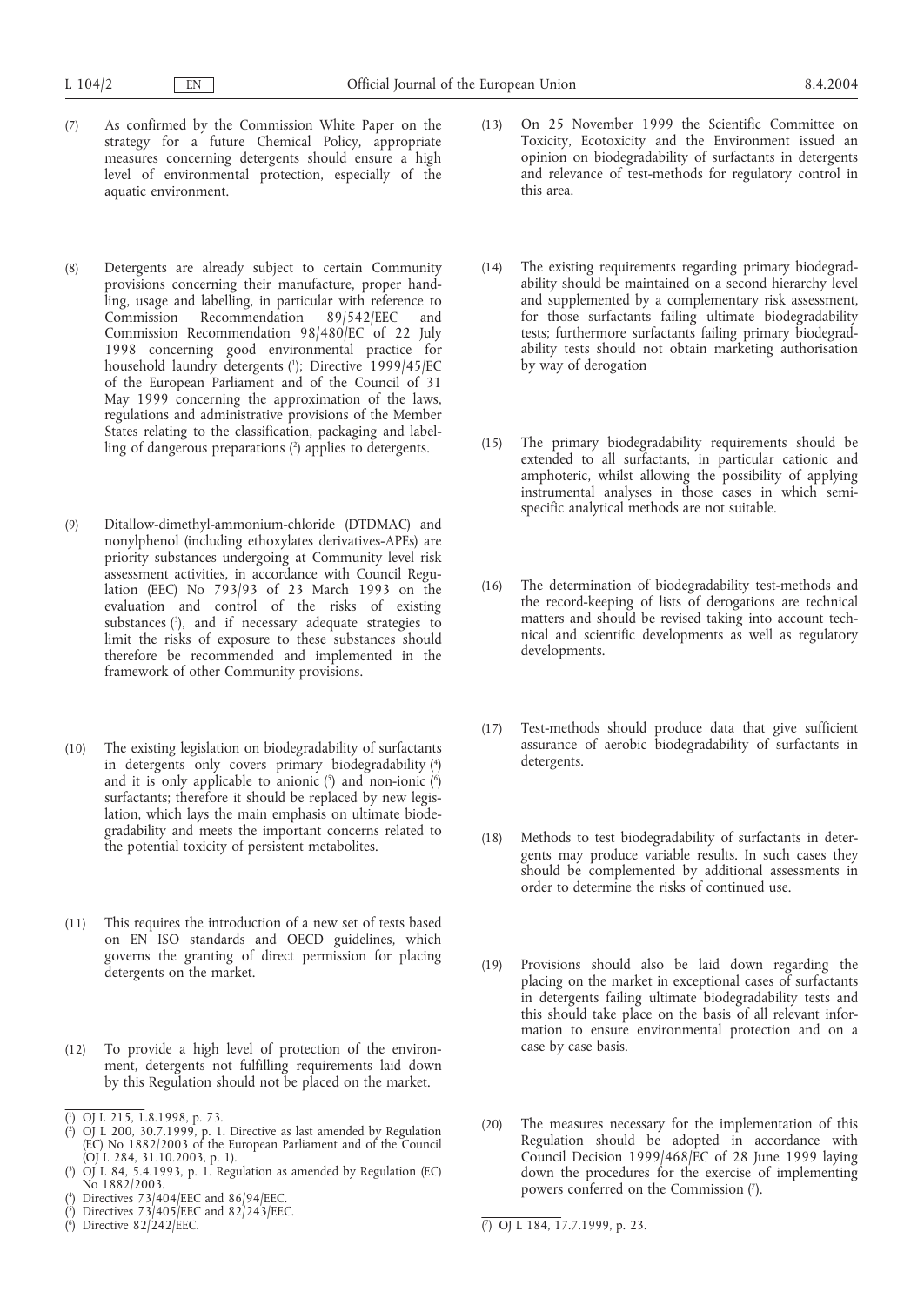- (7) As confirmed by the Commission White Paper on the strategy for a future Chemical Policy, appropriate measures concerning detergents should ensure a high level of environmental protection, especially of the aquatic environment.
- (8) Detergents are already subject to certain Community provisions concerning their manufacture, proper handling, usage and labelling, in particular with reference to Recommendation 89/542/EEC and Commission Recommendation 98/480/EC of 22 July 1998 concerning good environmental practice for household laundry detergents (1 ); Directive 1999/45/EC of the European Parliament and of the Council of 31 May 1999 concerning the approximation of the laws, regulations and administrative provisions of the Member States relating to the classification, packaging and labelling of dangerous preparations (<sup>2</sup>) applies to detergents.
- (9) Ditallow-dimethyl-ammonium-chloride (DTDMAC) and nonylphenol (including ethoxylates derivatives-APEs) are priority substances undergoing at Community level risk assessment activities, in accordance with Council Regulation (EEC) No 793/93 of 23 March 1993 on the evaluation and control of the risks of existing substances (3 ), and if necessary adequate strategies to limit the risks of exposure to these substances should therefore be recommended and implemented in the framework of other Community provisions.
- (10) The existing legislation on biodegradability of surfactants in detergents only covers primary biodegradability (4 ) and it is only applicable to anionic (5) and non-ionic (6) surfactants; therefore it should be replaced by new legislation, which lays the main emphasis on ultimate biodegradability and meets the important concerns related to the potential toxicity of persistent metabolites.
- (11) This requires the introduction of a new set of tests based on EN ISO standards and OECD guidelines, which governs the granting of direct permission for placing detergents on the market.
- (12) To provide a high level of protection of the environment, detergents not fulfilling requirements laid down by this Regulation should not be placed on the market.
- ( 1 ) OJ L 215, 1.8.1998, p. 73.
- ( 2 ) OJ L 200, 30.7.1999, p. 1. Directive as last amended by Regulation (EC) No 1882/2003 of the European Parliament and of the Council (OJ L 284, 31.10.2003, p. 1).
- ( 3 ) OJ L 84, 5.4.1993, p. 1. Regulation as amended by Regulation (EC) No 1882/2003.
- ( 4 ) Directives 73/404/EEC and 86/94/EEC.
- ( 5 ) Directives 73/405/EEC and 82/243/EEC.
- ( 6 ) Directive 82/242/EEC. (
- (13) On 25 November 1999 the Scientific Committee on Toxicity, Ecotoxicity and the Environment issued an opinion on biodegradability of surfactants in detergents and relevance of test-methods for regulatory control in this area.
- (14) The existing requirements regarding primary biodegradability should be maintained on a second hierarchy level and supplemented by a complementary risk assessment, for those surfactants failing ultimate biodegradability tests; furthermore surfactants failing primary biodegradability tests should not obtain marketing authorisation by way of derogation
- (15) The primary biodegradability requirements should be extended to all surfactants, in particular cationic and amphoteric, whilst allowing the possibility of applying instrumental analyses in those cases in which semispecific analytical methods are not suitable.
- (16) The determination of biodegradability test-methods and the record-keeping of lists of derogations are technical matters and should be revised taking into account technical and scientific developments as well as regulatory developments.
- (17) Test-methods should produce data that give sufficient assurance of aerobic biodegradability of surfactants in detergents.
- (18) Methods to test biodegradability of surfactants in detergents may produce variable results. In such cases they should be complemented by additional assessments in order to determine the risks of continued use.
- (19) Provisions should also be laid down regarding the placing on the market in exceptional cases of surfactants in detergents failing ultimate biodegradability tests and this should take place on the basis of all relevant information to ensure environmental protection and on a case by case basis.
- (20) The measures necessary for the implementation of this Regulation should be adopted in accordance with Council Decision 1999/468/EC of 28 June 1999 laying down the procedures for the exercise of implementing powers conferred on the Commission (7).

7 ) OJ L 184, 17.7.1999, p. 23.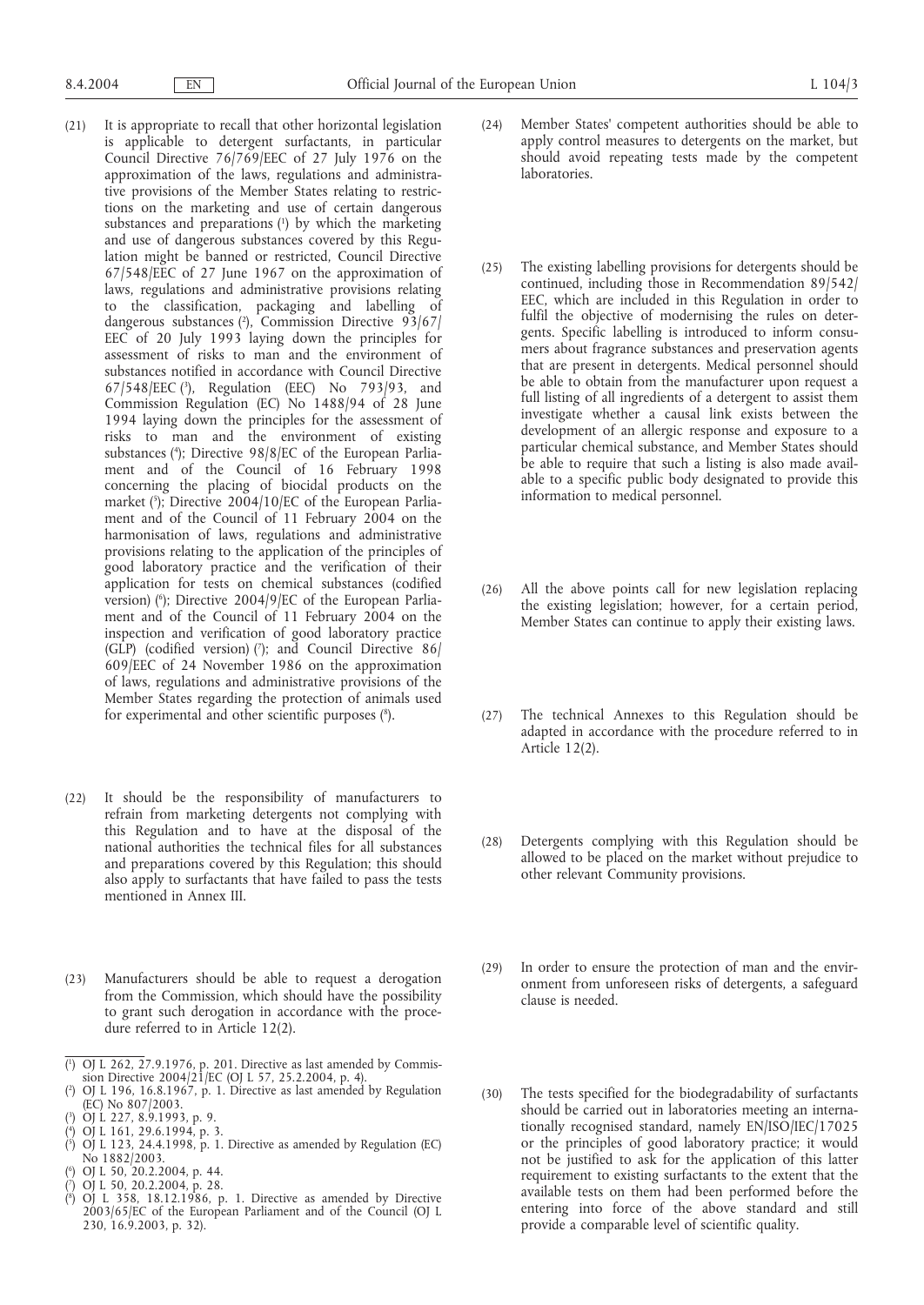- (21) It is appropriate to recall that other horizontal legislation is applicable to detergent surfactants, in particular Council Directive 76/769/EEC of 27 July 1976 on the approximation of the laws, regulations and administrative provisions of the Member States relating to restrictions on the marketing and use of certain dangerous substances and preparations (1) by which the marketing and use of dangerous substances covered by this Regulation might be banned or restricted, Council Directive 67/548/EEC of 27 June 1967 on the approximation of laws, regulations and administrative provisions relating to the classification, packaging and labelling of dangerous substances (2 ), Commission Directive 93/67/ EEC of 20 July 1993 laying down the principles for assessment of risks to man and the environment of substances notified in accordance with Council Directive 67/548/EEC (3 ), Regulation (EEC) No 793/93, and Commission Regulation (EC) No 1488/94 of 28 June 1994 laying down the principles for the assessment of risks to man and the environment of existing substances (4 ); Directive 98/8/EC of the European Parliament and of the Council of 16 February 1998 concerning the placing of biocidal products on the market (5 ); Directive 2004/10/EC of the European Parliament and of the Council of 11 February 2004 on the harmonisation of laws, regulations and administrative provisions relating to the application of the principles of good laboratory practice and the verification of their application for tests on chemical substances (codified version) (6 ); Directive 2004/9/EC of the European Parliament and of the Council of 11 February 2004 on the inspection and verification of good laboratory practice (GLP) (codified version)  $(7)$ ; and Council Directive 86/ 609/EEC of 24 November 1986 on the approximation of laws, regulations and administrative provisions of the Member States regarding the protection of animals used for experimental and other scientific purposes (<sup>8</sup>).
- (22) It should be the responsibility of manufacturers to refrain from marketing detergents not complying with this Regulation and to have at the disposal of the national authorities the technical files for all substances and preparations covered by this Regulation; this should also apply to surfactants that have failed to pass the tests mentioned in Annex III.
- (23) Manufacturers should be able to request a derogation from the Commission, which should have the possibility to grant such derogation in accordance with the procedure referred to in Article 12(2).
- ( 1 ) OJ L 262, 27.9.1976, p. 201. Directive as last amended by Commission Directive 2004/21/EC (OJ L 57, 25.2.2004, p. 4).
- ( 2 ) OJ L 196, 16.8.1967, p. 1. Directive as last amended by Regulation (EC) No 807/2003.
- ( 3 ) OJ L 227, 8.9.1993, p. 9.
- ( 4 ) OJ L 161, 29.6.1994, p. 3.
- ( 5 ) OJ L 123, 24.4.1998, p. 1. Directive as amended by Regulation (EC) No 1882/2003.
- $\binom{6}{7}$  OJ L 50, 20.2.2004, p. 44.
- ( ) OJ L 50, 20.2.2004, p. 28.
- ( 8 ) OJ L 358, 18.12.1986, p. 1. Directive as amended by Directive 2003/65/EC of the European Parliament and of the Council (OJ L 230, 16.9.2003, p. 32).
- (24) Member States' competent authorities should be able to apply control measures to detergents on the market, but should avoid repeating tests made by the competent laboratories.
- (25) The existing labelling provisions for detergents should be continued, including those in Recommendation 89/542/ EEC, which are included in this Regulation in order to fulfil the objective of modernising the rules on detergents. Specific labelling is introduced to inform consumers about fragrance substances and preservation agents that are present in detergents. Medical personnel should be able to obtain from the manufacturer upon request a full listing of all ingredients of a detergent to assist them investigate whether a causal link exists between the development of an allergic response and exposure to a particular chemical substance, and Member States should be able to require that such a listing is also made available to a specific public body designated to provide this information to medical personnel.
- (26) All the above points call for new legislation replacing the existing legislation; however, for a certain period, Member States can continue to apply their existing laws.
- (27) The technical Annexes to this Regulation should be adapted in accordance with the procedure referred to in Article 12(2).
- (28) Detergents complying with this Regulation should be allowed to be placed on the market without prejudice to other relevant Community provisions.
- (29) In order to ensure the protection of man and the environment from unforeseen risks of detergents, a safeguard clause is needed.
- (30) The tests specified for the biodegradability of surfactants should be carried out in laboratories meeting an internationally recognised standard, namely EN/ISO/IEC/17025 or the principles of good laboratory practice; it would not be justified to ask for the application of this latter requirement to existing surfactants to the extent that the available tests on them had been performed before the entering into force of the above standard and still provide a comparable level of scientific quality.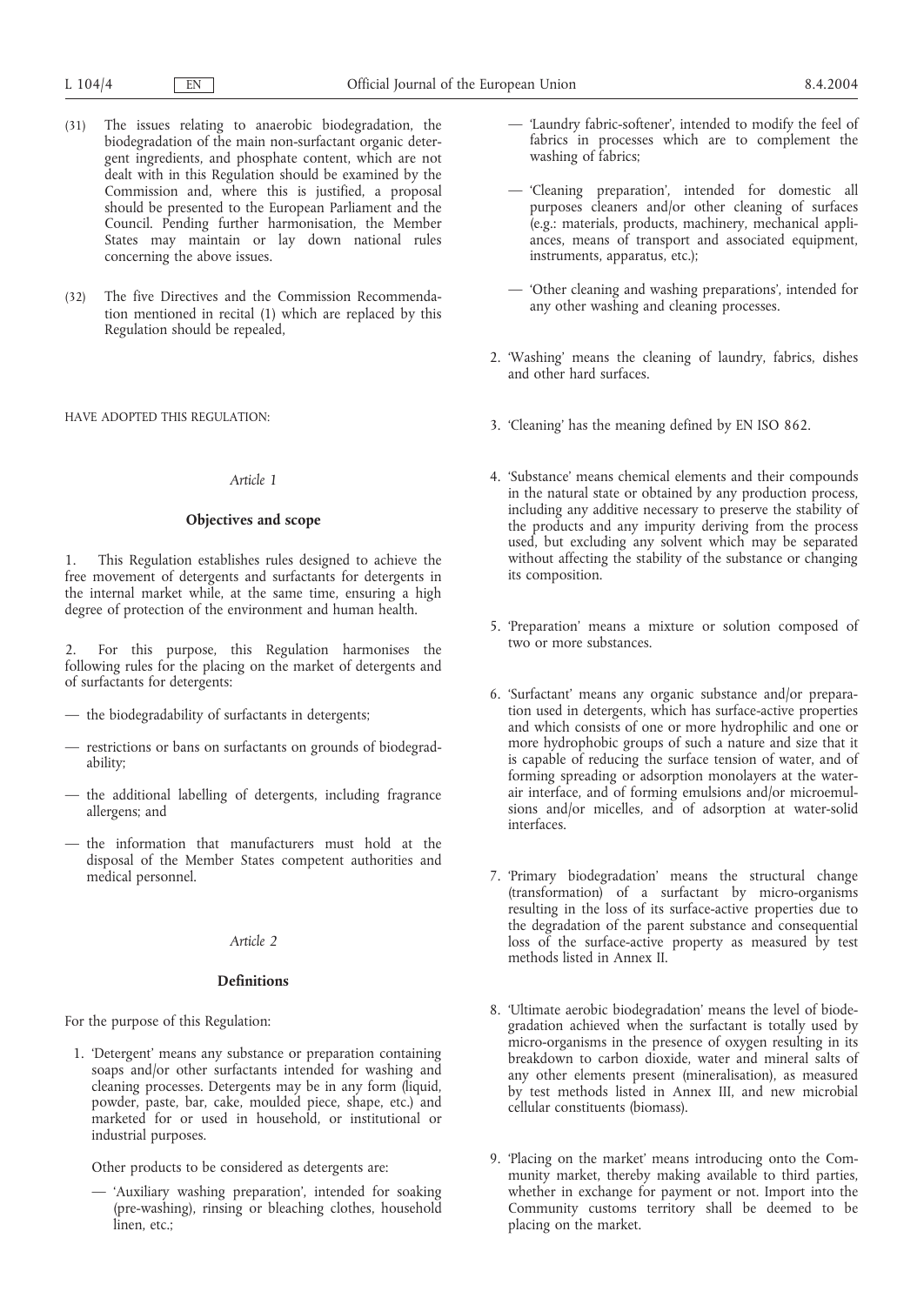- (31) The issues relating to anaerobic biodegradation, the biodegradation of the main non-surfactant organic detergent ingredients, and phosphate content, which are not dealt with in this Regulation should be examined by the Commission and, where this is justified, a proposal should be presented to the European Parliament and the Council. Pending further harmonisation, the Member States may maintain or lay down national rules concerning the above issues.
- (32) The five Directives and the Commission Recommendation mentioned in recital (1) which are replaced by this Regulation should be repealed,

HAVE ADOPTED THIS REGULATION:

#### *Article 1*

### **Objectives and scope**

1. This Regulation establishes rules designed to achieve the free movement of detergents and surfactants for detergents in the internal market while, at the same time, ensuring a high degree of protection of the environment and human health.

For this purpose, this Regulation harmonises the following rules for the placing on the market of detergents and of surfactants for detergents:

- the biodegradability of surfactants in detergents;
- restrictions or bans on surfactants on grounds of biodegradability;
- the additional labelling of detergents, including fragrance allergens; and
- the information that manufacturers must hold at the disposal of the Member States competent authorities and medical personnel.

## *Article 2*

## **Definitions**

For the purpose of this Regulation:

1. 'Detergent' means any substance or preparation containing soaps and/or other surfactants intended for washing and cleaning processes. Detergents may be in any form (liquid, powder, paste, bar, cake, moulded piece, shape, etc.) and marketed for or used in household, or institutional or industrial purposes.

Other products to be considered as detergents are:

— 'Auxiliary washing preparation', intended for soaking (pre-washing), rinsing or bleaching clothes, household linen, etc.;

- 'Laundry fabric-softener', intended to modify the feel of fabrics in processes which are to complement the washing of fabrics;
- 'Cleaning preparation', intended for domestic all purposes cleaners and/or other cleaning of surfaces (e.g.: materials, products, machinery, mechanical appliances, means of transport and associated equipment, instruments, apparatus, etc.);
- 'Other cleaning and washing preparations', intended for any other washing and cleaning processes.
- 2. 'Washing' means the cleaning of laundry, fabrics, dishes and other hard surfaces.
- 3. 'Cleaning' has the meaning defined by EN ISO 862.
- 4. 'Substance' means chemical elements and their compounds in the natural state or obtained by any production process, including any additive necessary to preserve the stability of the products and any impurity deriving from the process used, but excluding any solvent which may be separated without affecting the stability of the substance or changing its composition.
- 5. 'Preparation' means a mixture or solution composed of two or more substances.
- 6. 'Surfactant' means any organic substance and/or preparation used in detergents, which has surface-active properties and which consists of one or more hydrophilic and one or more hydrophobic groups of such a nature and size that it is capable of reducing the surface tension of water, and of forming spreading or adsorption monolayers at the waterair interface, and of forming emulsions and/or microemulsions and/or micelles, and of adsorption at water-solid interfaces.
- 7. 'Primary biodegradation' means the structural change (transformation) of a surfactant by micro-organisms resulting in the loss of its surface-active properties due to the degradation of the parent substance and consequential loss of the surface-active property as measured by test methods listed in Annex II.
- 8. 'Ultimate aerobic biodegradation' means the level of biodegradation achieved when the surfactant is totally used by micro-organisms in the presence of oxygen resulting in its breakdown to carbon dioxide, water and mineral salts of any other elements present (mineralisation), as measured by test methods listed in Annex III, and new microbial cellular constituents (biomass).
- 9. 'Placing on the market' means introducing onto the Community market, thereby making available to third parties, whether in exchange for payment or not. Import into the Community customs territory shall be deemed to be placing on the market.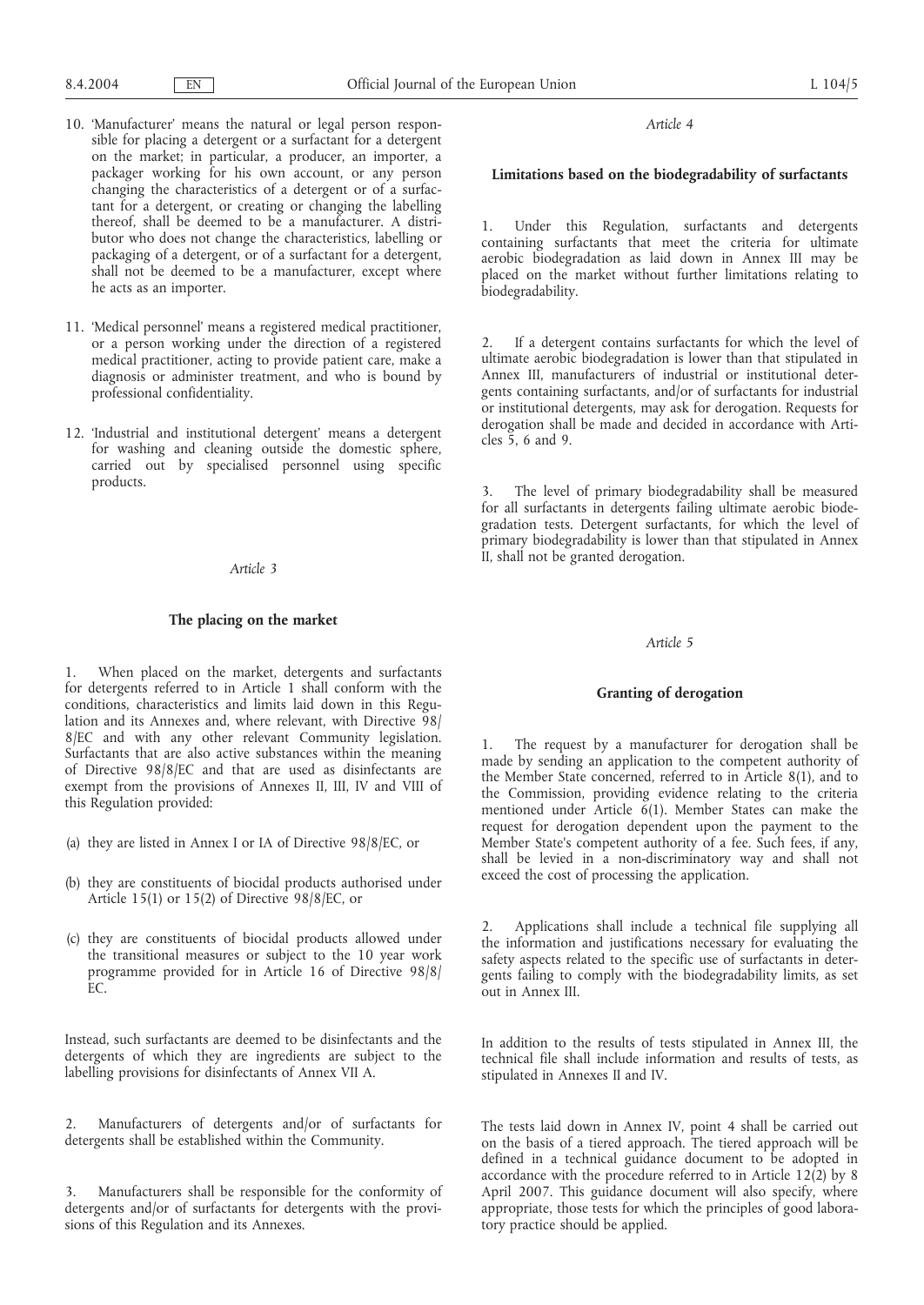### *Article 4*

## **Limitations based on the biodegradability of surfactants**

1. Under this Regulation, surfactants and detergents containing surfactants that meet the criteria for ultimate aerobic biodegradation as laid down in Annex III may be placed on the market without further limitations relating to biodegradability.

2. If a detergent contains surfactants for which the level of ultimate aerobic biodegradation is lower than that stipulated in Annex III, manufacturers of industrial or institutional detergents containing surfactants, and/or of surfactants for industrial or institutional detergents, may ask for derogation. Requests for derogation shall be made and decided in accordance with Articles 5, 6 and 9.

The level of primary biodegradability shall be measured for all surfactants in detergents failing ultimate aerobic biodegradation tests. Detergent surfactants, for which the level of primary biodegradability is lower than that stipulated in Annex II, shall not be granted derogation.

#### *Article 5*

#### **Granting of derogation**

1. The request by a manufacturer for derogation shall be made by sending an application to the competent authority of the Member State concerned, referred to in Article 8(1), and to the Commission, providing evidence relating to the criteria mentioned under Article 6(1). Member States can make the request for derogation dependent upon the payment to the Member State's competent authority of a fee. Such fees, if any, shall be levied in a non-discriminatory way and shall not exceed the cost of processing the application.

2. Applications shall include a technical file supplying all the information and justifications necessary for evaluating the safety aspects related to the specific use of surfactants in detergents failing to comply with the biodegradability limits, as set out in Annex III.

In addition to the results of tests stipulated in Annex III, the technical file shall include information and results of tests, as stipulated in Annexes II and IV.

The tests laid down in Annex IV, point 4 shall be carried out on the basis of a tiered approach. The tiered approach will be defined in a technical guidance document to be adopted in accordance with the procedure referred to in Article 12(2) by 8 April 2007. This guidance document will also specify, where appropriate, those tests for which the principles of good laboratory practice should be applied.

10. 'Manufacturer' means the natural or legal person responsible for placing a detergent or a surfactant for a detergent on the market; in particular, a producer, an importer, a packager working for his own account, or any person changing the characteristics of a detergent or of a surfactant for a detergent, or creating or changing the labelling thereof, shall be deemed to be a manufacturer. A distributor who does not change the characteristics, labelling or packaging of a detergent, or of a surfactant for a detergent, shall not be deemed to be a manufacturer, except where he acts as an importer.

11. 'Medical personnel' means a registered medical practitioner, or a person working under the direction of a registered medical practitioner, acting to provide patient care, make a diagnosis or administer treatment, and who is bound by professional confidentiality.

12. 'Industrial and institutional detergent' means a detergent for washing and cleaning outside the domestic sphere, carried out by specialised personnel using specific products.

### *Article 3*

### **The placing on the market**

1. When placed on the market, detergents and surfactants for detergents referred to in Article 1 shall conform with the conditions, characteristics and limits laid down in this Regulation and its Annexes and, where relevant, with Directive 98/ 8/EC and with any other relevant Community legislation. Surfactants that are also active substances within the meaning of Directive 98/8/EC and that are used as disinfectants are exempt from the provisions of Annexes II, III, IV and VIII of this Regulation provided:

- (a) they are listed in Annex I or IA of Directive 98/8/EC, or
- (b) they are constituents of biocidal products authorised under Article 15(1) or 15(2) of Directive 98/8/EC, or
- (c) they are constituents of biocidal products allowed under the transitional measures or subject to the 10 year work programme provided for in Article 16 of Directive 98/8/ EC.

Instead, such surfactants are deemed to be disinfectants and the detergents of which they are ingredients are subject to the labelling provisions for disinfectants of Annex VII A.

2. Manufacturers of detergents and/or of surfactants for detergents shall be established within the Community.

3. Manufacturers shall be responsible for the conformity of detergents and/or of surfactants for detergents with the provisions of this Regulation and its Annexes.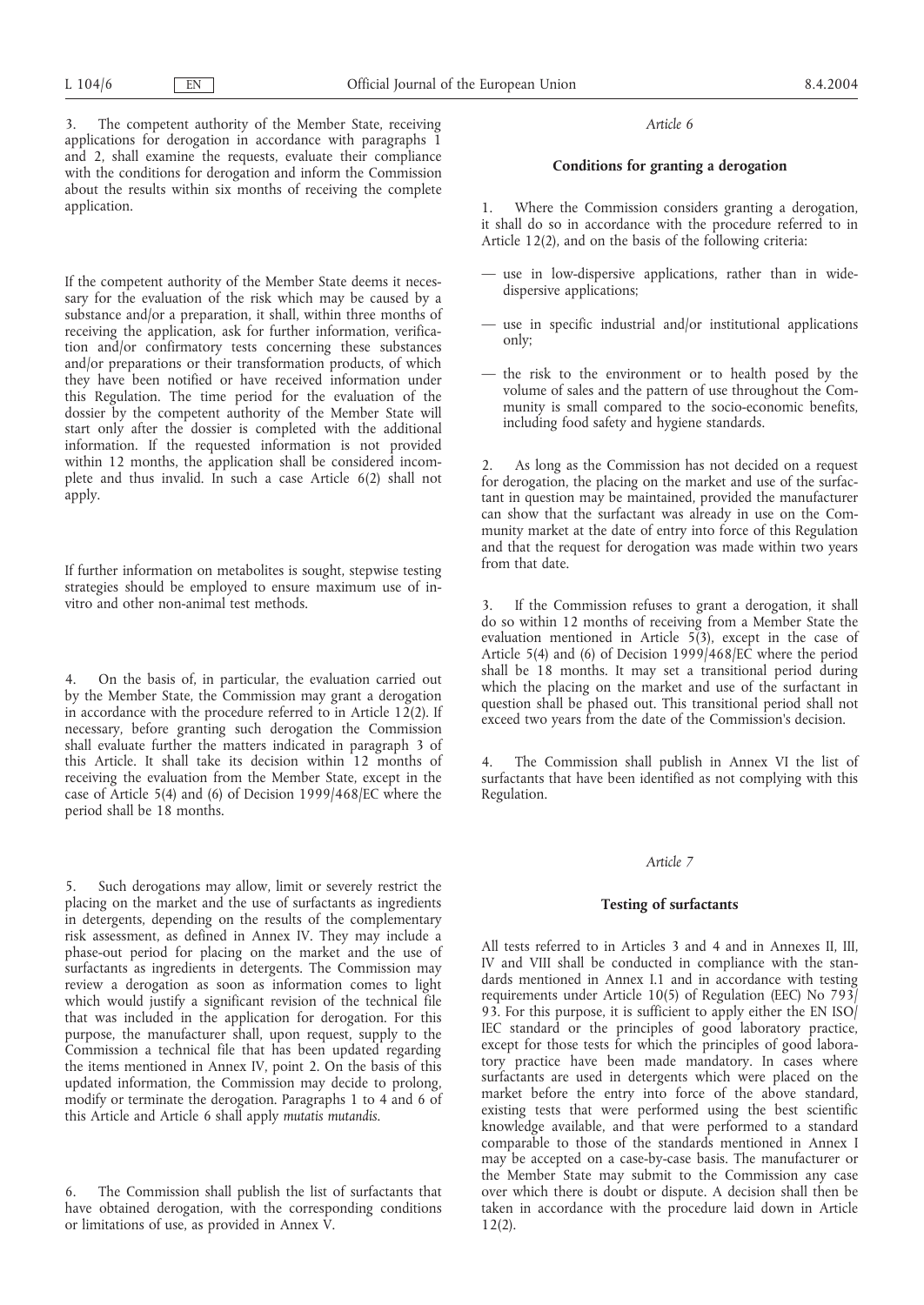3. The competent authority of the Member State, receiving applications for derogation in accordance with paragraphs 1 and 2, shall examine the requests, evaluate their compliance with the conditions for derogation and inform the Commission about the results within six months of receiving the complete application.

If the competent authority of the Member State deems it necessary for the evaluation of the risk which may be caused by a substance and/or a preparation, it shall, within three months of receiving the application, ask for further information, verification and/or confirmatory tests concerning these substances and/or preparations or their transformation products, of which they have been notified or have received information under this Regulation. The time period for the evaluation of the dossier by the competent authority of the Member State will start only after the dossier is completed with the additional information. If the requested information is not provided within 12 months, the application shall be considered incomplete and thus invalid. In such a case Article 6(2) shall not apply.

If further information on metabolites is sought, stepwise testing strategies should be employed to ensure maximum use of invitro and other non-animal test methods.

4. On the basis of, in particular, the evaluation carried out by the Member State, the Commission may grant a derogation in accordance with the procedure referred to in Article 12(2). If necessary, before granting such derogation the Commission shall evaluate further the matters indicated in paragraph 3 of this Article. It shall take its decision within 12 months of receiving the evaluation from the Member State, except in the case of Article 5(4) and (6) of Decision 1999/468/EC where the period shall be 18 months.

Such derogations may allow, limit or severely restrict the placing on the market and the use of surfactants as ingredients in detergents, depending on the results of the complementary risk assessment, as defined in Annex IV. They may include a phase-out period for placing on the market and the use of surfactants as ingredients in detergents. The Commission may review a derogation as soon as information comes to light which would justify a significant revision of the technical file that was included in the application for derogation. For this purpose, the manufacturer shall, upon request, supply to the Commission a technical file that has been updated regarding the items mentioned in Annex IV, point 2. On the basis of this updated information, the Commission may decide to prolong, modify or terminate the derogation. Paragraphs 1 to 4 and 6 of this Article and Article 6 shall apply *mutatis mutandis*.

6. The Commission shall publish the list of surfactants that have obtained derogation, with the corresponding conditions or limitations of use, as provided in Annex V.

#### *Article 6*

## **Conditions for granting a derogation**

Where the Commission considers granting a derogation, it shall do so in accordance with the procedure referred to in Article 12(2), and on the basis of the following criteria:

- use in low-dispersive applications, rather than in widedispersive applications;
- use in specific industrial and/or institutional applications only;
- the risk to the environment or to health posed by the volume of sales and the pattern of use throughout the Community is small compared to the socio-economic benefits, including food safety and hygiene standards.

2. As long as the Commission has not decided on a request for derogation, the placing on the market and use of the surfactant in question may be maintained, provided the manufacturer can show that the surfactant was already in use on the Community market at the date of entry into force of this Regulation and that the request for derogation was made within two years from that date.

3. If the Commission refuses to grant a derogation, it shall do so within 12 months of receiving from a Member State the evaluation mentioned in Article  $5(3)$ , except in the case of Article 5(4) and (6) of Decision 1999/468/EC where the period shall be 18 months. It may set a transitional period during which the placing on the market and use of the surfactant in question shall be phased out. This transitional period shall not exceed two years from the date of the Commission's decision.

4. The Commission shall publish in Annex VI the list of surfactants that have been identified as not complying with this Regulation.

### *Article 7*

## **Testing of surfactants**

All tests referred to in Articles 3 and 4 and in Annexes II, III, IV and VIII shall be conducted in compliance with the standards mentioned in Annex I.1 and in accordance with testing requirements under Article 10(5) of Regulation (EEC) No 793/ 93. For this purpose, it is sufficient to apply either the EN ISO/ IEC standard or the principles of good laboratory practice, except for those tests for which the principles of good laboratory practice have been made mandatory. In cases where surfactants are used in detergents which were placed on the market before the entry into force of the above standard, existing tests that were performed using the best scientific knowledge available, and that were performed to a standard comparable to those of the standards mentioned in Annex I may be accepted on a case-by-case basis. The manufacturer or the Member State may submit to the Commission any case over which there is doubt or dispute. A decision shall then be taken in accordance with the procedure laid down in Article 12(2).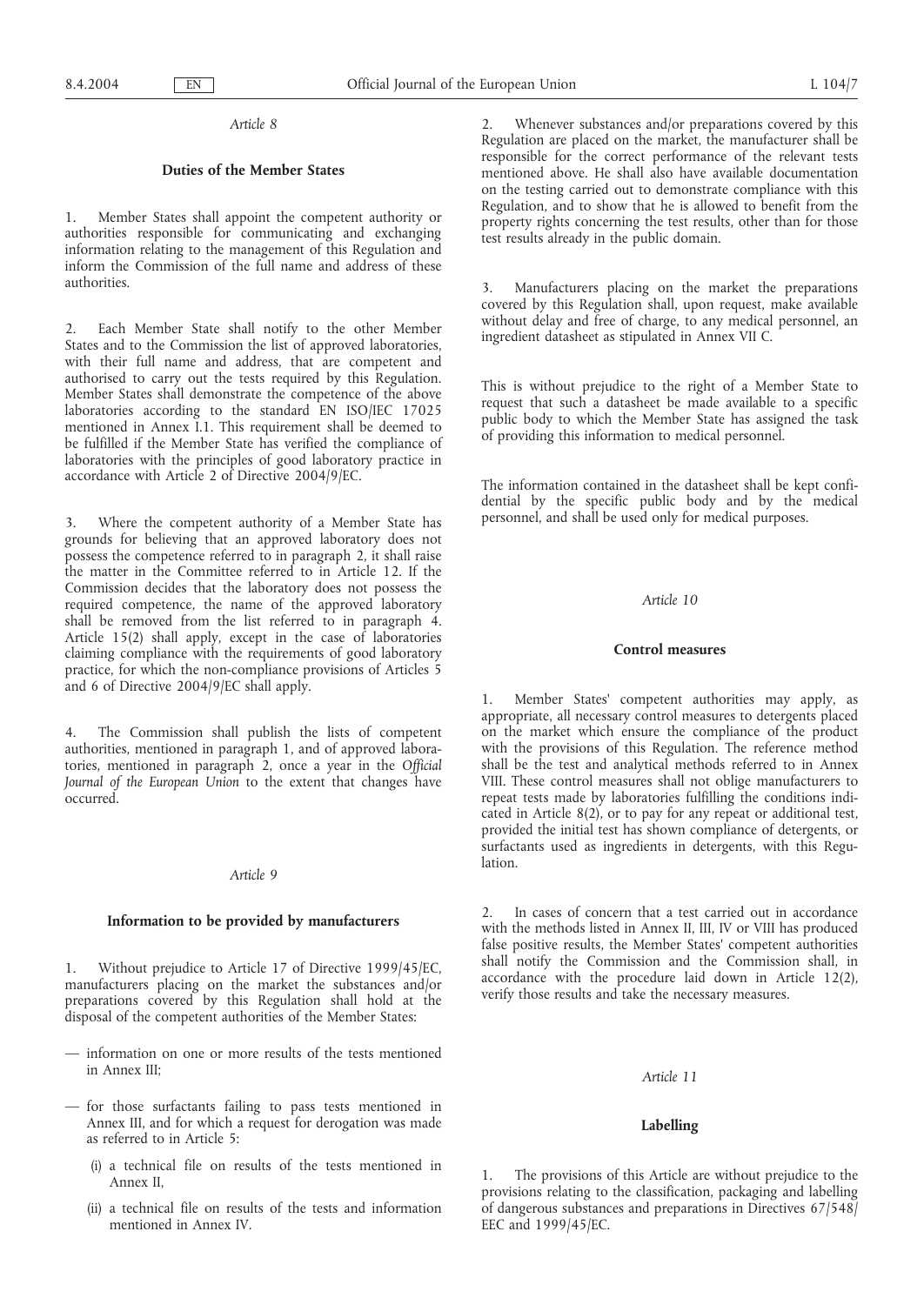### *Article 8*

### **Duties of the Member States**

1. Member States shall appoint the competent authority or authorities responsible for communicating and exchanging information relating to the management of this Regulation and inform the Commission of the full name and address of these authorities.

2. Each Member State shall notify to the other Member States and to the Commission the list of approved laboratories, with their full name and address, that are competent and authorised to carry out the tests required by this Regulation. Member States shall demonstrate the competence of the above laboratories according to the standard EN ISO/IEC 17025 mentioned in Annex I.1. This requirement shall be deemed to be fulfilled if the Member State has verified the compliance of laboratories with the principles of good laboratory practice in accordance with Article 2 of Directive 2004/9/EC.

3. Where the competent authority of a Member State has grounds for believing that an approved laboratory does not possess the competence referred to in paragraph 2, it shall raise the matter in the Committee referred to in Article 12. If the Commission decides that the laboratory does not possess the required competence, the name of the approved laboratory shall be removed from the list referred to in paragraph 4. Article 15(2) shall apply, except in the case of laboratories claiming compliance with the requirements of good laboratory practice, for which the non-compliance provisions of Articles 5 and 6 of Directive 2004/9/EC shall apply.

4. The Commission shall publish the lists of competent authorities, mentioned in paragraph 1, and of approved laboratories, mentioned in paragraph 2, once a year in the *Official Journal of the European Union* to the extent that changes have occurred.

#### *Article 9*

#### **Information to be provided by manufacturers**

1. Without prejudice to Article 17 of Directive 1999/45/EC, manufacturers placing on the market the substances and/or preparations covered by this Regulation shall hold at the disposal of the competent authorities of the Member States:

- information on one or more results of the tests mentioned in Annex III;
- for those surfactants failing to pass tests mentioned in Annex III, and for which a request for derogation was made as referred to in Article 5:
	- (i) a technical file on results of the tests mentioned in Annex II,
	- (ii) a technical file on results of the tests and information mentioned in Annex IV.

2. Whenever substances and/or preparations covered by this Regulation are placed on the market, the manufacturer shall be responsible for the correct performance of the relevant tests mentioned above. He shall also have available documentation on the testing carried out to demonstrate compliance with this Regulation, and to show that he is allowed to benefit from the property rights concerning the test results, other than for those test results already in the public domain.

3. Manufacturers placing on the market the preparations covered by this Regulation shall, upon request, make available without delay and free of charge, to any medical personnel, an ingredient datasheet as stipulated in Annex VII C.

This is without prejudice to the right of a Member State to request that such a datasheet be made available to a specific public body to which the Member State has assigned the task of providing this information to medical personnel.

The information contained in the datasheet shall be kept confidential by the specific public body and by the medical personnel, and shall be used only for medical purposes.

## *Article 10*

#### **Control measures**

Member States' competent authorities may apply, as appropriate, all necessary control measures to detergents placed on the market which ensure the compliance of the product with the provisions of this Regulation. The reference method shall be the test and analytical methods referred to in Annex VIII. These control measures shall not oblige manufacturers to repeat tests made by laboratories fulfilling the conditions indicated in Article 8(2), or to pay for any repeat or additional test, provided the initial test has shown compliance of detergents, or surfactants used as ingredients in detergents, with this Regulation.

2. In cases of concern that a test carried out in accordance with the methods listed in Annex II, III, IV or VIII has produced false positive results, the Member States' competent authorities shall notify the Commission and the Commission shall, in accordance with the procedure laid down in Article 12(2), verify those results and take the necessary measures.

#### *Article 11*

## **Labelling**

1. The provisions of this Article are without prejudice to the provisions relating to the classification, packaging and labelling of dangerous substances and preparations in Directives 67/548/ EEC and 1999/45/EC.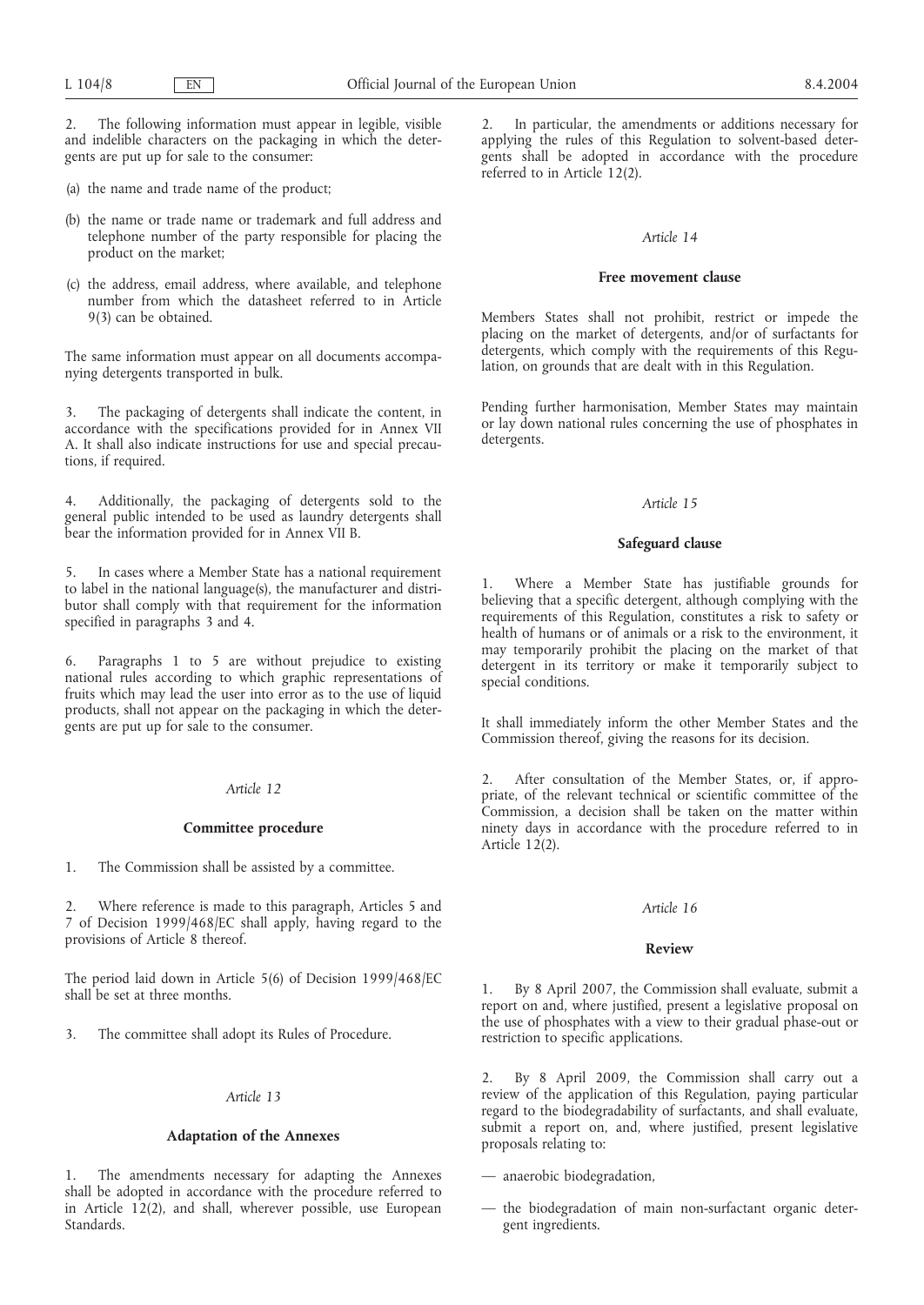2. The following information must appear in legible, visible and indelible characters on the packaging in which the detergents are put up for sale to the consumer:

(a) the name and trade name of the product;

- (b) the name or trade name or trademark and full address and telephone number of the party responsible for placing the product on the market;
- (c) the address, email address, where available, and telephone number from which the datasheet referred to in Article 9(3) can be obtained.

The same information must appear on all documents accompanying detergents transported in bulk.

3. The packaging of detergents shall indicate the content, in accordance with the specifications provided for in Annex VII A. It shall also indicate instructions for use and special precautions, if required.

4. Additionally, the packaging of detergents sold to the general public intended to be used as laundry detergents shall bear the information provided for in Annex VII B.

5. In cases where a Member State has a national requirement to label in the national language(s), the manufacturer and distributor shall comply with that requirement for the information specified in paragraphs 3 and 4.

6. Paragraphs 1 to 5 are without prejudice to existing national rules according to which graphic representations of fruits which may lead the user into error as to the use of liquid products, shall not appear on the packaging in which the detergents are put up for sale to the consumer.

## *Article 12*

#### **Committee procedure**

1. The Commission shall be assisted by a committee.

2. Where reference is made to this paragraph, Articles 5 and 7 of Decision 1999/468/EC shall apply, having regard to the provisions of Article 8 thereof.

The period laid down in Article 5(6) of Decision 1999/468/EC shall be set at three months.

3. The committee shall adopt its Rules of Procedure.

## *Article 13*

## **Adaptation of the Annexes**

1. The amendments necessary for adapting the Annexes shall be adopted in accordance with the procedure referred to in Article 12(2), and shall, wherever possible, use European Standards.

2. In particular, the amendments or additions necessary for applying the rules of this Regulation to solvent-based detergents shall be adopted in accordance with the procedure referred to in Article 12(2).

#### *Article 14*

### **Free movement clause**

Members States shall not prohibit, restrict or impede the placing on the market of detergents, and/or of surfactants for detergents, which comply with the requirements of this Regulation, on grounds that are dealt with in this Regulation.

Pending further harmonisation, Member States may maintain or lay down national rules concerning the use of phosphates in detergents.

### *Article 15*

#### **Safeguard clause**

1. Where a Member State has justifiable grounds for believing that a specific detergent, although complying with the requirements of this Regulation, constitutes a risk to safety or health of humans or of animals or a risk to the environment, it may temporarily prohibit the placing on the market of that detergent in its territory or make it temporarily subject to special conditions.

It shall immediately inform the other Member States and the Commission thereof, giving the reasons for its decision.

2. After consultation of the Member States, or, if appropriate, of the relevant technical or scientific committee of the Commission, a decision shall be taken on the matter within ninety days in accordance with the procedure referred to in Article  $12(2)$ .

#### *Article 16*

### **Review**

1. By 8 April 2007, the Commission shall evaluate, submit a report on and, where justified, present a legislative proposal on the use of phosphates with a view to their gradual phase-out or restriction to specific applications.

2. By 8 April 2009, the Commission shall carry out a review of the application of this Regulation, paying particular regard to the biodegradability of surfactants, and shall evaluate, submit a report on, and, where justified, present legislative proposals relating to:

— anaerobic biodegradation,

— the biodegradation of main non-surfactant organic detergent ingredients.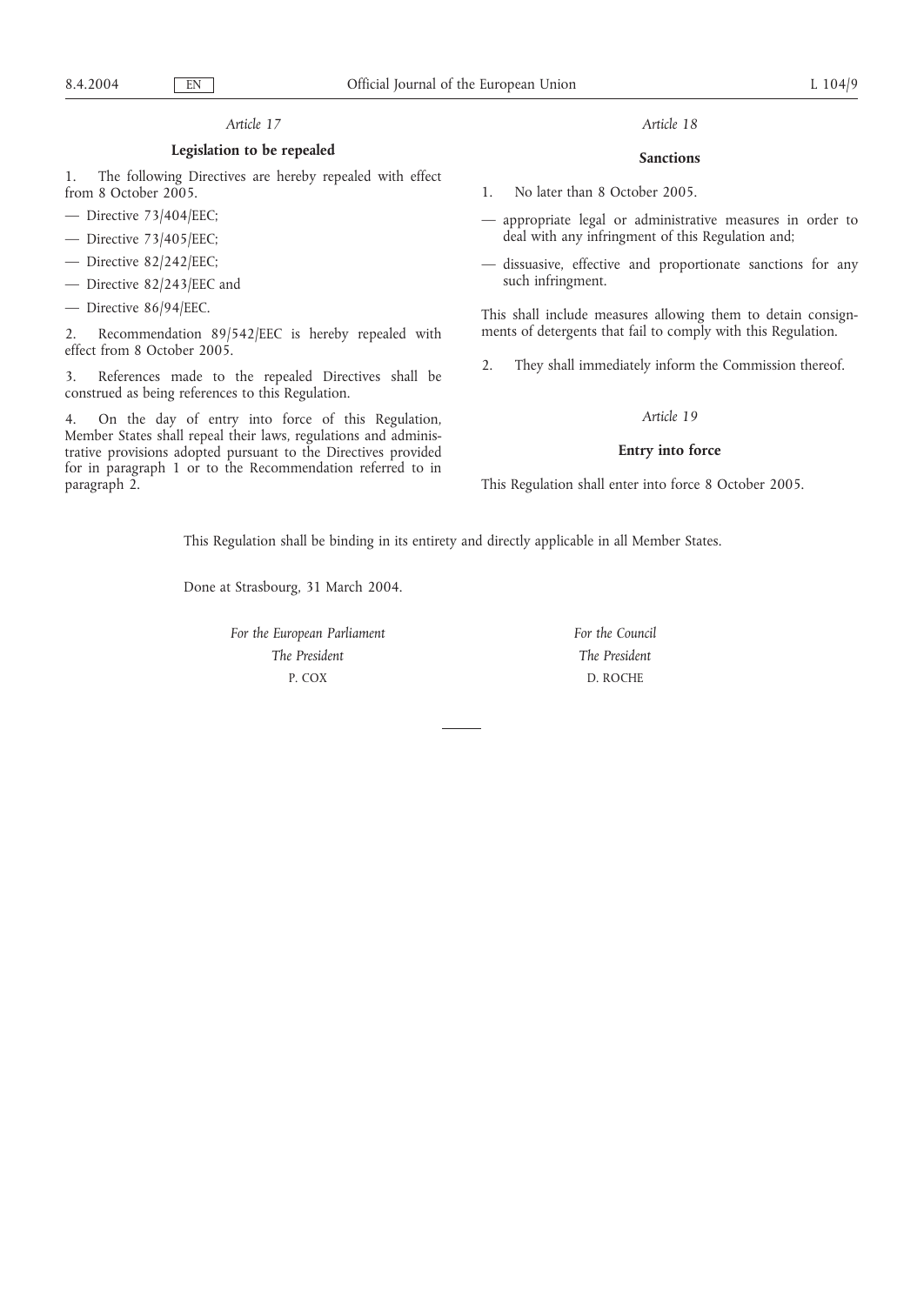## *Article 17*

### **Legislation to be repealed**

1. The following Directives are hereby repealed with effect from 8 October 2005.

- Directive 73/404/EEC;
- Directive 73/405/EEC;
- Directive 82/242/EEC;
- Directive 82/243/EEC and
- Directive 86/94/EEC.

2. Recommendation 89/542/EEC is hereby repealed with effect from 8 October 2005.

3. References made to the repealed Directives shall be construed as being references to this Regulation.

4. On the day of entry into force of this Regulation, Member States shall repeal their laws, regulations and administrative provisions adopted pursuant to the Directives provided for in paragraph 1 or to the Recommendation referred to in paragraph 2.

## *Article 18*

## **Sanctions**

1. No later than 8 October 2005.

- appropriate legal or administrative measures in order to deal with any infringment of this Regulation and;
- dissuasive, effective and proportionate sanctions for any such infringment.

This shall include measures allowing them to detain consignments of detergents that fail to comply with this Regulation.

2. They shall immediately inform the Commission thereof.

## *Article 19*

#### **Entry into force**

This Regulation shall enter into force 8 October 2005.

This Regulation shall be binding in its entirety and directly applicable in all Member States.

Done at Strasbourg, 31 March 2004.

*For the European Parliament The President* P. COX

*For the Council The President* D. ROCHE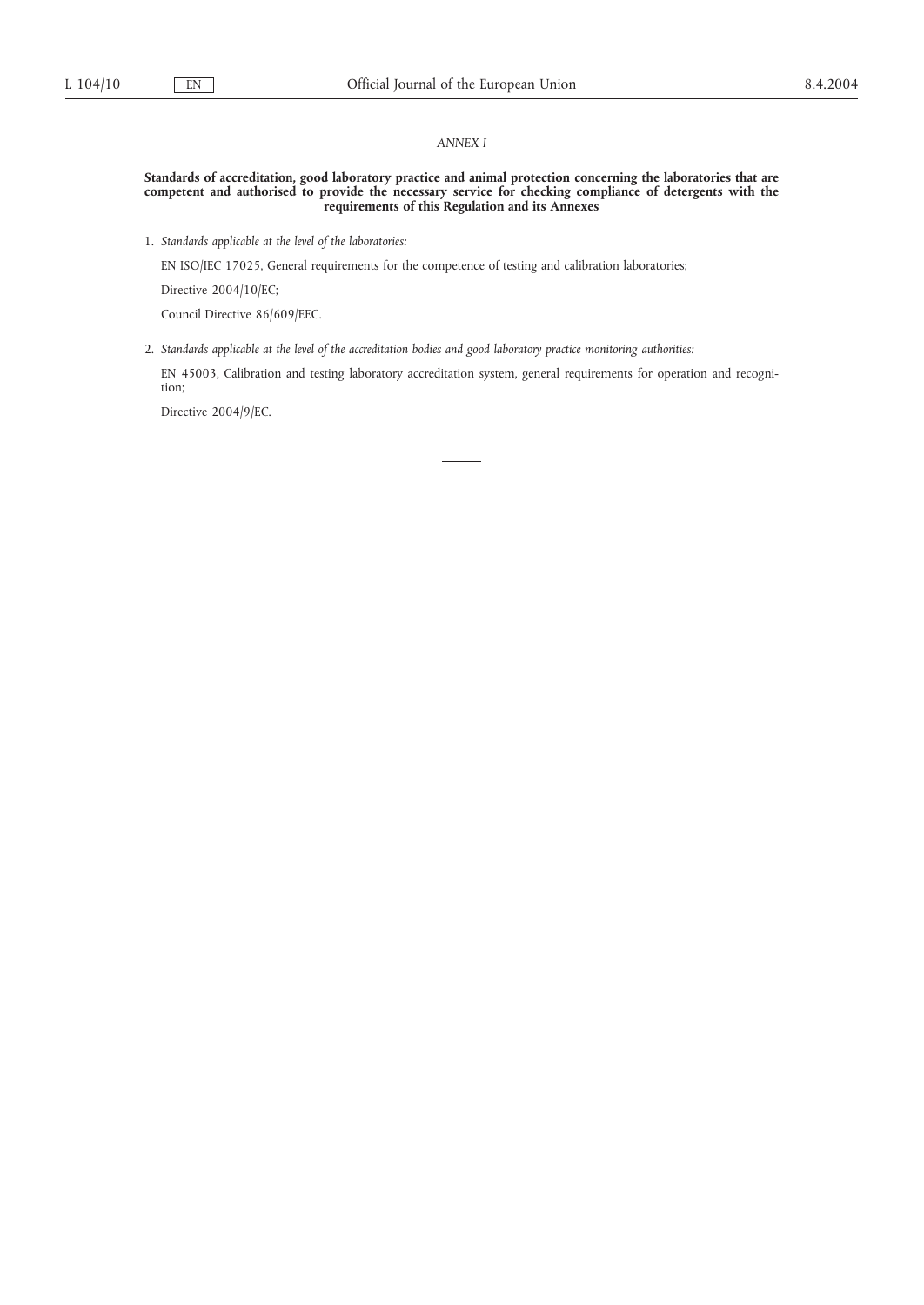### *ANNEX I*

#### **Standards of accreditation, good laboratory practice and animal protection concerning the laboratories that are competent and authorised to provide the necessary service for checking compliance of detergents with the requirements of this Regulation and its Annexes**

1. *Standards applicable at the level of the laboratories:*

EN ISO/IEC 17025, General requirements for the competence of testing and calibration laboratories;

Directive 2004/10/EC;

Council Directive 86/609/EEC.

2. *Standards applicable at the level of the accreditation bodies and good laboratory practice monitoring authorities:*

EN 45003, Calibration and testing laboratory accreditation system, general requirements for operation and recognition;

Directive 2004/9/EC.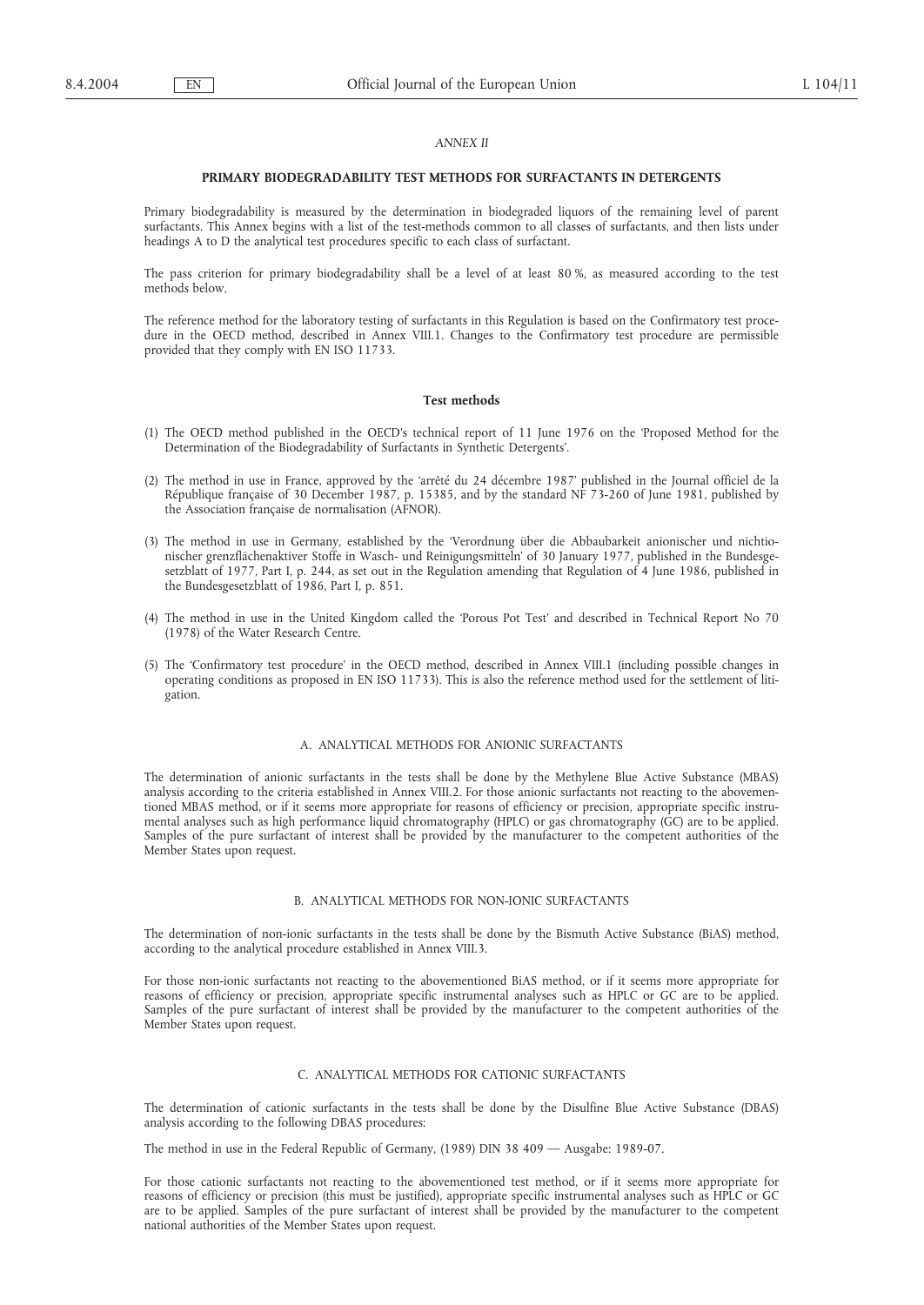### *ANNEX II*

#### **PRIMARY BIODEGRADABILITY TEST METHODS FOR SURFACTANTS IN DETERGENTS**

Primary biodegradability is measured by the determination in biodegraded liquors of the remaining level of parent surfactants. This Annex begins with a list of the test-methods common to all classes of surfactants, and then lists under headings A to D the analytical test procedures specific to each class of surfactant.

The pass criterion for primary biodegradability shall be a level of at least 80 %, as measured according to the test methods below.

The reference method for the laboratory testing of surfactants in this Regulation is based on the Confirmatory test procedure in the OECD method, described in Annex VIII.1. Changes to the Confirmatory test procedure are permissible provided that they comply with EN ISO 11733.

### **Test methods**

- (1) The OECD method published in the OECD's technical report of 11 June 1976 on the 'Proposed Method for the Determination of the Biodegradability of Surfactants in Synthetic Detergents'.
- (2) The method in use in France, approved by the 'arrêté du 24 décembre 1987' published in the Journal officiel de la République française of 30 December 1987, p. 15385, and by the standard NF 73-260 of June 1981, published by the Association française de normalisation (AFNOR).
- (3) The method in use in Germany, established by the 'Verordnung über die Abbaubarkeit anionischer und nichtionischer grenzflächenaktiver Stoffe in Wasch- und Reinigungsmitteln' of 30 January 1977, published in the Bundesgesetzblatt of 1977, Part I, p. 244, as set out in the Regulation amending that Regulation of 4 June 1986, published in the Bundesgesetzblatt of 1986, Part I, p. 851.
- (4) The method in use in the United Kingdom called the 'Porous Pot Test' and described in Technical Report No 70 (1978) of the Water Research Centre.
- (5) The 'Confirmatory test procedure' in the OECD method, described in Annex VIII.1 (including possible changes in operating conditions as proposed in EN ISO 11733). This is also the reference method used for the settlement of litigation.

### A. ANALYTICAL METHODS FOR ANIONIC SURFACTANTS

The determination of anionic surfactants in the tests shall be done by the Methylene Blue Active Substance (MBAS) analysis according to the criteria established in Annex VIII.2. For those anionic surfactants not reacting to the abovementioned MBAS method, or if it seems more appropriate for reasons of efficiency or precision, appropriate specific instrumental analyses such as high performance liquid chromatography (HPLC) or gas chromatography (GC) are to be applied. Samples of the pure surfactant of interest shall be provided by the manufacturer to the competent authorities of the Member States upon request.

#### B. ANALYTICAL METHODS FOR NON-IONIC SURFACTANTS

The determination of non-ionic surfactants in the tests shall be done by the Bismuth Active Substance (BiAS) method, according to the analytical procedure established in Annex VIII.3.

For those non-ionic surfactants not reacting to the abovementioned BiAS method, or if it seems more appropriate for reasons of efficiency or precision, appropriate specific instrumental analyses such as HPLC or GC are to be applied. Samples of the pure surfactant of interest shall be provided by the manufacturer to the competent authorities of the Member States upon request.

### C. ANALYTICAL METHODS FOR CATIONIC SURFACTANTS

The determination of cationic surfactants in the tests shall be done by the Disulfine Blue Active Substance (DBAS) analysis according to the following DBAS procedures:

The method in use in the Federal Republic of Germany, (1989) DIN 38 409 — Ausgabe: 1989-07.

For those cationic surfactants not reacting to the abovementioned test method, or if it seems more appropriate for reasons of efficiency or precision (this must be justified), appropriate specific instrumental analyses such as HPLC or GC are to be applied. Samples of the pure surfactant of interest shall be provided by the manufacturer to the competent national authorities of the Member States upon request.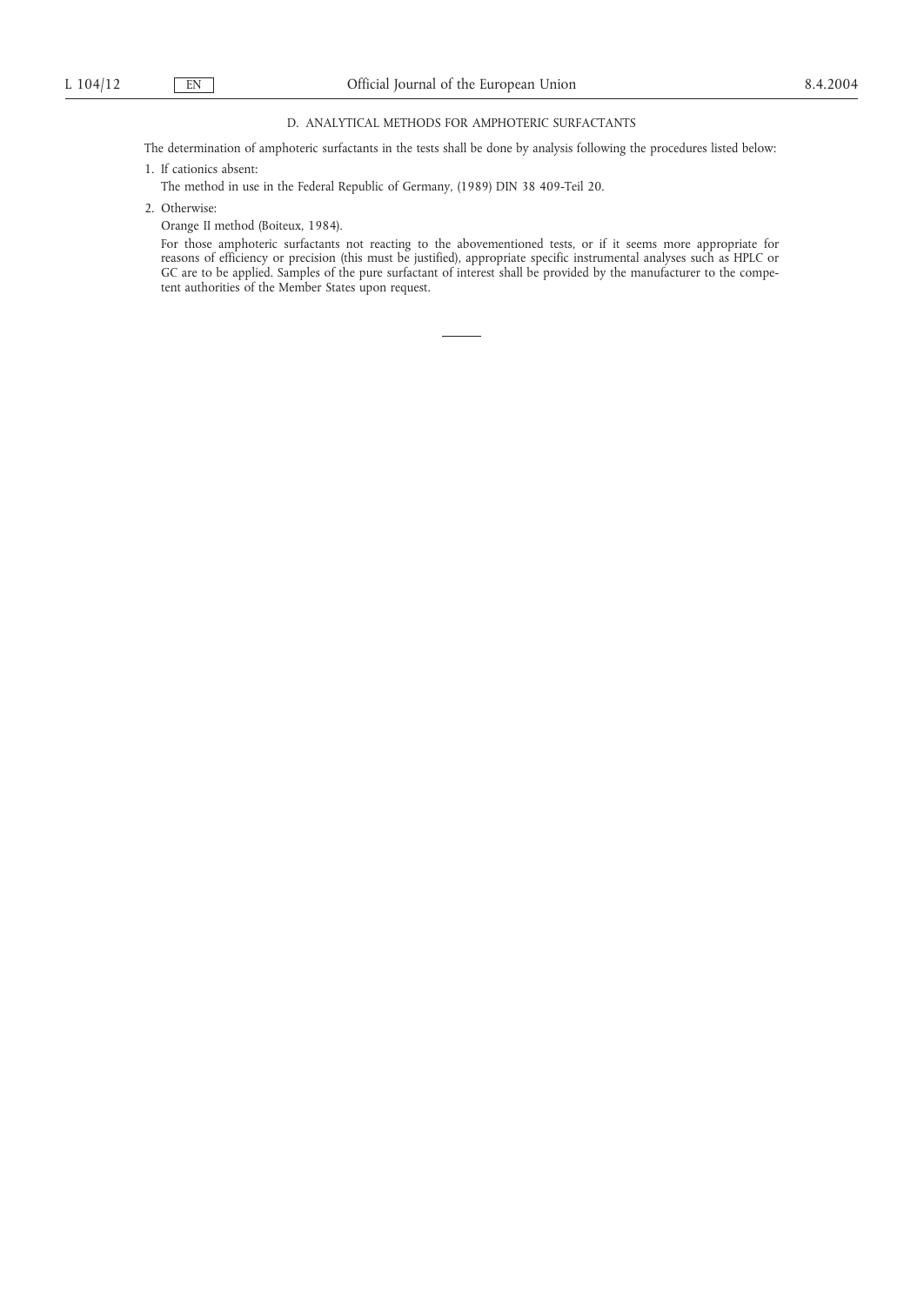## D. ANALYTICAL METHODS FOR AMPHOTERIC SURFACTANTS

The determination of amphoteric surfactants in the tests shall be done by analysis following the procedures listed below:

- 1. If cationics absent:
- The method in use in the Federal Republic of Germany, (1989) DIN 38 409-Teil 20.
- 2. Otherwise:
	- Orange II method (Boiteux, 1984).

For those amphoteric surfactants not reacting to the abovementioned tests, or if it seems more appropriate for reasons of efficiency or precision (this must be justified), appropriate specific instrumental analyses such as HPLC or GC are to be applied. Samples of the pure surfactant of interest shall be provided by the manufacturer to the competent authorities of the Member States upon request.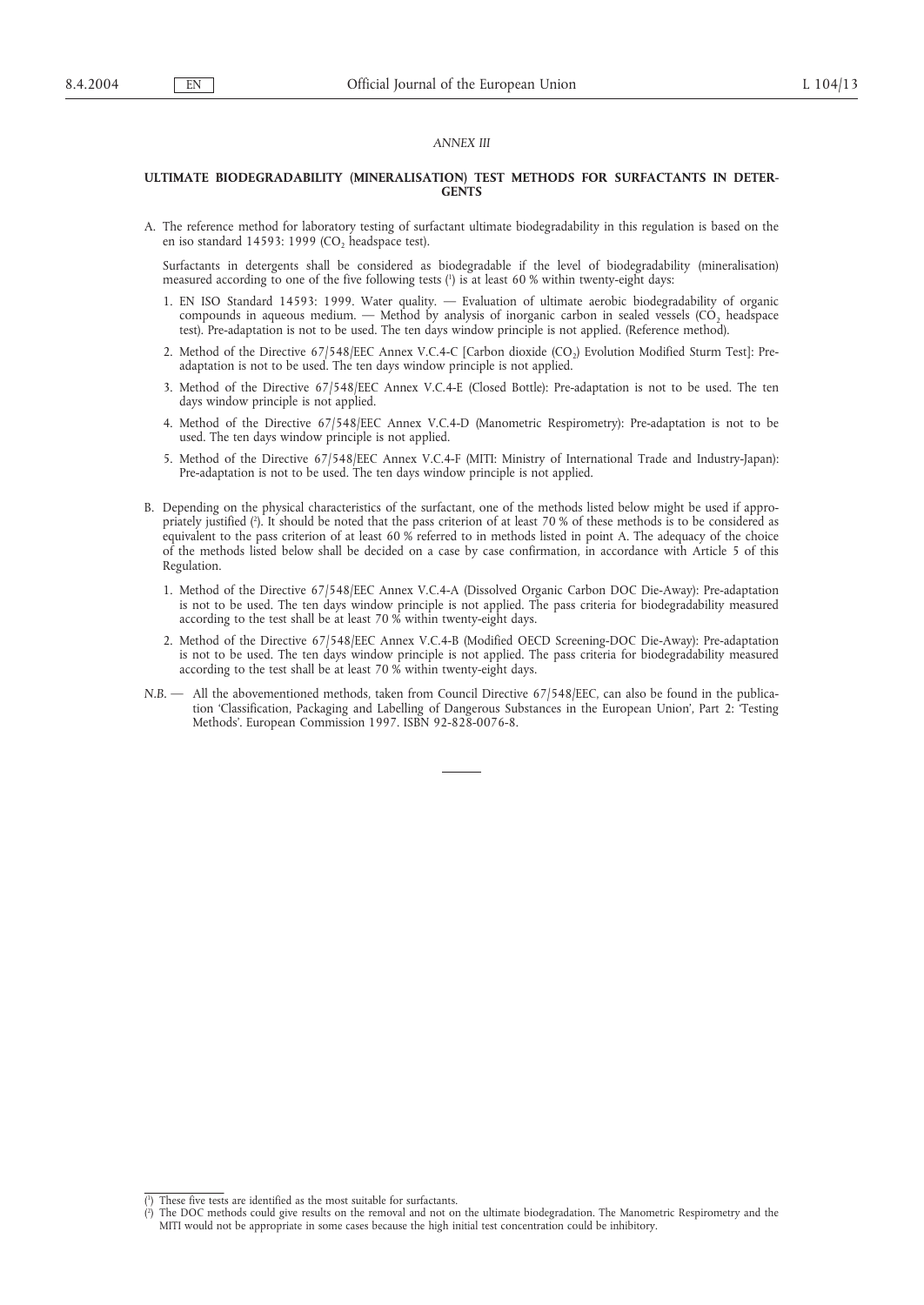## *ANNEX III*

#### **ULTIMATE BIODEGRADABILITY (MINERALISATION) TEST METHODS FOR SURFACTANTS IN DETER-GENTS**

A. The reference method for laboratory testing of surfactant ultimate biodegradability in this regulation is based on the en iso standard 14593: 1999 ( $CO<sub>2</sub>$  headspace test).

Surfactants in detergents shall be considered as biodegradable if the level of biodegradability (mineralisation) measured according to one of the five following tests (1 ) is at least 60 % within twenty-eight days:

- 1. EN ISO Standard 14593: 1999. Water quality. Evaluation of ultimate aerobic biodegradability of organic compounds in aqueous medium. — Method by analysis of inorganic carbon in sealed vessels (CO<sub>2</sub> headspace test). Pre-adaptation is not to be used. The ten days window principle is not applied. (Reference method).
- 2. Method of the Directive 67/548/EEC Annex V.C.4-C [Carbon dioxide (CO<sub>2</sub>) Evolution Modified Sturm Test]: Preadaptation is not to be used. The ten days window principle is not applied.
- 3. Method of the Directive 67/548/EEC Annex V.C.4-E (Closed Bottle): Pre-adaptation is not to be used. The ten days window principle is not applied.
- 4. Method of the Directive 67/548/EEC Annex V.C.4-D (Manometric Respirometry): Pre-adaptation is not to be used. The ten days window principle is not applied.
- 5. Method of the Directive 67/548/EEC Annex V.C.4-F (MITI: Ministry of International Trade and Industry-Japan): Pre-adaptation is not to be used. The ten days window principle is not applied.
- B. Depending on the physical characteristics of the surfactant, one of the methods listed below might be used if appropriately justified (2 ). It should be noted that the pass criterion of at least 70 % of these methods is to be considered as equivalent to the pass criterion of at least 60 % referred to in methods listed in point A. The adequacy of the choice of the methods listed below shall be decided on a case by case confirmation, in accordance with Article 5 of this Regulation.
	- 1. Method of the Directive 67/548/EEC Annex V.C.4-A (Dissolved Organic Carbon DOC Die-Away): Pre-adaptation is not to be used. The ten days window principle is not applied. The pass criteria for biodegradability measured according to the test shall be at least 70 % within twenty-eight days.
	- 2. Method of the Directive 67/548/EEC Annex V.C.4-B (Modified OECD Screening-DOC Die-Away): Pre-adaptation is not to be used. The ten days window principle is not applied. The pass criteria for biodegradability measured according to the test shall be at least 70 % within twenty-eight days.
- *N.B.* All the abovementioned methods, taken from Council Directive 67/548/EEC, can also be found in the publication 'Classification, Packaging and Labelling of Dangerous Substances in the European Union', Part 2: 'Testing Methods'. European Commission 1997. ISBN 92-828-0076-8.

<sup>(</sup> 1 ) These five tests are identified as the most suitable for surfactants.

<sup>(</sup> 2 ) The DOC methods could give results on the removal and not on the ultimate biodegradation. The Manometric Respirometry and the MITI would not be appropriate in some cases because the high initial test concentration could be inhibitory.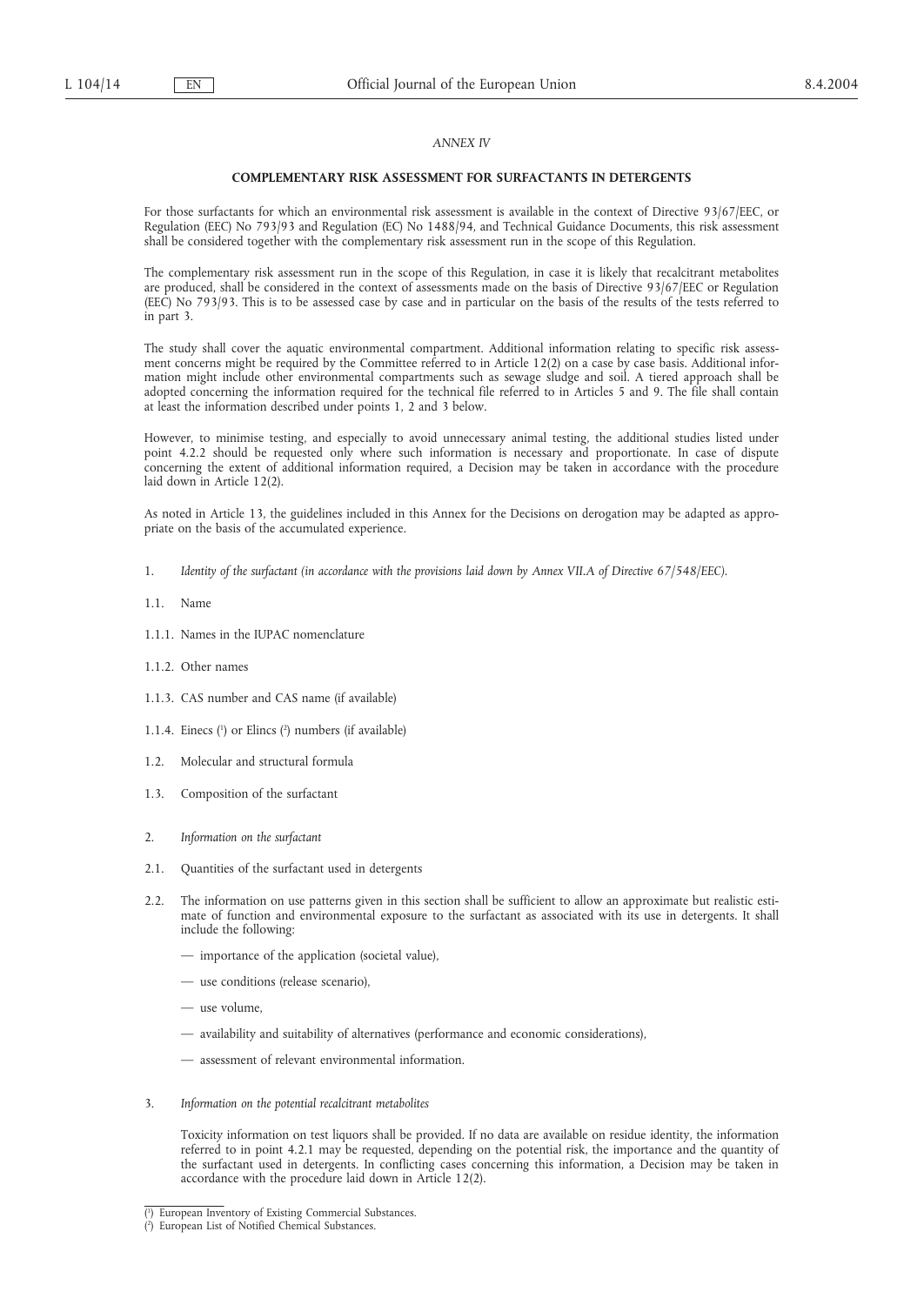### *ANNEX IV*

#### **COMPLEMENTARY RISK ASSESSMENT FOR SURFACTANTS IN DETERGENTS**

For those surfactants for which an environmental risk assessment is available in the context of Directive 93/67/EEC, or Regulation (EEC) No 793/93 and Regulation (EC) No 1488/94, and Technical Guidance Documents, this risk assessment shall be considered together with the complementary risk assessment run in the scope of this Regulation.

The complementary risk assessment run in the scope of this Regulation, in case it is likely that recalcitrant metabolites are produced, shall be considered in the context of assessments made on the basis of Directive 93/67/EEC or Regulation (EEC) No 793/93. This is to be assessed case by case and in particular on the basis of the results of the tests referred to in part 3.

The study shall cover the aquatic environmental compartment. Additional information relating to specific risk assessment concerns might be required by the Committee referred to in Article 12(2) on a case by case basis. Additional information might include other environmental compartments such as sewage sludge and soil. A tiered approach shall be adopted concerning the information required for the technical file referred to in Articles 5 and 9. The file shall contain at least the information described under points 1, 2 and 3 below.

However, to minimise testing, and especially to avoid unnecessary animal testing, the additional studies listed under point 4.2.2 should be requested only where such information is necessary and proportionate. In case of dispute concerning the extent of additional information required, a Decision may be taken in accordance with the procedure laid down in Article 12(2).

As noted in Article 13, the guidelines included in this Annex for the Decisions on derogation may be adapted as appropriate on the basis of the accumulated experience.

- 1. *Identity of the surfactant (in accordance with the provisions laid down by Annex VII.A of Directive 67/548/EEC).*
- 1.1. Name
- 1.1.1. Names in the IUPAC nomenclature
- 1.1.2. Other names
- 1.1.3. CAS number and CAS name (if available)
- 1.1.4. Einecs  $(1)$  or Elincs  $(2)$  numbers (if available)
- 1.2. Molecular and structural formula
- 1.3. Composition of the surfactant
- 2. *Information on the surfactant*
- 2.1. Quantities of the surfactant used in detergents
- 2.2. The information on use patterns given in this section shall be sufficient to allow an approximate but realistic estimate of function and environmental exposure to the surfactant as associated with its use in detergents. It shall include the following:
	- importance of the application (societal value),
	- use conditions (release scenario),
	- use volume,
	- availability and suitability of alternatives (performance and economic considerations),
	- assessment of relevant environmental information.
- 3. *Information on the potential recalcitrant metabolites*

Toxicity information on test liquors shall be provided. If no data are available on residue identity, the information referred to in point 4.2.1 may be requested, depending on the potential risk, the importance and the quantity of the surfactant used in detergents. In conflicting cases concerning this information, a Decision may be taken in accordance with the procedure laid down in Article 12(2).

<sup>(</sup> 1 ) European Inventory of Existing Commercial Substances.

<sup>(</sup> 2 ) European List of Notified Chemical Substances.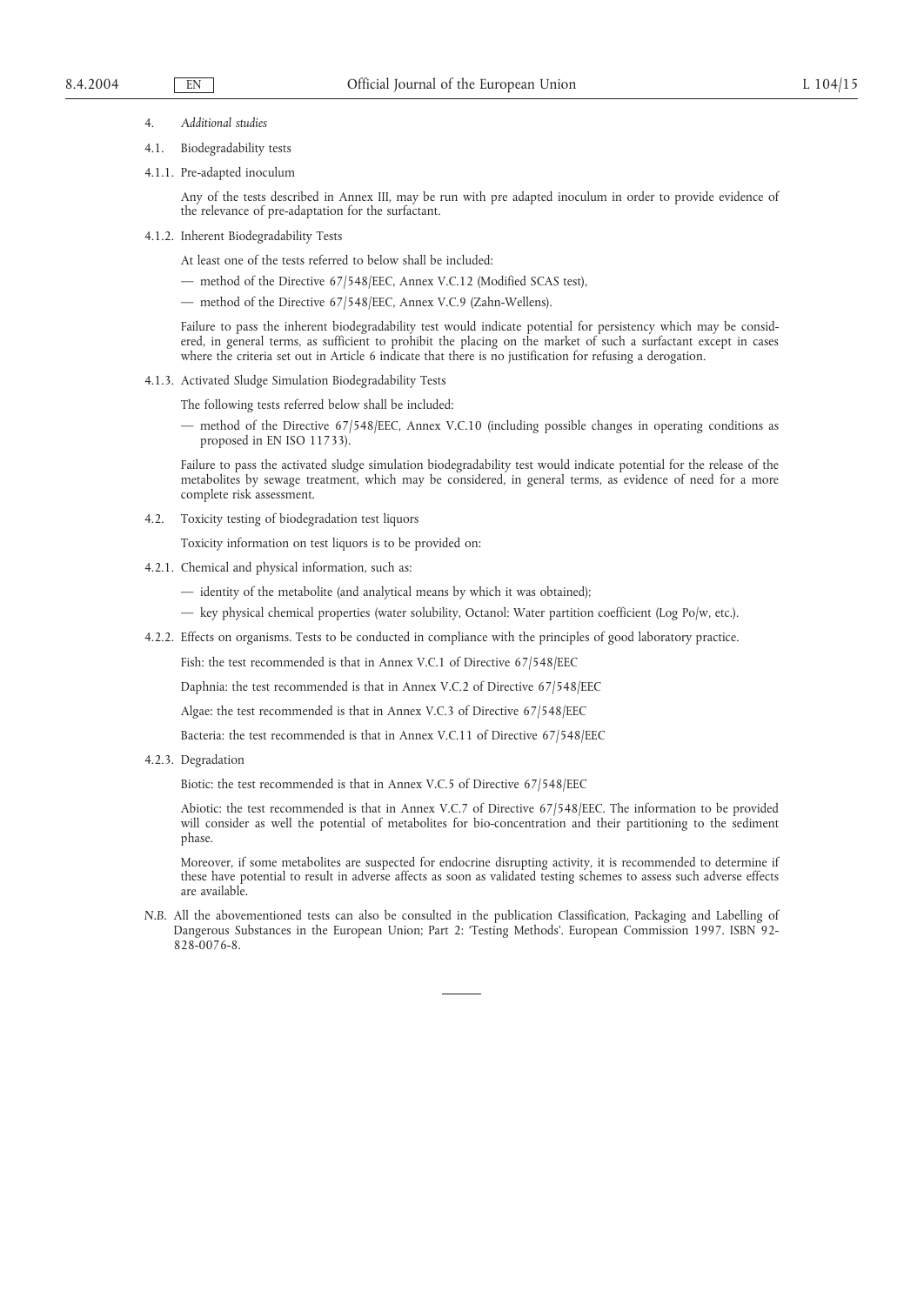- 4. *Additional studies*
- 4.1. Biodegradability tests
- 4.1.1. Pre-adapted inoculum

Any of the tests described in Annex III, may be run with pre adapted inoculum in order to provide evidence of the relevance of pre-adaptation for the surfactant.

4.1.2. Inherent Biodegradability Tests

At least one of the tests referred to below shall be included:

- method of the Directive 67/548/EEC, Annex V.C.12 (Modified SCAS test),
- method of the Directive 67/548/EEC, Annex V.C.9 (Zahn-Wellens).

Failure to pass the inherent biodegradability test would indicate potential for persistency which may be considered, in general terms, as sufficient to prohibit the placing on the market of such a surfactant except in cases where the criteria set out in Article 6 indicate that there is no justification for refusing a derogation.

- 4.1.3. Activated Sludge Simulation Biodegradability Tests
	- The following tests referred below shall be included:
		- method of the Directive 67/548/EEC, Annex V.C.10 (including possible changes in operating conditions as proposed in EN ISO 11733).

Failure to pass the activated sludge simulation biodegradability test would indicate potential for the release of the metabolites by sewage treatment, which may be considered, in general terms, as evidence of need for a more complete risk assessment.

- 4.2. Toxicity testing of biodegradation test liquors
	- Toxicity information on test liquors is to be provided on:
- 4.2.1. Chemical and physical information, such as:
	- identity of the metabolite (and analytical means by which it was obtained);
	- key physical chemical properties (water solubility, Octanol: Water partition coefficient (Log Po/w, etc.).
- 4.2.2. Effects on organisms. Tests to be conducted in compliance with the principles of good laboratory practice.

Fish: the test recommended is that in Annex V.C.1 of Directive 67/548/EEC

Daphnia: the test recommended is that in Annex V.C.2 of Directive 67/548/EEC

Algae: the test recommended is that in Annex V.C.3 of Directive 67/548/EEC

Bacteria: the test recommended is that in Annex V.C.11 of Directive 67/548/EEC

4.2.3. Degradation

Biotic: the test recommended is that in Annex V.C.5 of Directive 67/548/EEC

Abiotic: the test recommended is that in Annex V.C.7 of Directive 67/548/EEC. The information to be provided will consider as well the potential of metabolites for bio-concentration and their partitioning to the sediment phase.

Moreover, if some metabolites are suspected for endocrine disrupting activity, it is recommended to determine if these have potential to result in adverse affects as soon as validated testing schemes to assess such adverse effects are available.

*N.B.* All the abovementioned tests can also be consulted in the publication Classification, Packaging and Labelling of Dangerous Substances in the European Union; Part 2: 'Testing Methods'. European Commission 1997. ISBN 92- 828-0076-8.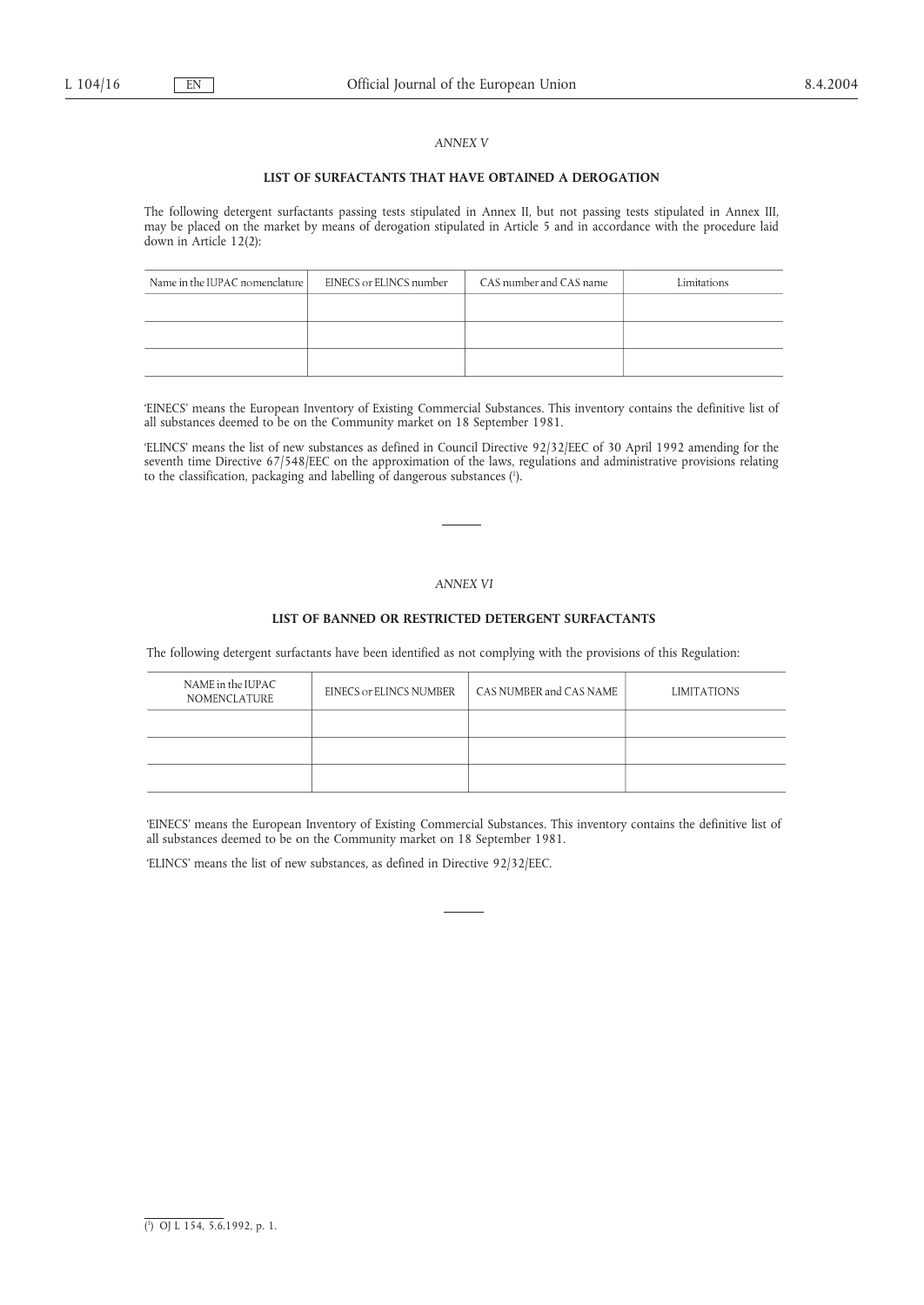### *ANNEX V*

#### **LIST OF SURFACTANTS THAT HAVE OBTAINED A DEROGATION**

The following detergent surfactants passing tests stipulated in Annex II, but not passing tests stipulated in Annex III, may be placed on the market by means of derogation stipulated in Article 5 and in accordance with the procedure laid down in Article 12(2):

| Name in the IUPAC nomenclature | EINECS or ELINCS number | CAS number and CAS name | Limitations |
|--------------------------------|-------------------------|-------------------------|-------------|
|                                |                         |                         |             |
|                                |                         |                         |             |
|                                |                         |                         |             |

'EINECS' means the European Inventory of Existing Commercial Substances. This inventory contains the definitive list of all substances deemed to be on the Community market on 18 September 1981.

'ELINCS' means the list of new substances as defined in Council Directive 92/32/EEC of 30 April 1992 amending for the seventh time Directive 67/548/EEC on the approximation of the laws, regulations and administrative provisions relating to the classification, packaging and labelling of dangerous substances (1 ).

## *ANNEX VI*

## **LIST OF BANNED OR RESTRICTED DETERGENT SURFACTANTS**

The following detergent surfactants have been identified as not complying with the provisions of this Regulation:

| NAME in the IUPAC<br><b>NOMENCLATURE</b> | EINECS or ELINCS NUMBER | CAS NUMBER and CAS NAME | <b>LIMITATIONS</b> |
|------------------------------------------|-------------------------|-------------------------|--------------------|
|                                          |                         |                         |                    |
|                                          |                         |                         |                    |
|                                          |                         |                         |                    |

'EINECS' means the European Inventory of Existing Commercial Substances. This inventory contains the definitive list of all substances deemed to be on the Community market on 18 September 1981.

'ELINCS' means the list of new substances, as defined in Directive 92/32/EEC.

<sup>(</sup> 1 ) OJ L 154, 5.6.1992, p. 1.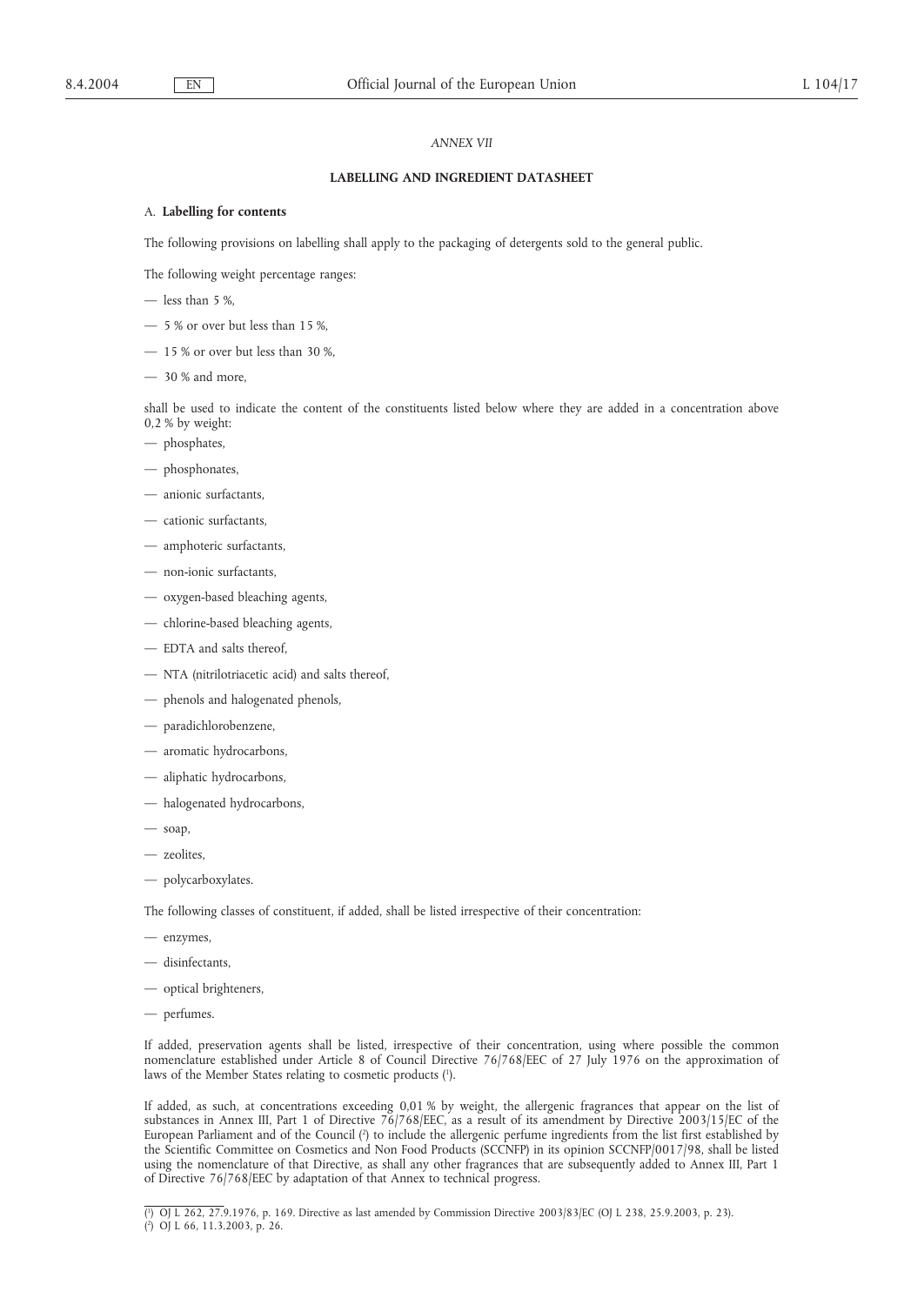### *ANNEX VII*

#### **LABELLING AND INGREDIENT DATASHEET**

## A. **Labelling for contents**

The following provisions on labelling shall apply to the packaging of detergents sold to the general public.

The following weight percentage ranges:

- less than 5 %,
- 5 % or over but less than 15 %,
- 15 % or over but less than 30 %,
- 30 % and more,

shall be used to indicate the content of the constituents listed below where they are added in a concentration above 0,2 % by weight:

- phosphates,
- phosphonates,
- anionic surfactants,
- cationic surfactants,
- amphoteric surfactants,
- non-ionic surfactants,
- oxygen-based bleaching agents,
- chlorine-based bleaching agents,
- EDTA and salts thereof,
- NTA (nitrilotriacetic acid) and salts thereof,
- phenols and halogenated phenols,
- paradichlorobenzene,
- aromatic hydrocarbons,
- aliphatic hydrocarbons,
- halogenated hydrocarbons,
- soap,
- zeolites,
- polycarboxylates.

The following classes of constituent, if added, shall be listed irrespective of their concentration:

- enzymes,
- disinfectants,
- optical brighteners,
- perfumes.

If added, preservation agents shall be listed, irrespective of their concentration, using where possible the common nomenclature established under Article 8 of Council Directive 76/768/EEC of 27 July 1976 on the approximation of laws of the Member States relating to cosmetic products (1).

If added, as such, at concentrations exceeding 0,01 % by weight, the allergenic fragrances that appear on the list of substances in Annex III, Part 1 of Directive 76/768/EEC, as a result of its amendment by Directive 2003/15/EC of the European Parliament and of the Council (?) to include the allergenic perfume ingredients from the list first established by the Scientific Committee on Cosmetics and Non Food Products (SCCNFP) in its opinion SCCNFP/0017/98, shall be listed using the nomenclature of that Directive, as shall any other fragrances that are subsequently added to Annex III, Part 1 of Directive 76/768/EEC by adaptation of that Annex to technical progress.

( 1 ) OJ L 262, 27.9.1976, p. 169. Directive as last amended by Commission Directive 2003/83/EC (OJ L 238, 25.9.2003, p. 23). ( 2 ) OJ L 66, 11.3.2003, p. 26.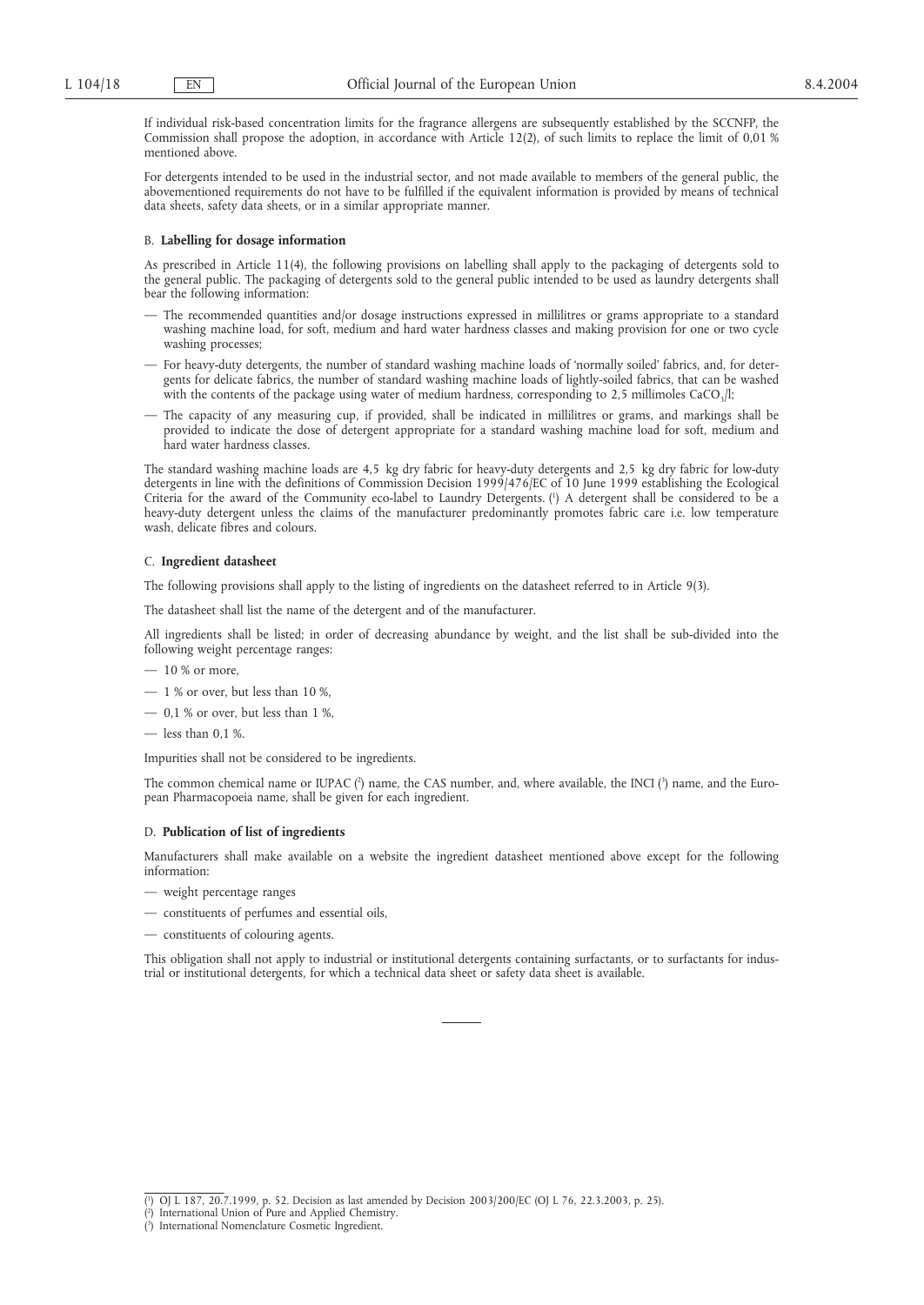If individual risk-based concentration limits for the fragrance allergens are subsequently established by the SCCNFP, the Commission shall propose the adoption, in accordance with Article 12(2), of such limits to replace the limit of 0,01 % mentioned above.

For detergents intended to be used in the industrial sector, and not made available to members of the general public, the abovementioned requirements do not have to be fulfilled if the equivalent information is provided by means of technical data sheets, safety data sheets, or in a similar appropriate manner.

#### B. **Labelling for dosage information**

As prescribed in Article 11(4), the following provisions on labelling shall apply to the packaging of detergents sold to the general public. The packaging of detergents sold to the general public intended to be used as laundry detergents shall bear the following information:

- The recommended quantities and/or dosage instructions expressed in millilitres or grams appropriate to a standard washing machine load, for soft, medium and hard water hardness classes and making provision for one or two cycle washing processes:
- For heavy-duty detergents, the number of standard washing machine loads of 'normally soiled' fabrics, and, for detergents for delicate fabrics, the number of standard washing machine loads of lightly-soiled fabrics, that can be washed with the contents of the package using water of medium hardness, corresponding to 2,5 millimoles CaCO<sub>3</sub>/l;
- The capacity of any measuring cup, if provided, shall be indicated in millilitres or grams, and markings shall be provided to indicate the dose of detergent appropriate for a standard washing machine load for soft, medium and hard water hardness classes.

The standard washing machine loads are 4,5 kg dry fabric for heavy-duty detergents and 2,5 kg dry fabric for low-duty detergents in line with the definitions of Commission Decision 1999/476/EC of 10 June 1999 establishing the Ecological Criteria for the award of the Community eco-label to Laundry Detergents. (1 ) A detergent shall be considered to be a heavy-duty detergent unless the claims of the manufacturer predominantly promotes fabric care i.e. low temperature wash, delicate fibres and colours.

#### C. **Ingredient datasheet**

The following provisions shall apply to the listing of ingredients on the datasheet referred to in Article 9(3).

The datasheet shall list the name of the detergent and of the manufacturer.

All ingredients shall be listed; in order of decreasing abundance by weight, and the list shall be sub-divided into the following weight percentage ranges:

- $-10\%$  or more,
- $-1\%$  or over, but less than 10%,
- $-$  0,1 % or over, but less than 1 %,
- less than 0,1 %.

Impurities shall not be considered to be ingredients.

The common chemical name or IUPAC (?) name, the CAS number, and, where available, the INCI (?) name, and the European Pharmacopoeia name, shall be given for each ingredient.

#### D. **Publication of list of ingredients**

Manufacturers shall make available on a website the ingredient datasheet mentioned above except for the following information:

- weight percentage ranges
- constituents of perfumes and essential oils,
- constituents of colouring agents.

This obligation shall not apply to industrial or institutional detergents containing surfactants, or to surfactants for industrial or institutional detergents, for which a technical data sheet or safety data sheet is available.

<sup>(</sup> 1 ) OJ L 187, 20.7.1999, p. 52. Decision as last amended by Decision 2003/200/EC (OJ L 76, 22.3.2003, p. 25).

<sup>(</sup> 2 ) International Union of Pure and Applied Chemistry. ( 3 ) International Nomenclature Cosmetic Ingredient.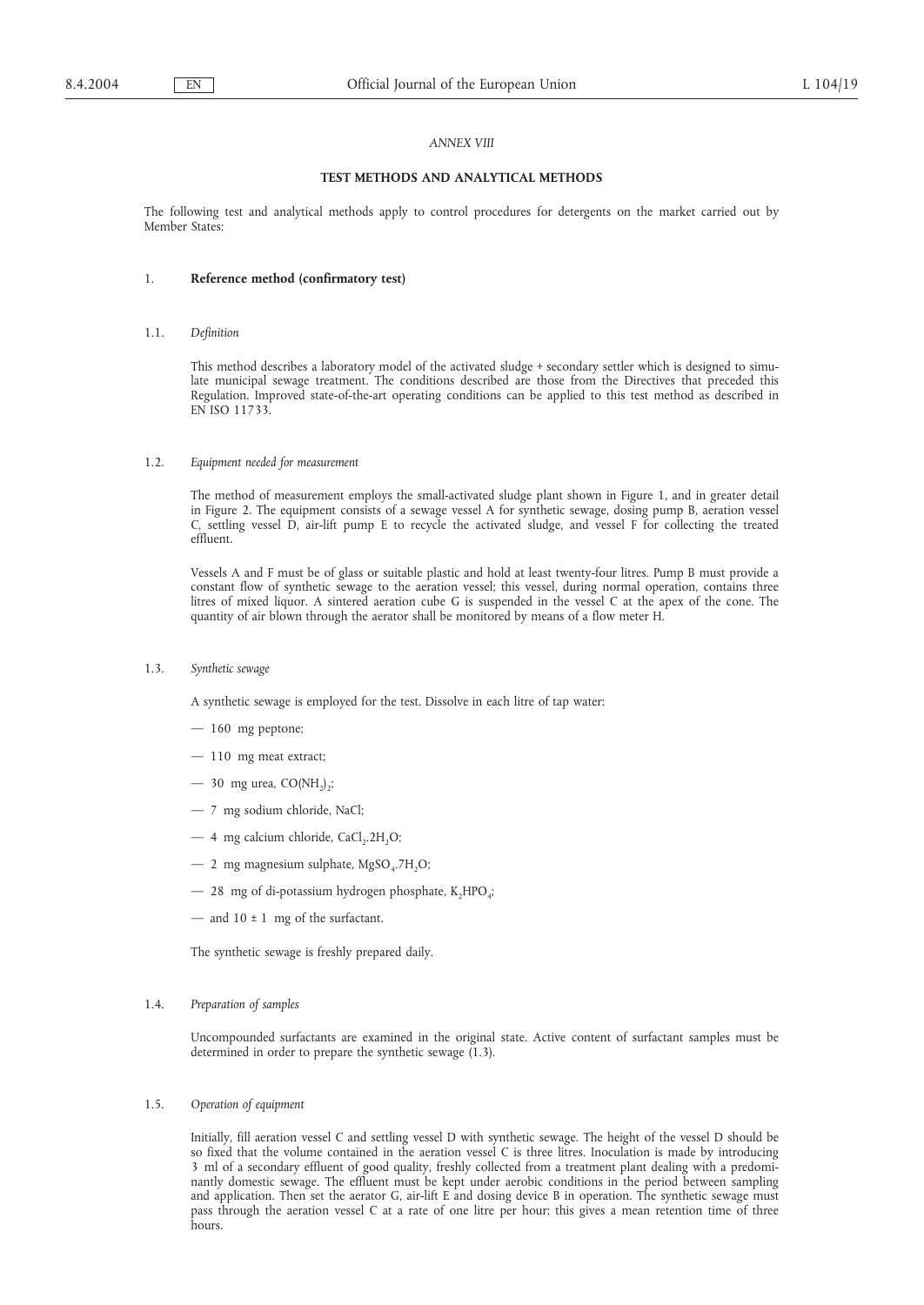### *ANNEX VIII*

#### **TEST METHODS AND ANALYTICAL METHODS**

The following test and analytical methods apply to control procedures for detergents on the market carried out by Member States:

### 1. **Reference method (confirmatory test)**

1.1. *Definition*

This method describes a laboratory model of the activated sludge + secondary settler which is designed to simulate municipal sewage treatment. The conditions described are those from the Directives that preceded this Regulation. Improved state-of-the-art operating conditions can be applied to this test method as described in EN ISO 11733.

#### 1.2. *Equipment needed for measurement*

The method of measurement employs the small-activated sludge plant shown in Figure 1, and in greater detail in Figure 2. The equipment consists of a sewage vessel A for synthetic sewage, dosing pump B, aeration vessel C, settling vessel D, air-lift pump E to recycle the activated sludge, and vessel F for collecting the treated effluent.

Vessels A and F must be of glass or suitable plastic and hold at least twenty-four litres. Pump B must provide a constant flow of synthetic sewage to the aeration vessel; this vessel, during normal operation, contains three litres of mixed liquor. A sintered aeration cube G is suspended in the vessel C at the apex of the cone. The quantity of air blown through the aerator shall be monitored by means of a flow meter H.

1.3. *Synthetic sewage*

A synthetic sewage is employed for the test. Dissolve in each litre of tap water:

- 160 mg peptone;
- 110 mg meat extract;
- $-$  30 mg urea, CO(NH<sub>2</sub>)<sub>2</sub>;
- 7 mg sodium chloride, NaCl;
- $-4$  mg calcium chloride, CaCl<sub>2</sub>.2H<sub>2</sub>O;
- $-$  2 mg magnesium sulphate, MgSO<sub>4</sub>.7H<sub>2</sub>O;
- $-$  28 mg of di-potassium hydrogen phosphate, K<sub>2</sub>HPO<sub>4</sub>;
- and  $10 \pm 1$  mg of the surfactant.

The synthetic sewage is freshly prepared daily.

#### 1.4. *Preparation of samples*

Uncompounded surfactants are examined in the original state. Active content of surfactant samples must be determined in order to prepare the synthetic sewage  $(1.3)$ .

#### 1.5. *Operation of equipment*

Initially, fill aeration vessel C and settling vessel D with synthetic sewage. The height of the vessel D should be so fixed that the volume contained in the aeration vessel C is three litres. Inoculation is made by introducing 3 ml of a secondary effluent of good quality, freshly collected from a treatment plant dealing with a predominantly domestic sewage. The effluent must be kept under aerobic conditions in the period between sampling and application. Then set the aerator G, air-lift E and dosing device B in operation. The synthetic sewage must pass through the aeration vessel C at a rate of one litre per hour; this gives a mean retention time of three hours.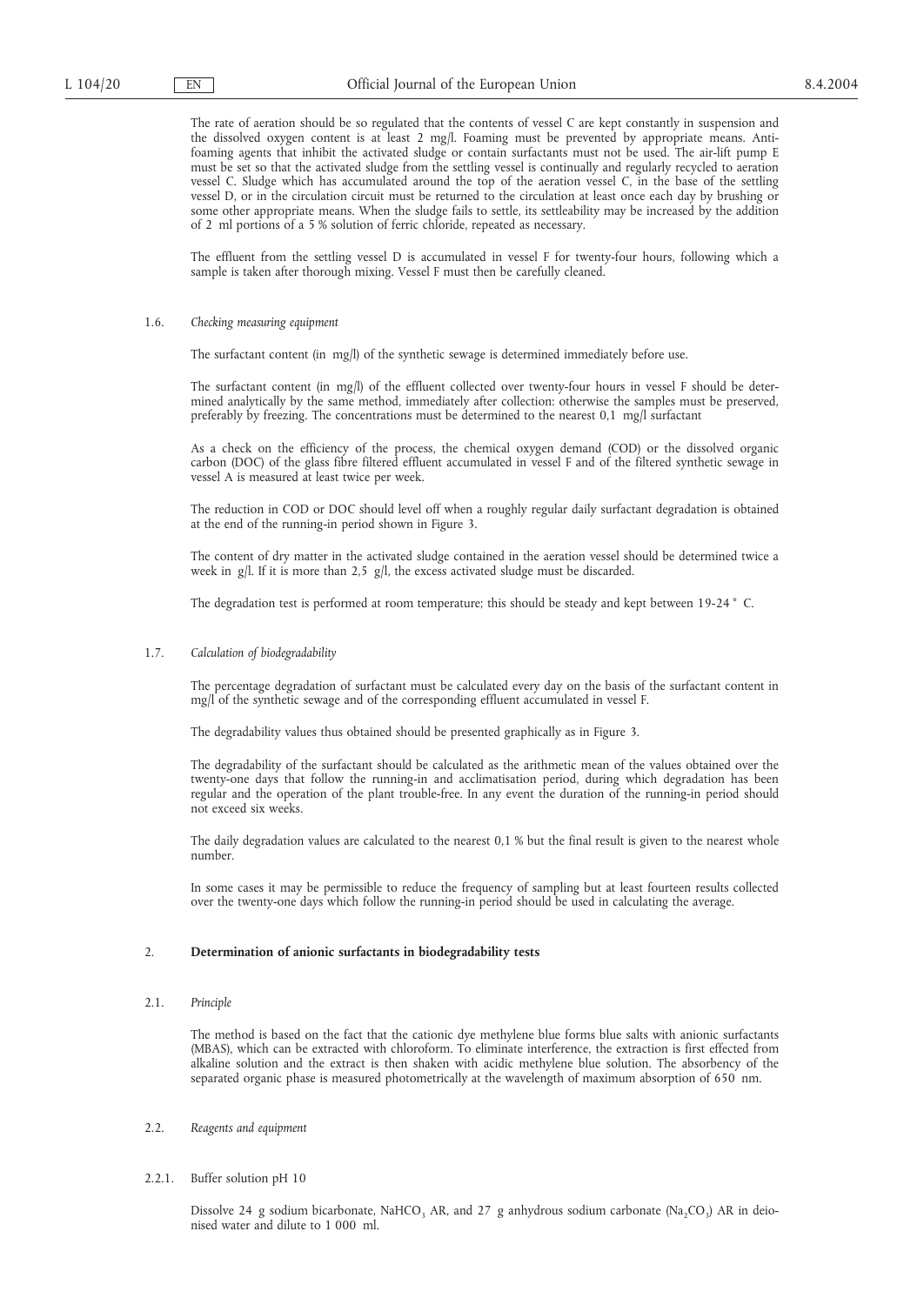The rate of aeration should be so regulated that the contents of vessel C are kept constantly in suspension and the dissolved oxygen content is at least 2 mg/l. Foaming must be prevented by appropriate means. Antifoaming agents that inhibit the activated sludge or contain surfactants must not be used. The air-lift pump E must be set so that the activated sludge from the settling vessel is continually and regularly recycled to aeration vessel C. Sludge which has accumulated around the top of the aeration vessel C, in the base of the settling vessel D, or in the circulation circuit must be returned to the circulation at least once each day by brushing or some other appropriate means. When the sludge fails to settle, its settleability may be increased by the addition of 2 ml portions of a 5 % solution of ferric chloride, repeated as necessary.

The effluent from the settling vessel D is accumulated in vessel F for twenty-four hours, following which a sample is taken after thorough mixing. Vessel F must then be carefully cleaned.

#### 1.6. *Checking measuring equipment*

The surfactant content (in mg/l) of the synthetic sewage is determined immediately before use.

The surfactant content (in mg/l) of the effluent collected over twenty-four hours in vessel F should be determined analytically by the same method, immediately after collection: otherwise the samples must be preserved, preferably by freezing. The concentrations must be determined to the nearest 0,1 mg/l surfactant

As a check on the efficiency of the process, the chemical oxygen demand (COD) or the dissolved organic carbon (DOC) of the glass fibre filtered effluent accumulated in vessel F and of the filtered synthetic sewage in vessel A is measured at least twice per week.

The reduction in COD or DOC should level off when a roughly regular daily surfactant degradation is obtained at the end of the running-in period shown in Figure 3.

The content of dry matter in the activated sludge contained in the aeration vessel should be determined twice a week in g/l. If it is more than 2,5 g/l, the excess activated sludge must be discarded.

The degradation test is performed at room temperature; this should be steady and kept between 19-24 ° C.

### 1.7. *Calculation of biodegradability*

The percentage degradation of surfactant must be calculated every day on the basis of the surfactant content in mg/l of the synthetic sewage and of the corresponding effluent accumulated in vessel F.

The degradability values thus obtained should be presented graphically as in Figure 3.

The degradability of the surfactant should be calculated as the arithmetic mean of the values obtained over the twenty-one days that follow the running-in and acclimatisation period, during which degradation has been regular and the operation of the plant trouble-free. In any event the duration of the running-in period should not exceed six weeks.

The daily degradation values are calculated to the nearest 0,1 % but the final result is given to the nearest whole number.

In some cases it may be permissible to reduce the frequency of sampling but at least fourteen results collected over the twenty-one days which follow the running-in period should be used in calculating the average.

#### 2. **Determination of anionic surfactants in biodegradability tests**

#### 2.1. *Principle*

The method is based on the fact that the cationic dye methylene blue forms blue salts with anionic surfactants (MBAS), which can be extracted with chloroform. To eliminate interference, the extraction is first effected from alkaline solution and the extract is then shaken with acidic methylene blue solution. The absorbency of the separated organic phase is measured photometrically at the wavelength of maximum absorption of 650 nm.

#### 2.2. *Reagents and equipment*

#### 2.2.1. Buffer solution pH 10

Dissolve 24 g sodium bicarbonate, NaHCO<sub>3</sub> AR, and 27 g anhydrous sodium carbonate (Na<sub>2</sub>CO<sub>3</sub>) AR in deionised water and dilute to 1 000 ml.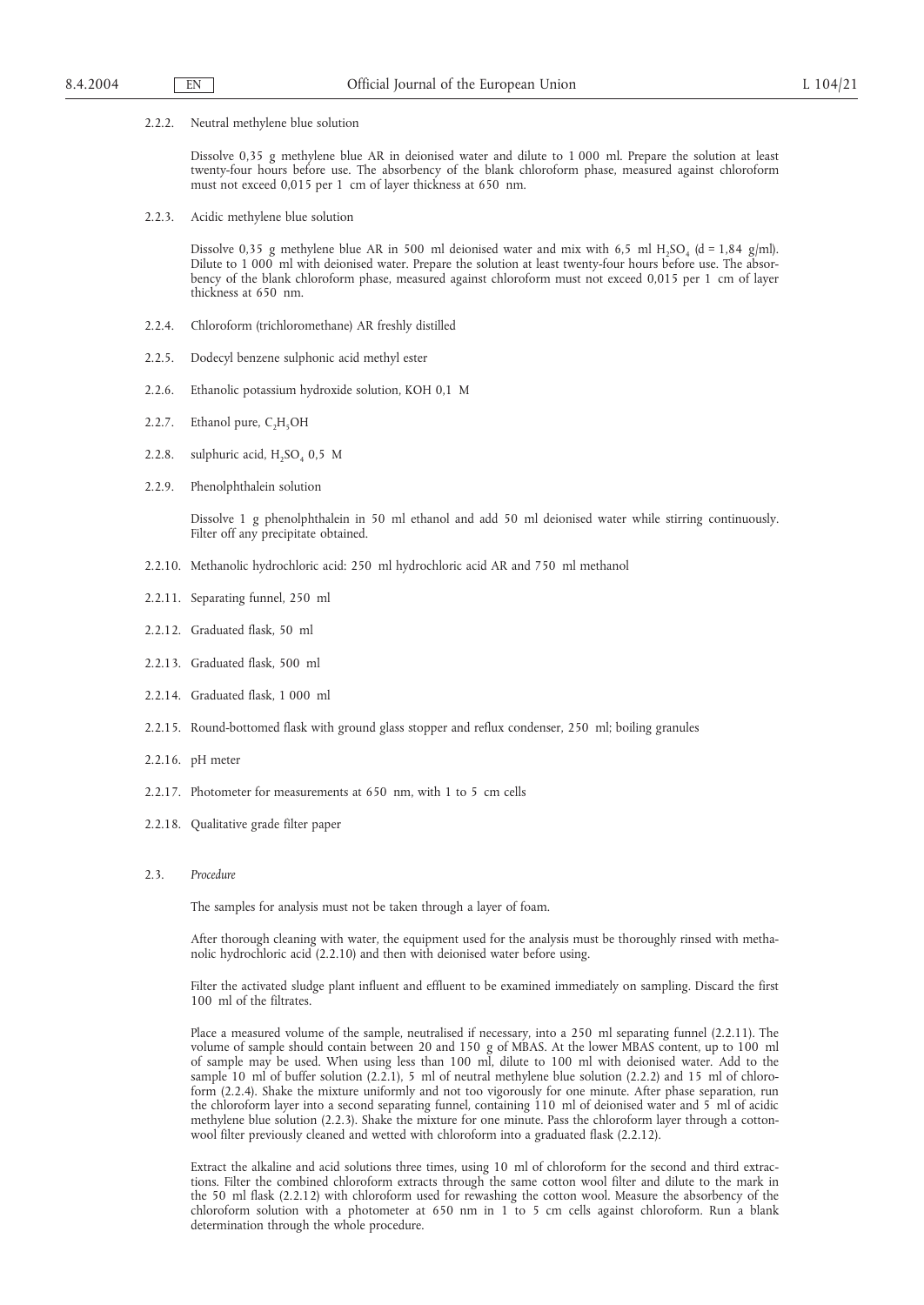2.2.2. Neutral methylene blue solution

Dissolve 0,35 g methylene blue AR in deionised water and dilute to 1 000 ml. Prepare the solution at least twenty-four hours before use. The absorbency of the blank chloroform phase, measured against chloroform must not exceed 0,015 per 1 cm of layer thickness at 650 nm.

2.2.3. Acidic methylene blue solution

Dissolve 0,35 g methylene blue AR in 500 ml deionised water and mix with 6,5 ml H<sub>2</sub>SO<sub>4</sub> (d = 1,84 g/ml). Dilute to 1 000 ml with deionised water. Prepare the solution at least twenty-four hours before use. The absorbency of the blank chloroform phase, measured against chloroform must not exceed 0,015 per 1 cm of layer thickness at 650 nm.

- 2.2.4. Chloroform (trichloromethane) AR freshly distilled
- 2.2.5. Dodecyl benzene sulphonic acid methyl ester
- 2.2.6. Ethanolic potassium hydroxide solution, KOH 0,1 M
- 2.2.7. Ethanol pure,  $C_2H_5OH$
- 2.2.8. sulphuric acid,  $H_2SO_4$  0,5 M
- 2.2.9. Phenolphthalein solution

Dissolve 1 g phenolphthalein in 50 ml ethanol and add 50 ml deionised water while stirring continuously. Filter off any precipitate obtained.

- 2.2.10. Methanolic hydrochloric acid: 250 ml hydrochloric acid AR and 750 ml methanol
- 2.2.11. Separating funnel, 250 ml
- 2.2.12. Graduated flask, 50 ml
- 2.2.13. Graduated flask, 500 ml
- 2.2.14. Graduated flask, 1 000 ml
- 2.2.15. Round-bottomed flask with ground glass stopper and reflux condenser, 250 ml; boiling granules
- 2.2.16. pH meter
- 2.2.17. Photometer for measurements at 650 nm, with 1 to 5 cm cells
- 2.2.18. Qualitative grade filter paper
- 2.3. *Procedure*

The samples for analysis must not be taken through a layer of foam.

After thorough cleaning with water, the equipment used for the analysis must be thoroughly rinsed with methanolic hydrochloric acid (2.2.10) and then with deionised water before using.

Filter the activated sludge plant influent and effluent to be examined immediately on sampling. Discard the first 100 ml of the filtrates.

Place a measured volume of the sample, neutralised if necessary, into a 250 ml separating funnel (2.2.11). The volume of sample should contain between 20 and 150 g of MBAS. At the lower MBAS content, up to 100 ml of sample may be used. When using less than 100 ml, dilute to 100 ml with deionised water. Add to the sample 10 ml of buffer solution (2.2.1), 5 ml of neutral methylene blue solution (2.2.2) and 15 ml of chloroform (2.2.4). Shake the mixture uniformly and not too vigorously for one minute. After phase separation, run the chloroform layer into a second separating funnel, containing 110 ml of deionised water and 5 ml of acidic methylene blue solution (2.2.3). Shake the mixture for one minute. Pass the chloroform layer through a cottonwool filter previously cleaned and wetted with chloroform into a graduated flask (2.2.12).

Extract the alkaline and acid solutions three times, using 10 ml of chloroform for the second and third extractions. Filter the combined chloroform extracts through the same cotton wool filter and dilute to the mark in the 50 ml flask (2.2.12) with chloroform used for rewashing the cotton wool. Measure the absorbency of the chloroform solution with a photometer at 650 nm in 1 to 5 cm cells against chloroform. Run a blank determination through the whole procedure.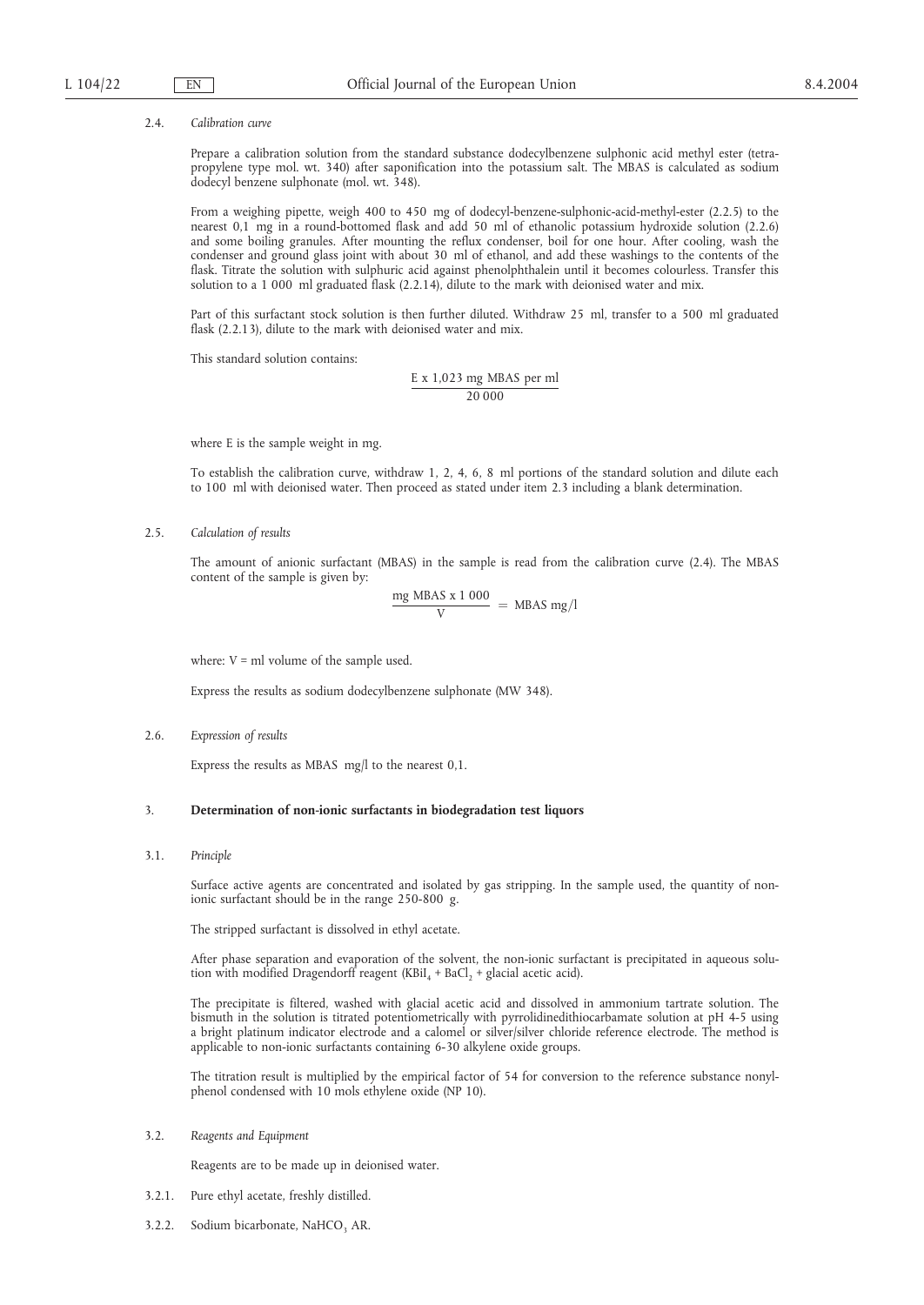#### 2.4. *Calibration curve*

Prepare a calibration solution from the standard substance dodecylbenzene sulphonic acid methyl ester (tetrapropylene type mol. wt. 340) after saponification into the potassium salt. The MBAS is calculated as sodium dodecyl benzene sulphonate (mol. wt. 348).

From a weighing pipette, weigh 400 to 450 mg of dodecyl-benzene-sulphonic-acid-methyl-ester (2.2.5) to the nearest 0,1 mg in a round-bottomed flask and add 50 ml of ethanolic potassium hydroxide solution (2.2.6) and some boiling granules. After mounting the reflux condenser, boil for one hour. After cooling, wash the condenser and ground glass joint with about 30 ml of ethanol, and add these washings to the contents of the flask. Titrate the solution with sulphuric acid against phenolphthalein until it becomes colourless. Transfer this solution to a 1 000 ml graduated flask (2.2.14), dilute to the mark with deionised water and mix.

Part of this surfactant stock solution is then further diluted. Withdraw 25 ml, transfer to a 500 ml graduated flask (2.2.13), dilute to the mark with deionised water and mix.

This standard solution contains:

E x 1,023 mg MBAS per ml 20 000

where E is the sample weight in mg.

To establish the calibration curve, withdraw 1, 2, 4, 6, 8 ml portions of the standard solution and dilute each to 100 ml with deionised water. Then proceed as stated under item 2.3 including a blank determination.

2.5. *Calculation of results*

The amount of anionic surfactant (MBAS) in the sample is read from the calibration curve (2.4). The MBAS content of the sample is given by:

$$
\frac{mg \text{ MBAS} \times 1000}{V} = \text{ MBAS mg/l}
$$

where:  $V = ml$  volume of the sample used.

Express the results as sodium dodecylbenzene sulphonate (MW 348).

2.6. *Expression of results*

Express the results as MBAS mg/l to the nearest 0,1.

### 3. **Determination of non-ionic surfactants in biodegradation test liquors**

3.1. *Principle*

Surface active agents are concentrated and isolated by gas stripping. In the sample used, the quantity of nonionic surfactant should be in the range 250-800 g.

The stripped surfactant is dissolved in ethyl acetate.

After phase separation and evaporation of the solvent, the non-ionic surfactant is precipitated in aqueous solution with modified Dragendorff reagent (KBiI<sub>4</sub> + BaCl<sub>2</sub> + glacial acetic acid).

The precipitate is filtered, washed with glacial acetic acid and dissolved in ammonium tartrate solution. The bismuth in the solution is titrated potentiometrically with pyrrolidinedithiocarbamate solution at pH 4-5 using a bright platinum indicator electrode and a calomel or silver/silver chloride reference electrode. The method is applicable to non-ionic surfactants containing 6-30 alkylene oxide groups.

The titration result is multiplied by the empirical factor of 54 for conversion to the reference substance nonylphenol condensed with 10 mols ethylene oxide (NP 10).

#### 3.2. *Reagents and Equipment*

Reagents are to be made up in deionised water.

- 3.2.1. Pure ethyl acetate, freshly distilled.
- 3.2.2. Sodium bicarbonate, NaHCO<sub>3</sub> AR.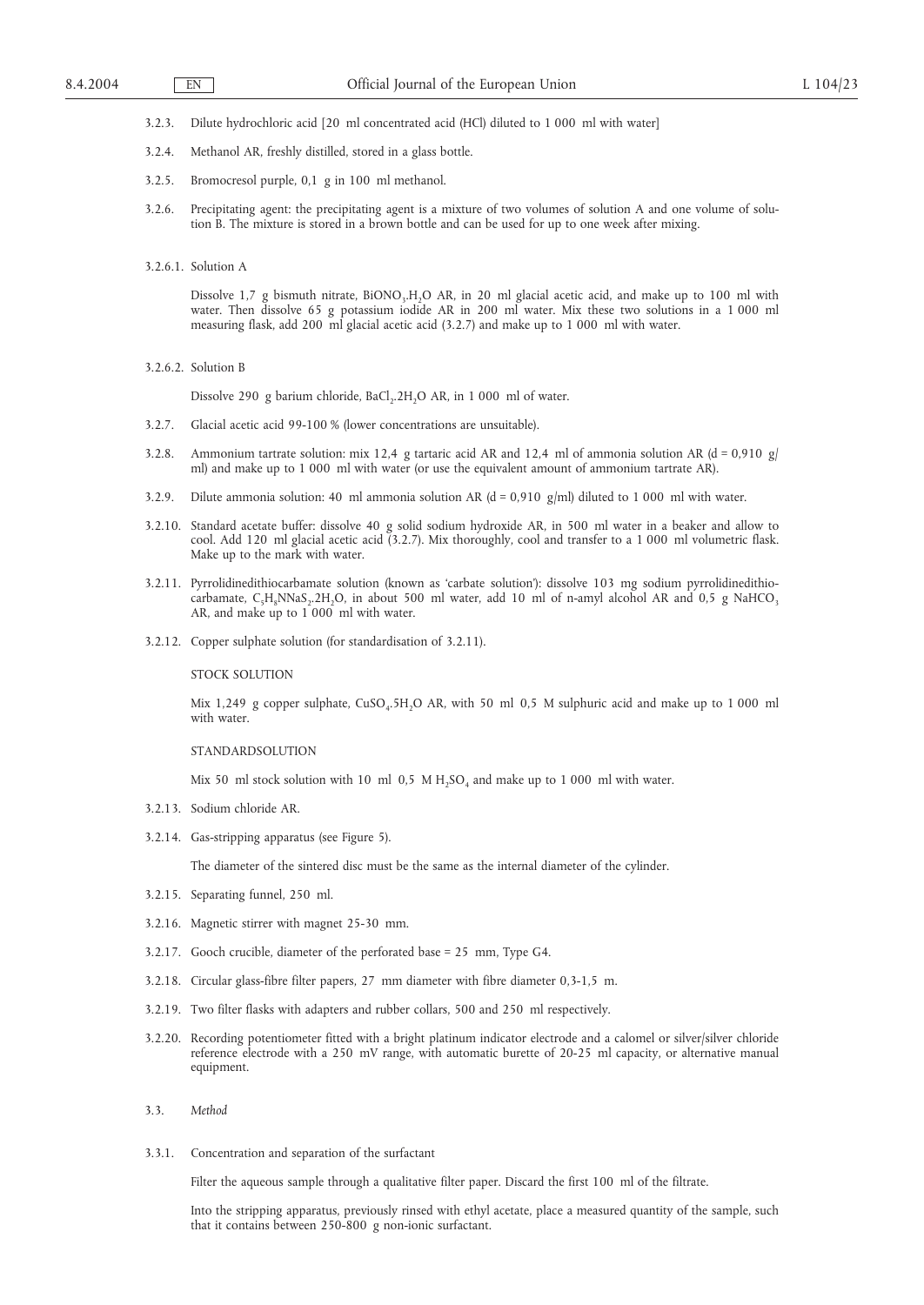3.2.3. Dilute hydrochloric acid [20 ml concentrated acid (HCl) diluted to 1 000 ml with water]

- 3.2.4. Methanol AR, freshly distilled, stored in a glass bottle.
- 3.2.5. Bromocresol purple, 0,1 g in 100 ml methanol.
- 3.2.6. Precipitating agent: the precipitating agent is a mixture of two volumes of solution A and one volume of solution B. The mixture is stored in a brown bottle and can be used for up to one week after mixing.
- 3.2.6.1. Solution A

Dissolve 1,7 g bismuth nitrate,  $BiONO<sub>3</sub>H<sub>2</sub>O AR$ , in 20 ml glacial acetic acid, and make up to 100 ml with water. Then dissolve 65 g potassium iodide AR in 200 ml water. Mix these two solutions in a 1 000 ml measuring flask, add 200 ml glacial acetic acid (3.2.7) and make up to 1 000 ml with water.

3.2.6.2. Solution B

Dissolve 290 g barium chloride, BaCl<sub>2</sub>.2H<sub>2</sub>O AR, in 1 000 ml of water.

- 3.2.7. Glacial acetic acid 99-100 % (lower concentrations are unsuitable).
- 3.2.8. Ammonium tartrate solution: mix 12,4 g tartaric acid AR and 12,4 ml of ammonia solution AR (d = 0,910 g/ ml) and make up to 1 000 ml with water (or use the equivalent amount of ammonium tartrate AR).
- 3.2.9. Dilute ammonia solution: 40 ml ammonia solution AR ( $d = 0.910$  g/ml) diluted to 1 000 ml with water.
- 3.2.10. Standard acetate buffer: dissolve 40 g solid sodium hydroxide AR, in 500 ml water in a beaker and allow to cool. Add 120 ml glacial acetic acid (3.2.7). Mix thoroughly, cool and transfer to a 1 000 ml volumetric flask. Make up to the mark with water.
- 3.2.11. Pyrrolidinedithiocarbamate solution (known as 'carbate solution'): dissolve 103 mg sodium pyrrolidinedithiocarbamate, C<sub>5</sub>H<sub>8</sub>NNaS<sub>2</sub>.2H<sub>2</sub>O, in about 500 ml water, add 10 ml of n-amyl alcohol AR and 0,5 g NaHCO<sub>3</sub> AR, and make up to 1 000 ml with water.
- 3.2.12. Copper sulphate solution (for standardisation of 3.2.11).

STOCK SOLUTION

Mix 1,249 g copper sulphate, CuSO<sub>4</sub>.5H<sub>2</sub>O AR, with 50 ml 0,5 M sulphuric acid and make up to 1 000 ml with water.

STANDARDSOLUTION

Mix 50 ml stock solution with 10 ml  $0.5$  M H<sub>2</sub>SO<sub>4</sub> and make up to 1 000 ml with water.

- 3.2.13. Sodium chloride AR.
- 3.2.14. Gas-stripping apparatus (see Figure 5).

The diameter of the sintered disc must be the same as the internal diameter of the cylinder.

- 3.2.15. Separating funnel, 250 ml.
- 3.2.16. Magnetic stirrer with magnet 25-30 mm.
- 3.2.17. Gooch crucible, diameter of the perforated base = 25 mm, Type G4.
- 3.2.18. Circular glass-fibre filter papers, 27 mm diameter with fibre diameter 0,3-1,5 m.
- 3.2.19. Two filter flasks with adapters and rubber collars, 500 and 250 ml respectively.
- 3.2.20. Recording potentiometer fitted with a bright platinum indicator electrode and a calomel or silver/silver chloride reference electrode with a 250 mV range, with automatic burette of 20-25 ml capacity, or alternative manual equipment.

3.3.1. Concentration and separation of the surfactant

Filter the aqueous sample through a qualitative filter paper. Discard the first 100 ml of the filtrate.

Into the stripping apparatus, previously rinsed with ethyl acetate, place a measured quantity of the sample, such that it contains between 250-800 g non-ionic surfactant.

<sup>3.3.</sup> *Method*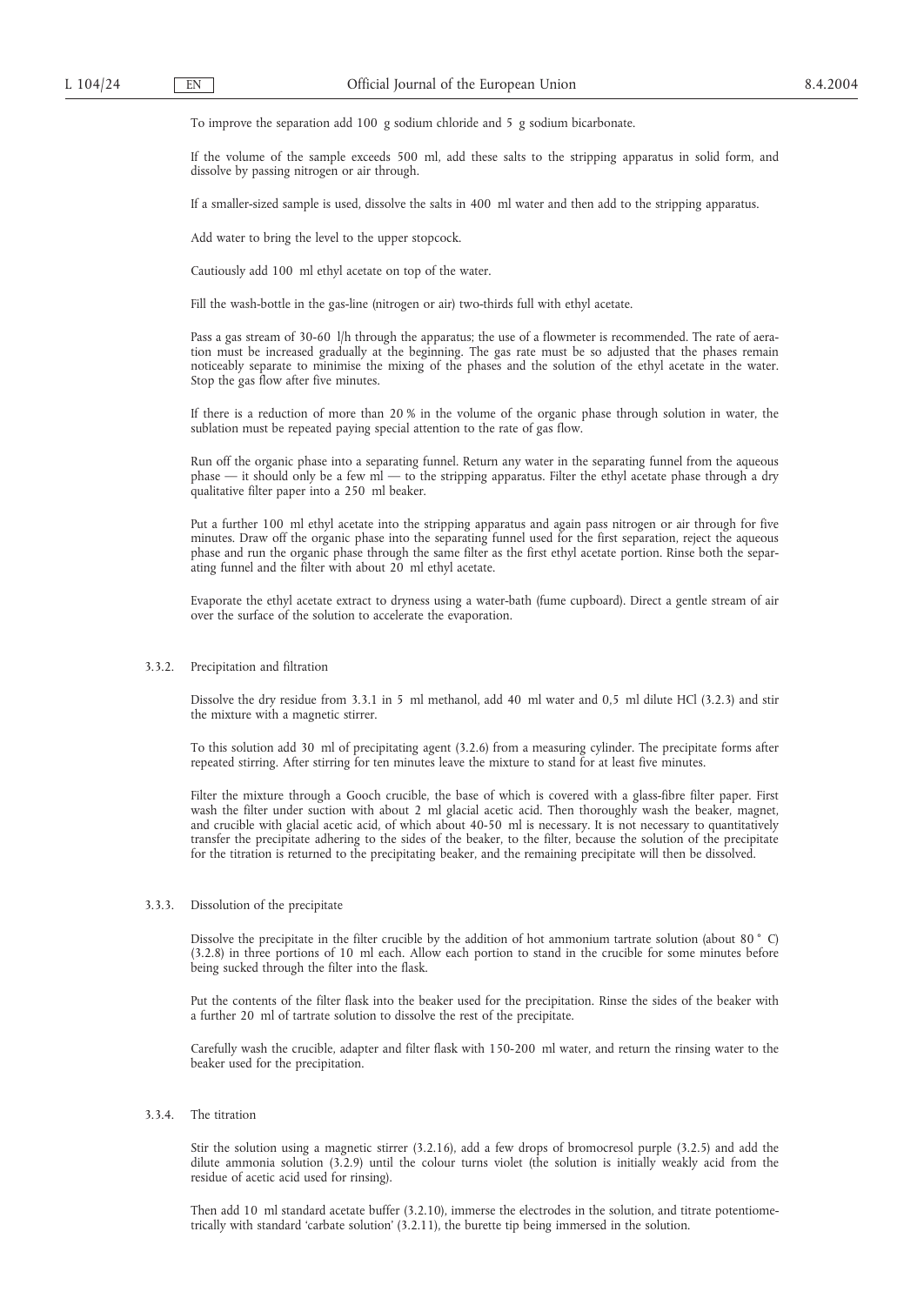To improve the separation add 100 g sodium chloride and 5 g sodium bicarbonate.

If the volume of the sample exceeds 500 ml, add these salts to the stripping apparatus in solid form, and dissolve by passing nitrogen or air through.

If a smaller-sized sample is used, dissolve the salts in 400 ml water and then add to the stripping apparatus.

Add water to bring the level to the upper stopcock.

Cautiously add 100 ml ethyl acetate on top of the water.

Fill the wash-bottle in the gas-line (nitrogen or air) two-thirds full with ethyl acetate.

Pass a gas stream of 30-60 l/h through the apparatus; the use of a flowmeter is recommended. The rate of aeration must be increased gradually at the beginning. The gas rate must be so adjusted that the phases remain noticeably separate to minimise the mixing of the phases and the solution of the ethyl acetate in the water. Stop the gas flow after five minutes.

If there is a reduction of more than 20 % in the volume of the organic phase through solution in water, the sublation must be repeated paying special attention to the rate of gas flow.

Run off the organic phase into a separating funnel. Return any water in the separating funnel from the aqueous phase — it should only be a few ml — to the stripping apparatus. Filter the ethyl acetate phase through a dry qualitative filter paper into a 250 ml beaker.

Put a further 100 ml ethyl acetate into the stripping apparatus and again pass nitrogen or air through for five minutes. Draw off the organic phase into the separating funnel used for the first separation, reject the aqueous phase and run the organic phase through the same filter as the first ethyl acetate portion. Rinse both the separating funnel and the filter with about 20 ml ethyl acetate.

Evaporate the ethyl acetate extract to dryness using a water-bath (fume cupboard). Direct a gentle stream of air over the surface of the solution to accelerate the evaporation.

## 3.3.2. Precipitation and filtration

Dissolve the dry residue from 3.3.1 in 5 ml methanol, add 40 ml water and 0,5 ml dilute HCl (3.2.3) and stir the mixture with a magnetic stirrer.

To this solution add 30 ml of precipitating agent (3.2.6) from a measuring cylinder. The precipitate forms after repeated stirring. After stirring for ten minutes leave the mixture to stand for at least five minutes.

Filter the mixture through a Gooch crucible, the base of which is covered with a glass-fibre filter paper. First wash the filter under suction with about 2 ml glacial acetic acid. Then thoroughly wash the beaker, magnet, and crucible with glacial acetic acid, of which about 40-50 ml is necessary. It is not necessary to quantitatively transfer the precipitate adhering to the sides of the beaker, to the filter, because the solution of the precipitate for the titration is returned to the precipitating beaker, and the remaining precipitate will then be dissolved.

### 3.3.3. Dissolution of the precipitate

Dissolve the precipitate in the filter crucible by the addition of hot ammonium tartrate solution (about 80 ° C) (3.2.8) in three portions of 10 ml each. Allow each portion to stand in the crucible for some minutes before being sucked through the filter into the flask.

Put the contents of the filter flask into the beaker used for the precipitation. Rinse the sides of the beaker with a further 20 ml of tartrate solution to dissolve the rest of the precipitate.

Carefully wash the crucible, adapter and filter flask with 150-200 ml water, and return the rinsing water to the beaker used for the precipitation.

## 3.3.4. The titration

Stir the solution using a magnetic stirrer (3.2.16), add a few drops of bromocresol purple (3.2.5) and add the dilute ammonia solution (3.2.9) until the colour turns violet (the solution is initially weakly acid from the residue of acetic acid used for rinsing).

Then add 10 ml standard acetate buffer (3.2.10), immerse the electrodes in the solution, and titrate potentiometrically with standard 'carbate solution' (3.2.11), the burette tip being immersed in the solution.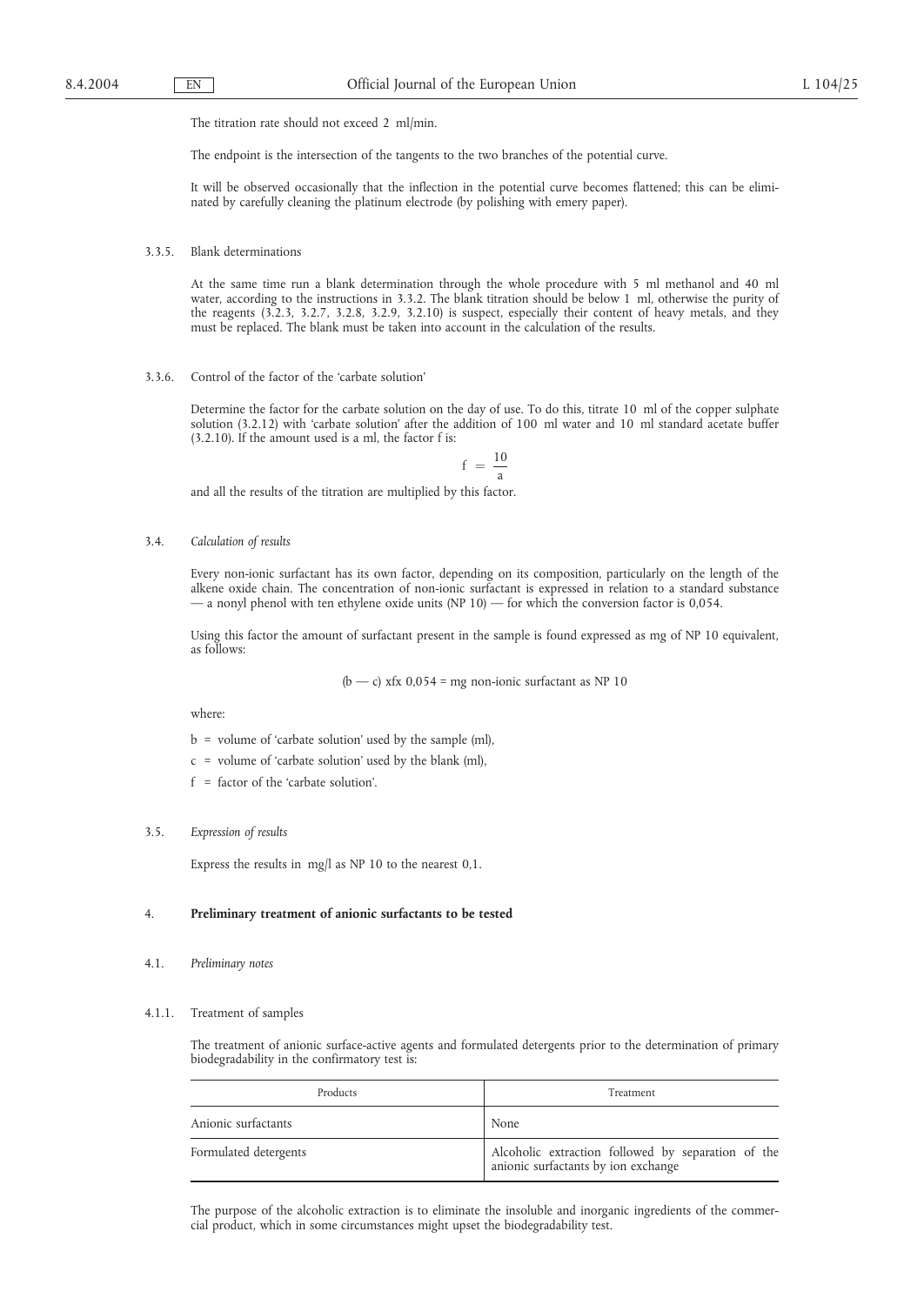The titration rate should not exceed 2 ml/min.

The endpoint is the intersection of the tangents to the two branches of the potential curve.

It will be observed occasionally that the inflection in the potential curve becomes flattened; this can be eliminated by carefully cleaning the platinum electrode (by polishing with emery paper).

3.3.5. Blank determinations

At the same time run a blank determination through the whole procedure with 5 ml methanol and 40 ml water, according to the instructions in 3.3.2. The blank titration should be below 1 ml, otherwise the purity of the reagents (3.2.3, 3.2.7, 3.2.8, 3.2.9, 3.2.10) is suspect, especially their content of heavy metals, and they must be replaced. The blank must be taken into account in the calculation of the results.

3.3.6. Control of the factor of the 'carbate solution'

Determine the factor for the carbate solution on the day of use. To do this, titrate 10 ml of the copper sulphate solution (3.2.12) with 'carbate solution' after the addition of 100 ml water and 10 ml standard acetate buffer (3.2.10). If the amount used is a ml, the factor f is:

$$
f\ =\ \frac{10}{a}
$$

and all the results of the titration are multiplied by this factor.

3.4. *Calculation of results*

Every non-ionic surfactant has its own factor, depending on its composition, particularly on the length of the alkene oxide chain. The concentration of non-ionic surfactant is expressed in relation to a standard substance — a nonyl phenol with ten ethylene oxide units (NP  $10$ ) — for which the conversion factor is 0,054.

Using this factor the amount of surfactant present in the sample is found expressed as mg of NP 10 equivalent, as follows:

( $b - c$ ) xfx 0,054 = mg non-ionic surfactant as NP 10

where:

- b = volume of 'carbate solution' used by the sample (ml),
- c = volume of 'carbate solution' used by the blank (ml),
- f = factor of the 'carbate solution'.
- 3.5. *Expression of results*

Express the results in mg/l as NP 10 to the nearest 0,1.

### 4. **Preliminary treatment of anionic surfactants to be tested**

4.1. *Preliminary notes*

#### 4.1.1. Treatment of samples

The treatment of anionic surface-active agents and formulated detergents prior to the determination of primary biodegradability in the confirmatory test is:

| Products              | Treatment                                                                                 |  |
|-----------------------|-------------------------------------------------------------------------------------------|--|
| Anionic surfactants   | None                                                                                      |  |
| Formulated detergents | Alcoholic extraction followed by separation of the<br>anionic surfactants by ion exchange |  |

The purpose of the alcoholic extraction is to eliminate the insoluble and inorganic ingredients of the commercial product, which in some circumstances might upset the biodegradability test.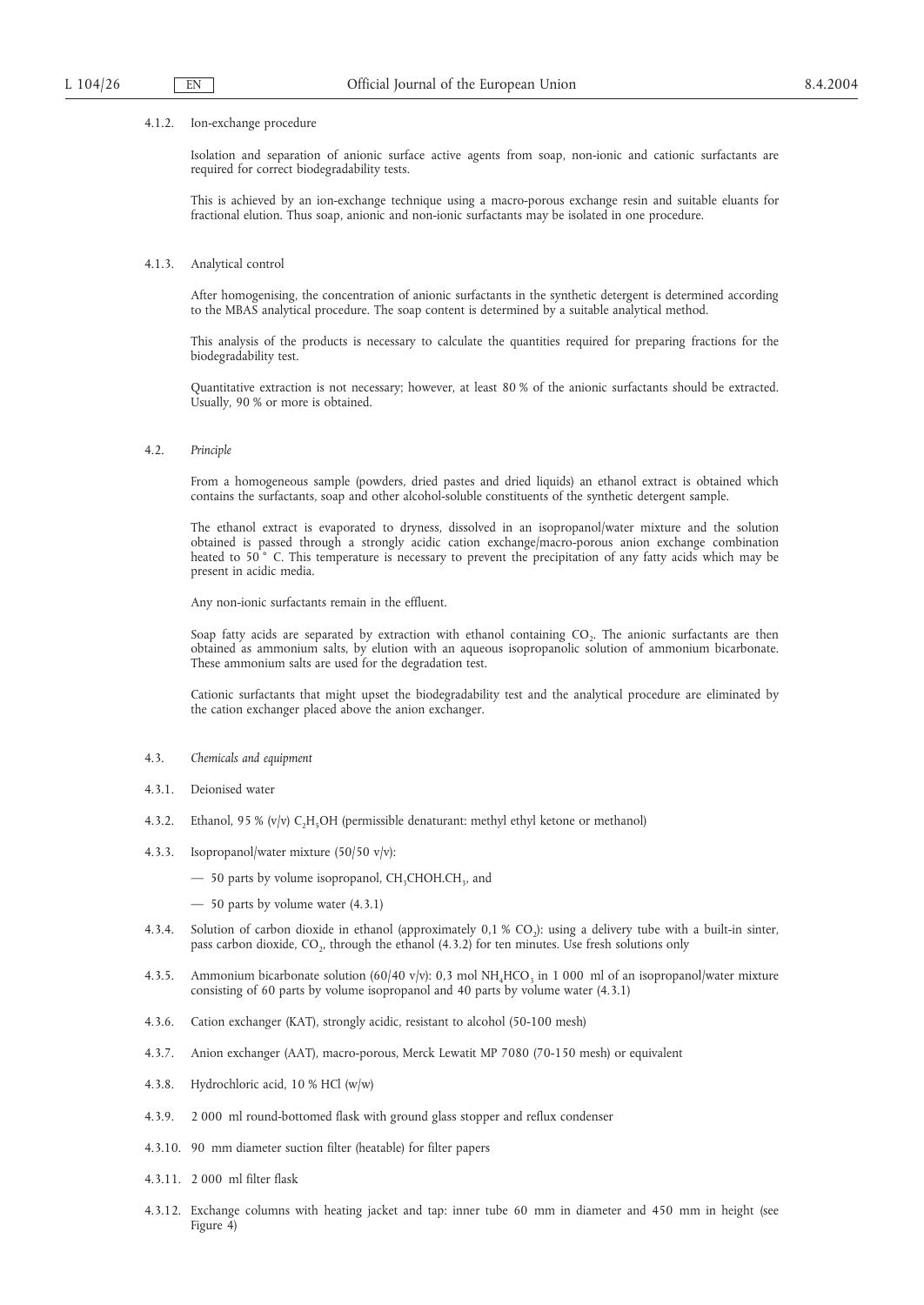#### 4.1.2. Ion-exchange procedure

Isolation and separation of anionic surface active agents from soap, non-ionic and cationic surfactants are required for correct biodegradability tests.

This is achieved by an ion-exchange technique using a macro-porous exchange resin and suitable eluants for fractional elution. Thus soap, anionic and non-ionic surfactants may be isolated in one procedure.

#### 4.1.3. Analytical control

After homogenising, the concentration of anionic surfactants in the synthetic detergent is determined according to the MBAS analytical procedure. The soap content is determined by a suitable analytical method.

This analysis of the products is necessary to calculate the quantities required for preparing fractions for the biodegradability test.

Quantitative extraction is not necessary; however, at least 80 % of the anionic surfactants should be extracted. Usually, 90 % or more is obtained.

4.2. *Principle*

From a homogeneous sample (powders, dried pastes and dried liquids) an ethanol extract is obtained which contains the surfactants, soap and other alcohol-soluble constituents of the synthetic detergent sample.

The ethanol extract is evaporated to dryness, dissolved in an isopropanol/water mixture and the solution obtained is passed through a strongly acidic cation exchange/macro-porous anion exchange combination heated to 50° C. This temperature is necessary to prevent the precipitation of any fatty acids which may be present in acidic media.

Any non-ionic surfactants remain in the effluent.

Soap fatty acids are separated by extraction with ethanol containing  $CO<sub>2</sub>$ . The anionic surfactants are then obtained as ammonium salts, by elution with an aqueous isopropanolic solution of ammonium bicarbonate. These ammonium salts are used for the degradation test.

Cationic surfactants that might upset the biodegradability test and the analytical procedure are eliminated by the cation exchanger placed above the anion exchanger.

- 4.3. *Chemicals and equipment*
- 4.3.1. Deionised water
- 4.3.2. Ethanol, 95 % (v/v) C,H<sub>5</sub>OH (permissible denaturant: methyl ethyl ketone or methanol)
- 4.3.3. Isopropanol/water mixture (50/50 v/v):
	- $-$  50 parts by volume isopropanol, CH<sub>3</sub>CHOH.CH<sub>3</sub>, and
	- 50 parts by volume water (4.3.1)
- 4.3.4. Solution of carbon dioxide in ethanol (approximately  $0,1,9,0$ ): using a delivery tube with a built-in sinter, pass carbon dioxide, CO<sub>2</sub>, through the ethanol  $(4.3.2)$  for ten minutes. Use fresh solutions only
- 4.3.5. Ammonium bicarbonate solution (60/40 v/v): 0,3 mol NH<sub>4</sub>HCO<sub>3</sub> in 1 000 ml of an isopropanol/water mixture consisting of 60 parts by volume isopropanol and 40 parts by volume water (4.3.1)
- 4.3.6. Cation exchanger (KAT), strongly acidic, resistant to alcohol (50-100 mesh)
- 4.3.7. Anion exchanger (AAT), macro-porous, Merck Lewatit MP 7080 (70-150 mesh) or equivalent
- 4.3.8. Hydrochloric acid, 10 % HCl (w/w)
- 4.3.9. 2 000 ml round-bottomed flask with ground glass stopper and reflux condenser
- 4.3.10. 90 mm diameter suction filter (heatable) for filter papers
- 4.3.11. 2 000 ml filter flask
- 4.3.12. Exchange columns with heating jacket and tap: inner tube 60 mm in diameter and 450 mm in height (see Figure 4)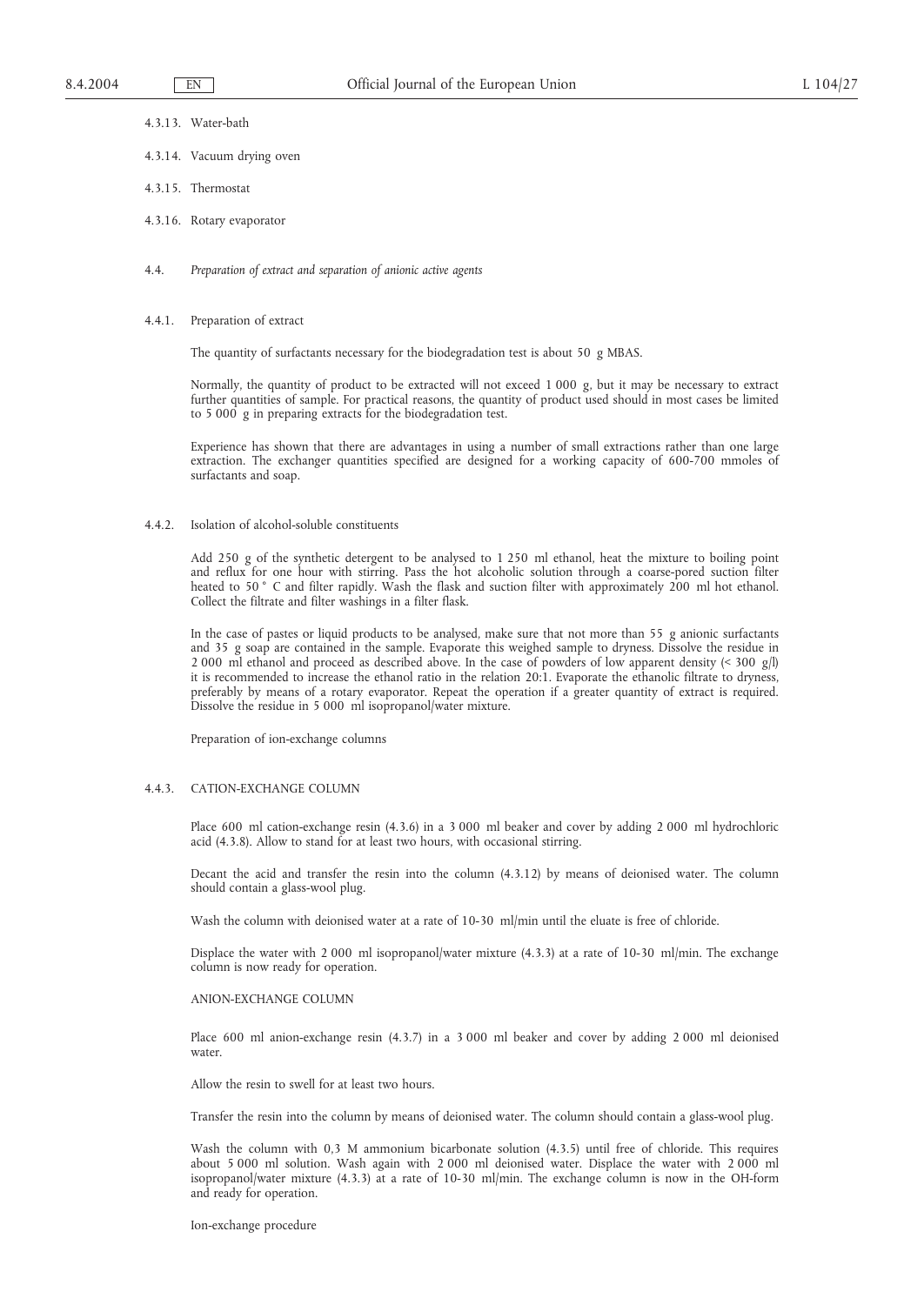- 4.3.13. Water-bath
- 4.3.14. Vacuum drying oven
- 4.3.15. Thermostat
- 4.3.16. Rotary evaporator
- 4.4. *Preparation of extract and separation of anionic active agents*

#### 4.4.1. Preparation of extract

The quantity of surfactants necessary for the biodegradation test is about 50 g MBAS.

Normally, the quantity of product to be extracted will not exceed 1 000 g, but it may be necessary to extract further quantities of sample. For practical reasons, the quantity of product used should in most cases be limited to 5 000 g in preparing extracts for the biodegradation test.

Experience has shown that there are advantages in using a number of small extractions rather than one large extraction. The exchanger quantities specified are designed for a working capacity of 600-700 mmoles of surfactants and soap.

4.4.2. Isolation of alcohol-soluble constituents

Add 250 g of the synthetic detergent to be analysed to 1 250 ml ethanol, heat the mixture to boiling point and reflux for one hour with stirring. Pass the hot alcoholic solution through a coarse-pored suction filter heated to 50 ° C and filter rapidly. Wash the flask and suction filter with approximately 200 ml hot ethanol. Collect the filtrate and filter washings in a filter flask.

In the case of pastes or liquid products to be analysed, make sure that not more than 55 g anionic surfactants and 35 g soap are contained in the sample. Evaporate this weighed sample to dryness. Dissolve the residue in 2 000 ml ethanol and proceed as described above. In the case of powders of low apparent density (< 300 g/l) it is recommended to increase the ethanol ratio in the relation 20:1. Evaporate the ethanolic filtrate to dryness, preferably by means of a rotary evaporator. Repeat the operation if a greater quantity of extract is required. Dissolve the residue in 5 000 ml isopropanol/water mixture.

Preparation of ion-exchange columns

### 4.4.3. CATION-EXCHANGE COLUMN

Place 600 ml cation-exchange resin (4.3.6) in a 3 000 ml beaker and cover by adding 2 000 ml hydrochloric acid (4.3.8). Allow to stand for at least two hours, with occasional stirring.

Decant the acid and transfer the resin into the column (4.3.12) by means of deionised water. The column should contain a glass-wool plug.

Wash the column with deionised water at a rate of 10-30 ml/min until the eluate is free of chloride.

Displace the water with 2 000 ml isopropanol/water mixture (4.3.3) at a rate of 10-30 ml/min. The exchange column is now ready for operation.

#### ANION-EXCHANGE COLUMN

Place 600 ml anion-exchange resin (4.3.7) in a 3 000 ml beaker and cover by adding 2 000 ml deionised water.

Allow the resin to swell for at least two hours.

Transfer the resin into the column by means of deionised water. The column should contain a glass-wool plug.

Wash the column with 0,3 M ammonium bicarbonate solution (4.3.5) until free of chloride. This requires about 5 000 ml solution. Wash again with 2 000 ml deionised water. Displace the water with 2 000 ml isopropanol/water mixture (4.3.3) at a rate of 10-30 ml/min. The exchange column is now in the OH-form and ready for operation.

Ion-exchange procedure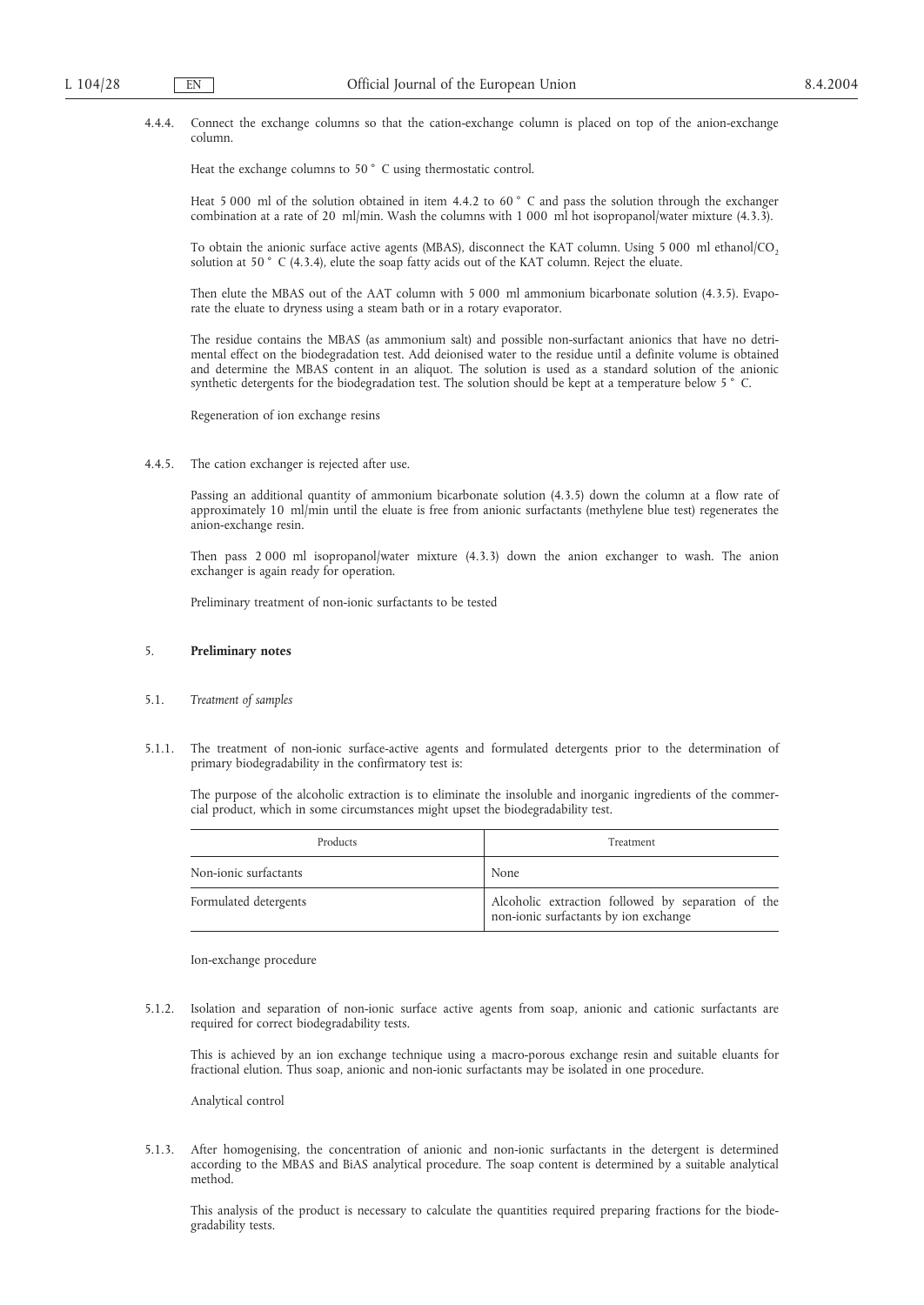4.4.4. Connect the exchange columns so that the cation-exchange column is placed on top of the anion-exchange column.

Heat the exchange columns to 50 °C using thermostatic control.

Heat 5 000 ml of the solution obtained in item 4.4.2 to 60 ° C and pass the solution through the exchanger combination at a rate of 20 ml/min. Wash the columns with 1 000 ml hot isopropanol/water mixture (4.3.3).

To obtain the anionic surface active agents (MBAS), disconnect the KAT column. Using 5 000 ml ethanol/CO<sub>2</sub> solution at 50 ° C (4.3.4), elute the soap fatty acids out of the KAT column. Reject the eluate.

Then elute the MBAS out of the AAT column with 5 000 ml ammonium bicarbonate solution (4.3.5). Evaporate the eluate to dryness using a steam bath or in a rotary evaporator.

The residue contains the MBAS (as ammonium salt) and possible non-surfactant anionics that have no detrimental effect on the biodegradation test. Add deionised water to the residue until a definite volume is obtained and determine the MBAS content in an aliquot. The solution is used as a standard solution of the anionic synthetic detergents for the biodegradation test. The solution should be kept at a temperature below 5 ° C.

Regeneration of ion exchange resins

4.4.5. The cation exchanger is rejected after use.

Passing an additional quantity of ammonium bicarbonate solution (4.3.5) down the column at a flow rate of approximately 10 ml/min until the eluate is free from anionic surfactants (methylene blue test) regenerates the anion-exchange resin.

Then pass 2 000 ml isopropanol/water mixture (4.3.3) down the anion exchanger to wash. The anion exchanger is again ready for operation.

Preliminary treatment of non-ionic surfactants to be tested

## 5. **Preliminary notes**

- 5.1. *Treatment of samples*
- 5.1.1. The treatment of non-ionic surface-active agents and formulated detergents prior to the determination of primary biodegradability in the confirmatory test is:

The purpose of the alcoholic extraction is to eliminate the insoluble and inorganic ingredients of the commercial product, which in some circumstances might upset the biodegradability test.

| Products              | Treatment                                                                                   |  |
|-----------------------|---------------------------------------------------------------------------------------------|--|
| Non-ionic surfactants | None                                                                                        |  |
| Formulated detergents | Alcoholic extraction followed by separation of the<br>non-ionic surfactants by ion exchange |  |

Ion-exchange procedure

5.1.2. Isolation and separation of non-ionic surface active agents from soap, anionic and cationic surfactants are required for correct biodegradability tests.

This is achieved by an ion exchange technique using a macro-porous exchange resin and suitable eluants for fractional elution. Thus soap, anionic and non-ionic surfactants may be isolated in one procedure.

Analytical control

5.1.3. After homogenising, the concentration of anionic and non-ionic surfactants in the detergent is determined according to the MBAS and BiAS analytical procedure. The soap content is determined by a suitable analytical method.

This analysis of the product is necessary to calculate the quantities required preparing fractions for the biodegradability tests.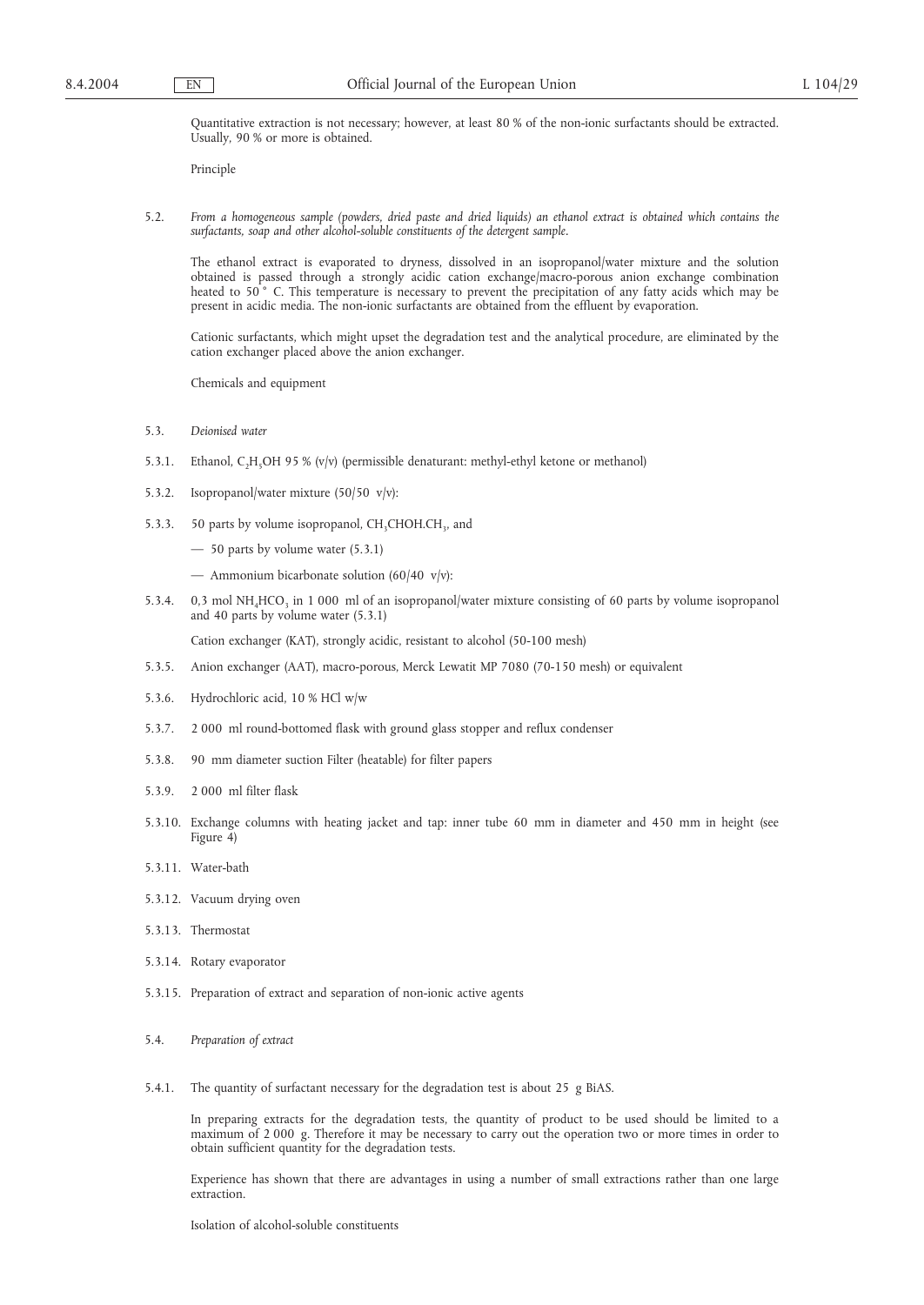Quantitative extraction is not necessary; however, at least 80 % of the non-ionic surfactants should be extracted. Usually, 90 % or more is obtained.

Principle

5.2. *From a homogeneous sample (powders, dried paste and dried liquids) an ethanol extract is obtained which contains the surfactants, soap and other alcohol-soluble constituents of the detergent sample.*

The ethanol extract is evaporated to dryness, dissolved in an isopropanol/water mixture and the solution obtained is passed through a strongly acidic cation exchange/macro-porous anion exchange combination heated to 50<sup>°</sup> C. This temperature is necessary to prevent the precipitation of any fatty acids which may be present in acidic media. The non-ionic surfactants are obtained from the effluent by evaporation.

Cationic surfactants, which might upset the degradation test and the analytical procedure, are eliminated by the cation exchanger placed above the anion exchanger.

Chemicals and equipment

- 5.3. *Deionised water*
- 5.3.1. Ethanol, C<sub>2</sub>H<sub>5</sub>OH 95 % (v/v) (permissible denaturant: methyl-ethyl ketone or methanol)
- 5.3.2. Isopropanol/water mixture (50/50 v/v):
- 5.3.3. 50 parts by volume isopropanol,  $CH<sub>3</sub>CHOH.CH<sub>3</sub>$ , and
	- 50 parts by volume water (5.3.1)
	- Ammonium bicarbonate solution  $(60/40 \text{ v/v})$ :
- 5.3.4. 0,3 mol NH<sub>4</sub>HCO<sub>3</sub> in 1 000 ml of an isopropanol/water mixture consisting of 60 parts by volume isopropanol and 40 parts by volume water (5.3.1)

Cation exchanger (KAT), strongly acidic, resistant to alcohol (50-100 mesh)

- 5.3.5. Anion exchanger (AAT), macro-porous, Merck Lewatit MP 7080 (70-150 mesh) or equivalent
- 5.3.6. Hydrochloric acid, 10 % HCl w/w
- 5.3.7. 2 000 ml round-bottomed flask with ground glass stopper and reflux condenser
- 5.3.8. 90 mm diameter suction Filter (heatable) for filter papers
- 5.3.9. 2 000 ml filter flask
- 5.3.10. Exchange columns with heating jacket and tap: inner tube 60 mm in diameter and 450 mm in height (see Figure  $4$ )
- 5.3.11. Water-bath
- 5.3.12. Vacuum drying oven
- 5.3.13. Thermostat
- 5.3.14. Rotary evaporator
- 5.3.15. Preparation of extract and separation of non-ionic active agents
- 5.4. *Preparation of extract*
- 5.4.1. The quantity of surfactant necessary for the degradation test is about 25 g BiAS.

In preparing extracts for the degradation tests, the quantity of product to be used should be limited to a maximum of 2 000 g. Therefore it may be necessary to carry out the operation two or more times in order to obtain sufficient quantity for the degradation tests.

Experience has shown that there are advantages in using a number of small extractions rather than one large extraction.

Isolation of alcohol-soluble constituents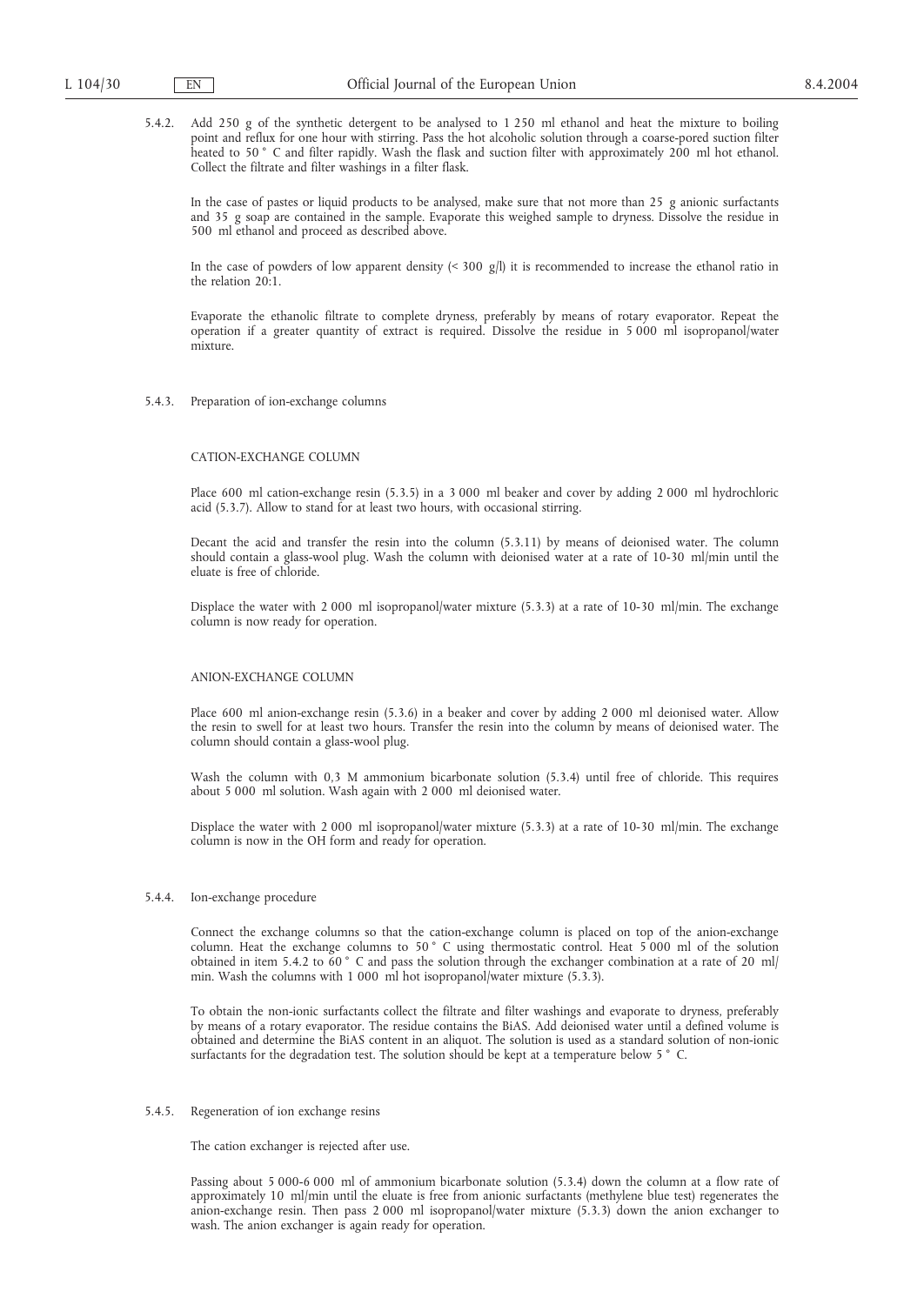5.4.2. Add 250 g of the synthetic detergent to be analysed to 1 250 ml ethanol and heat the mixture to boiling point and reflux for one hour with stirring. Pass the hot alcoholic solution through a coarse-pored suction filter heated to 50 ° C and filter rapidly. Wash the flask and suction filter with approximately 200 ml hot ethanol. Collect the filtrate and filter washings in a filter flask.

In the case of pastes or liquid products to be analysed, make sure that not more than 25 g anionic surfactants and 35 g soap are contained in the sample. Evaporate this weighed sample to dryness. Dissolve the residue in 500 ml ethanol and proceed as described above.

In the case of powders of low apparent density  $($  < 300  $g$ /l) it is recommended to increase the ethanol ratio in the relation 20:1.

Evaporate the ethanolic filtrate to complete dryness, preferably by means of rotary evaporator. Repeat the operation if a greater quantity of extract is required. Dissolve the residue in 5 000 ml isopropanol/water mixture.

## 5.4.3. Preparation of ion-exchange columns

### CATION-EXCHANGE COLUMN

Place 600 ml cation-exchange resin (5.3.5) in a 3 000 ml beaker and cover by adding 2 000 ml hydrochloric acid (5.3.7). Allow to stand for at least two hours, with occasional stirring.

Decant the acid and transfer the resin into the column (5.3.11) by means of deionised water. The column should contain a glass-wool plug. Wash the column with deionised water at a rate of 10-30 ml/min until the eluate is free of chloride.

Displace the water with 2 000 ml isopropanol/water mixture (5.3.3) at a rate of 10-30 ml/min. The exchange column is now ready for operation.

#### ANION-EXCHANGE COLUMN

Place 600 ml anion-exchange resin (5.3.6) in a beaker and cover by adding 2 000 ml deionised water. Allow the resin to swell for at least two hours. Transfer the resin into the column by means of deionised water. The column should contain a glass-wool plug.

Wash the column with 0,3 M ammonium bicarbonate solution (5.3.4) until free of chloride. This requires about 5 000 ml solution. Wash again with 2 000 ml deionised water.

Displace the water with 2 000 ml isopropanol/water mixture (5.3.3) at a rate of 10-30 ml/min. The exchange column is now in the OH form and ready for operation.

#### 5.4.4. Ion-exchange procedure

Connect the exchange columns so that the cation-exchange column is placed on top of the anion-exchange column. Heat the exchange columns to 50 ° C using thermostatic control. Heat 5 000 ml of the solution obtained in item 5.4.2 to  $\vec{60}$   $\degree$  C and pass the solution through the exchanger combination at a rate of 20 ml/ min. Wash the columns with 1 000 ml hot isopropanol/water mixture (5.3.3).

To obtain the non-ionic surfactants collect the filtrate and filter washings and evaporate to dryness, preferably by means of a rotary evaporator. The residue contains the BiAS. Add deionised water until a defined volume is obtained and determine the BiAS content in an aliquot. The solution is used as a standard solution of non-ionic surfactants for the degradation test. The solution should be kept at a temperature below 5 ° C.

#### 5.4.5. Regeneration of ion exchange resins

The cation exchanger is rejected after use.

Passing about 5 000-6 000 ml of ammonium bicarbonate solution (5.3.4) down the column at a flow rate of approximately 10 ml/min until the eluate is free from anionic surfactants (methylene blue test) regenerates the anion-exchange resin. Then pass 2 000 ml isopropanol/water mixture (5.3.3) down the anion exchanger to wash. The anion exchanger is again ready for operation.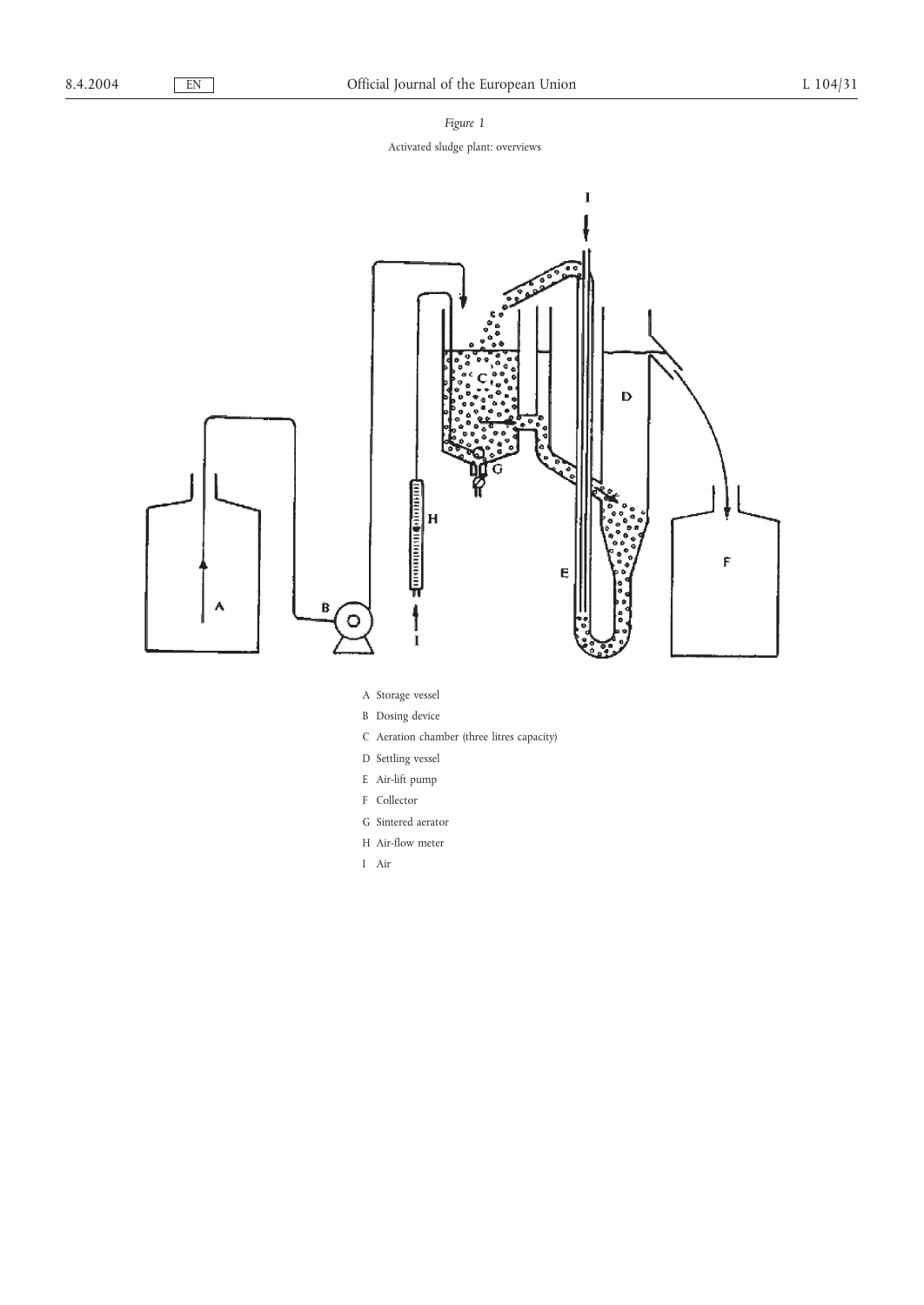*Figure 1* Activated sludge plant: overviews



- A Storage vessel
- B Dosing device
- C Aeration chamber (three litres capacity)
- D Settling vessel
- E Air-lift pump
- F Collector
- G Sintered aerator
- H Air-flow meter
- I Air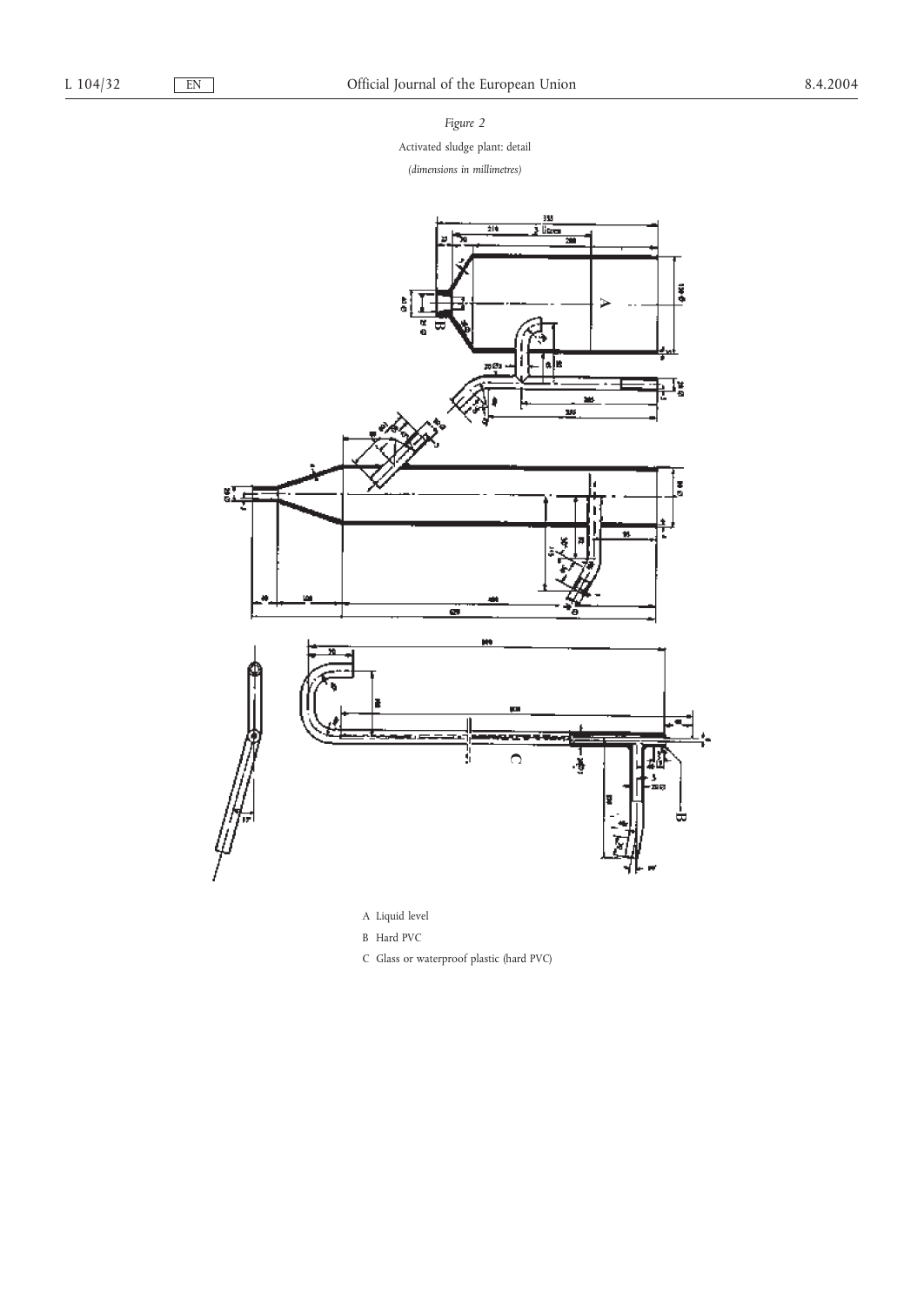*Figure 2*

Activated sludge plant: detail

*(dimensions in millimetres)*



B Hard PVC

C Glass or waterproof plastic (hard PVC)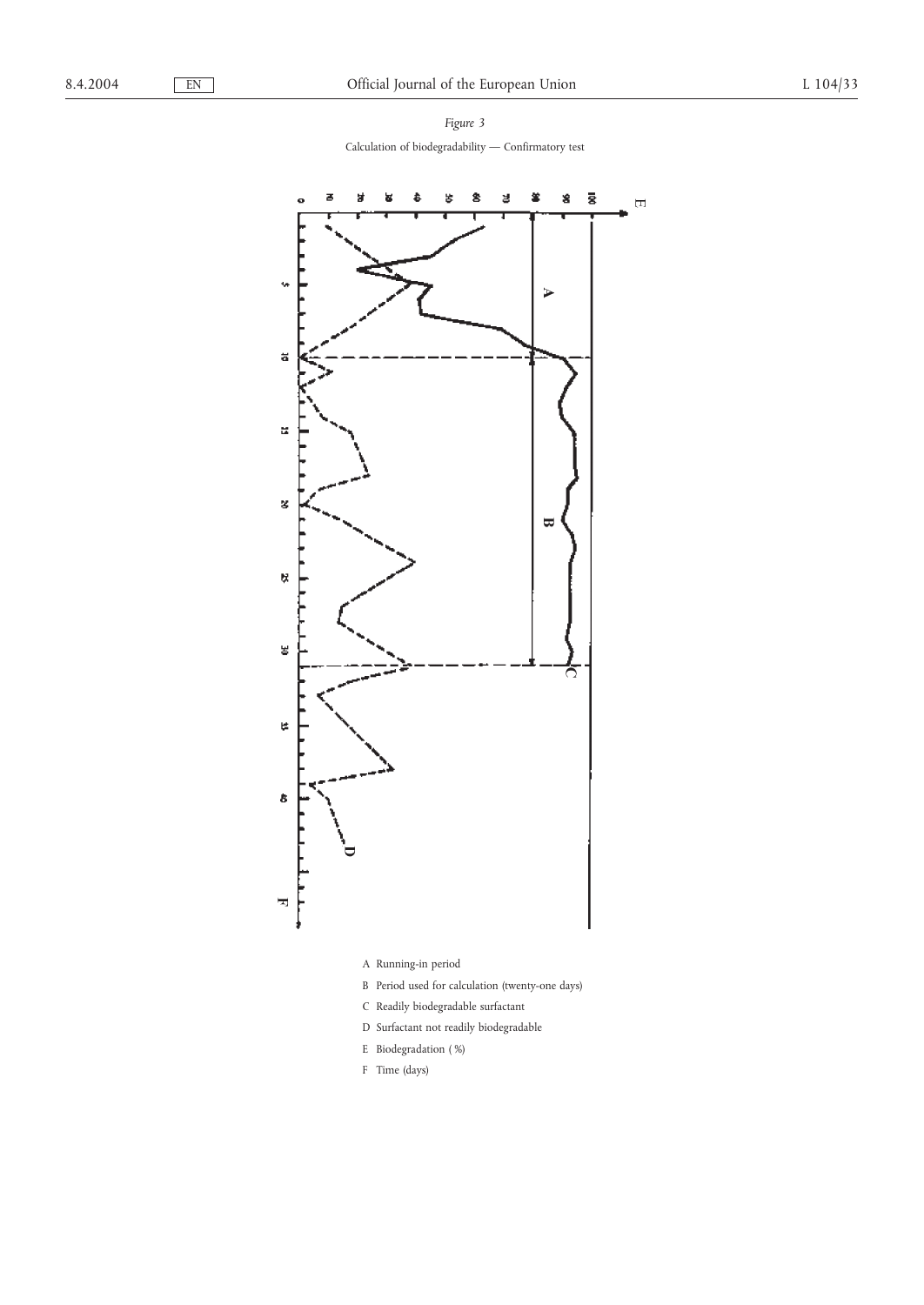*Figure 3* Calculation of biodegradability — Confirmatory test

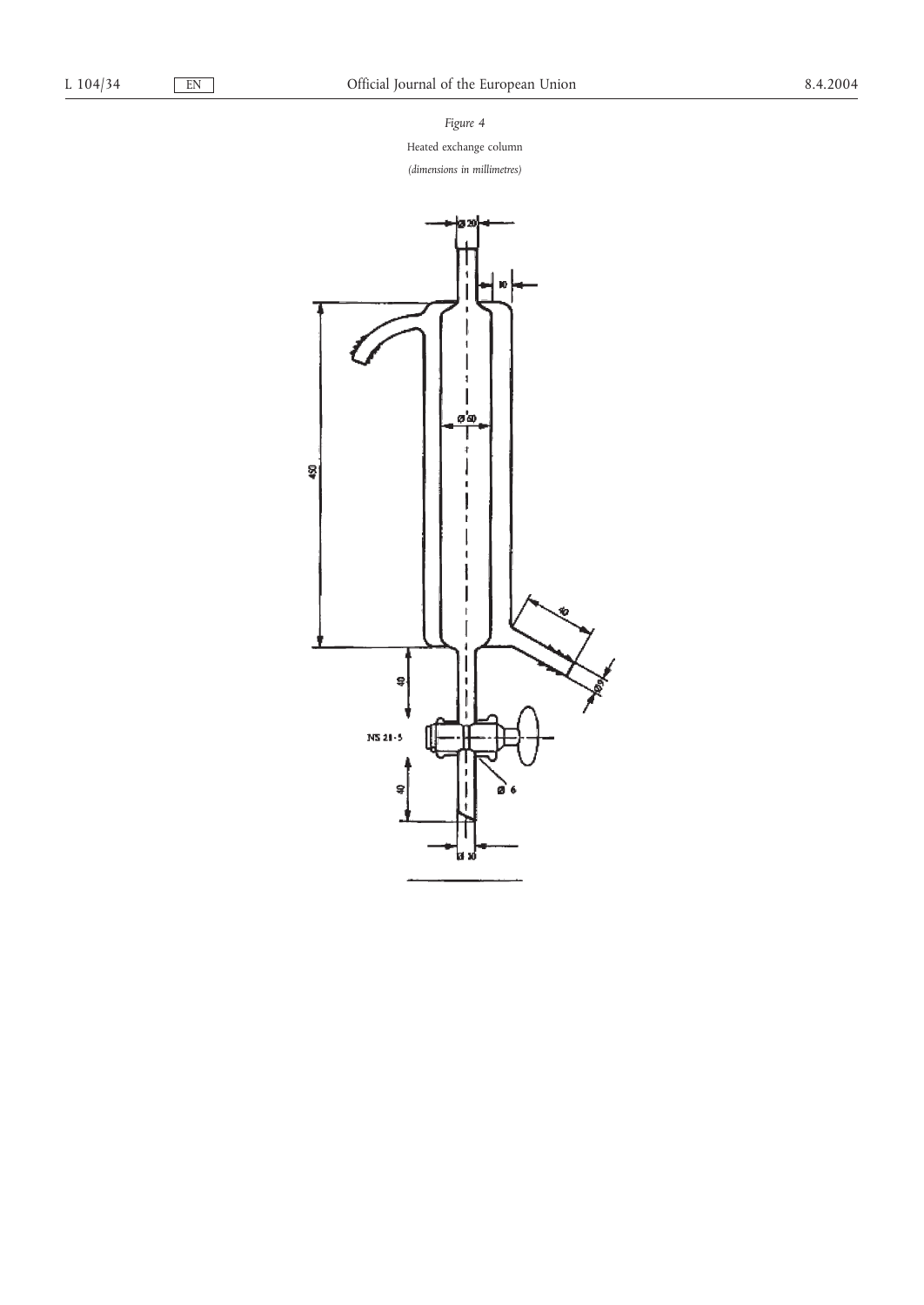*Figure 4*

Heated exchange column

*(dimensions in millimetres)*